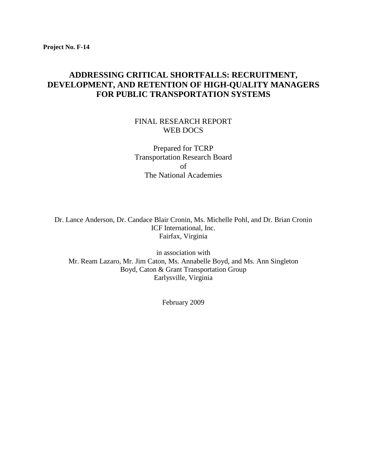### **ADDRESSING CRITICAL SHORTFALLS: RECRUITMENT, DEVELOPMENT, AND RETENTION OF HIGH-QUALITY MANAGERS FOR PUBLIC TRANSPORTATION SYSTEMS**

#### FINAL RESEARCH REPORT WEB DOCS

Prepared for TCRP Transportation Research Board of The National Academies

Dr. Lance Anderson, Dr. Candace Blair Cronin, Ms. Michelle Pohl, and Dr. Brian Cronin ICF International, Inc. Fairfax, Virginia

in association with Mr. Ream Lazaro, Mr. Jim Caton, Ms. Annabelle Boyd, and Ms. Ann Singleton Boyd, Caton & Grant Transportation Group Earlysville, Virginia

February 2009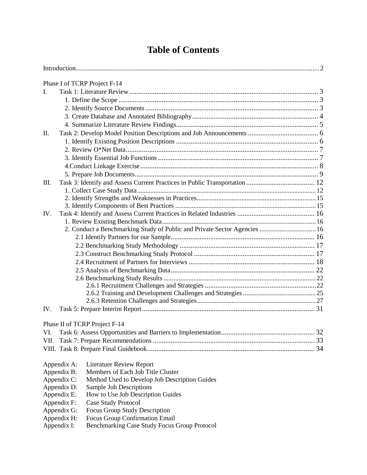# **Table of Contents**

|                                                              | Phase I of TCRP Project F-14                                              |    |  |  |
|--------------------------------------------------------------|---------------------------------------------------------------------------|----|--|--|
| L                                                            |                                                                           |    |  |  |
|                                                              |                                                                           |    |  |  |
|                                                              |                                                                           |    |  |  |
|                                                              |                                                                           |    |  |  |
|                                                              |                                                                           |    |  |  |
| Π.                                                           |                                                                           |    |  |  |
|                                                              |                                                                           |    |  |  |
|                                                              |                                                                           |    |  |  |
|                                                              |                                                                           |    |  |  |
|                                                              |                                                                           |    |  |  |
|                                                              |                                                                           |    |  |  |
|                                                              |                                                                           |    |  |  |
| Ш.                                                           |                                                                           |    |  |  |
|                                                              |                                                                           |    |  |  |
|                                                              |                                                                           |    |  |  |
| IV.                                                          |                                                                           |    |  |  |
|                                                              |                                                                           |    |  |  |
|                                                              | 2. Conduct a Benchmarking Study of Public and Private Sector Agencies  16 |    |  |  |
|                                                              |                                                                           |    |  |  |
|                                                              |                                                                           |    |  |  |
|                                                              |                                                                           |    |  |  |
|                                                              |                                                                           |    |  |  |
|                                                              |                                                                           |    |  |  |
|                                                              |                                                                           |    |  |  |
|                                                              |                                                                           |    |  |  |
|                                                              |                                                                           |    |  |  |
|                                                              |                                                                           |    |  |  |
|                                                              |                                                                           |    |  |  |
| IV.                                                          |                                                                           |    |  |  |
|                                                              | Phase II of TCRP Project F-14                                             |    |  |  |
| VI.                                                          | Task 6: Assess Opportunities and Barriers to Implementation               | 32 |  |  |
|                                                              |                                                                           |    |  |  |
|                                                              |                                                                           |    |  |  |
|                                                              |                                                                           |    |  |  |
| Appendix A:                                                  | <b>Literature Review Report</b>                                           |    |  |  |
| Appendix B:                                                  | Members of Each Job Title Cluster                                         |    |  |  |
| Appendix C:<br>Method Used to Develop Job Description Guides |                                                                           |    |  |  |
| Appendix D:<br>Sample Job Descriptions                       |                                                                           |    |  |  |
| Appendix E:<br>How to Use Job Description Guides             |                                                                           |    |  |  |
| Appendix F:<br>Case Study Protocol                           |                                                                           |    |  |  |
| Appendix G:<br><b>Focus Group Study Description</b>          |                                                                           |    |  |  |
| Appendix H:                                                  | Focus Group Confirmation Email                                            |    |  |  |
| Benchmarking Case Study Focus Group Protocol<br>Appendix I:  |                                                                           |    |  |  |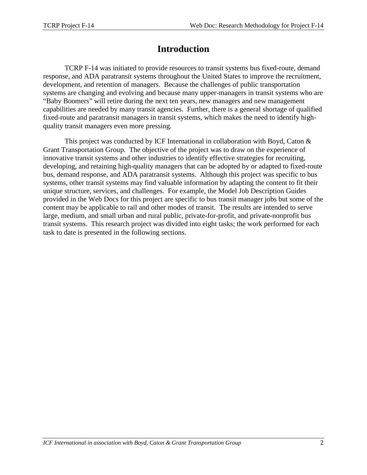# **Introduction**

TCRP F-14 was initiated to provide resources to transit systems bus fixed-route, demand response, and ADA paratransit systems throughout the United States to improve the recruitment, development, and retention of managers. Because the challenges of public transportation systems are changing and evolving and because many upper-managers in transit systems who are "Baby Boomers" will retire during the next ten years, new managers and new management capabilities are needed by many transit agencies. Further, there is a general shortage of qualified fixed-route and paratransit managers in transit systems, which makes the need to identify highquality transit managers even more pressing.

This project was conducted by ICF International in collaboration with Boyd, Caton & Grant Transportation Group. The objective of the project was to draw on the experience of innovative transit systems and other industries to identify effective strategies for recruiting, developing, and retaining high-quality managers that can be adopted by or adapted to fixed-route bus, demand response, and ADA paratransit systems. Although this project was specific to bus systems, other transit systems may find valuable information by adapting the content to fit their unique structure, services, and challenges. For example, the Model Job Description Guides provided in the Web Docs for this project are specific to bus transit manager jobs but some of the content may be applicable to rail and other modes of transit. The results are intended to serve large, medium, and small urban and rural public, private-for-profit, and private-nonprofit bus transit systems. This research project was divided into eight tasks; the work performed for each task to date is presented in the following sections.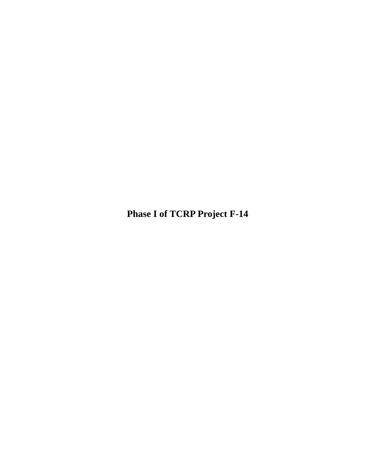<span id="page-3-0"></span>**Phase I of TCRP Project F-14**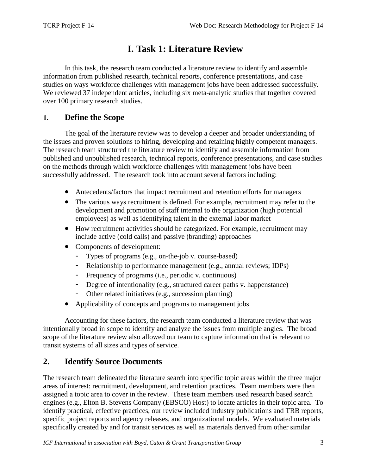# **I. Task 1: Literature Review**

In this task, the research team conducted a literature review to identify and assemble information from published research, technical reports, conference presentations, and case studies on ways workforce challenges with management jobs have been addressed successfully. We reviewed 37 independent articles, including six meta-analytic studies that together covered over 100 primary research studies.

### <span id="page-4-0"></span>**1. Define the Scope**

The goal of the literature review was to develop a deeper and broader understanding of the issues and proven solutions to hiring, developing and retaining highly competent managers. The research team structured the literature review to identify and assemble information from published and unpublished research, technical reports, conference presentations, and case studies on the methods through which workforce challenges with management jobs have been successfully addressed. The research took into account several factors including:

- Antecedents/factors that impact recruitment and retention efforts for managers
- The various ways recruitment is defined. For example, recruitment may refer to the development and promotion of staff internal to the organization (high potential employees) as well as identifying talent in the external labor market
- How recruitment activities should be categorized. For example, recruitment may include active (cold calls) and passive (branding) approaches
- Components of development:
	- Types of programs (e.g., on-the-job v. course-based)
	- Relationship to performance management (e.g., annual reviews; IDPs)
	- Frequency of programs (i.e., periodic v. continuous)
	- Degree of intentionality (e.g., structured career paths v. happenstance)
	- Other related initiatives (e.g., succession planning)
- Applicability of concepts and programs to management jobs

Accounting for these factors, the research team conducted a literature review that was intentionally broad in scope to identify and analyze the issues from multiple angles. The broad scope of the literature review also allowed our team to capture information that is relevant to transit systems of all sizes and types of service.

## <span id="page-4-1"></span>**2. Identify Source Documents**

The research team delineated the literature search into specific topic areas within the three major areas of interest: recruitment, development, and retention practices. Team members were then assigned a topic area to cover in the review. These team members used research based search engines (e.g., Elton B. Stevens Company (EBSCO) Host) to locate articles in their topic area. To identify practical, effective practices, our review included industry publications and TRB reports, specific project reports and agency releases, and organizational models. We evaluated materials specifically created by and for transit services as well as materials derived from other similar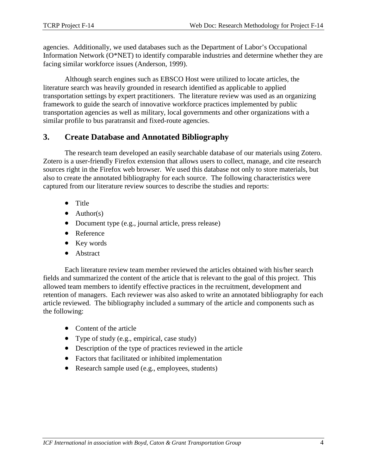agencies. Additionally, we used databases such as the Department of Labor's Occupational Information Network (O\*NET) to identify comparable industries and determine whether they are facing similar workforce issues (Anderson, 1999).

Although search engines such as EBSCO Host were utilized to locate articles, the literature search was heavily grounded in research identified as applicable to applied transportation settings by expert practitioners. The literature review was used as an organizing framework to guide the search of innovative workforce practices implemented by public transportation agencies as well as military, local governments and other organizations with a similar profile to bus paratransit and fixed-route agencies.

### <span id="page-5-0"></span>**3. Create Database and Annotated Bibliography**

The research team developed an easily searchable database of our materials using Zotero. Zotero is a user-friendly Firefox extension that allows users to collect, manage, and cite research sources right in the Firefox web browser. We used this database not only to store materials, but also to create the annotated bibliography for each source. The following characteristics were captured from our literature review sources to describe the studies and reports:

- Title
- $\bullet$  Author(s)
- Document type (e.g., journal article, press release)
- Reference
- Key words
- Abstract

Each literature review team member reviewed the articles obtained with his/her search fields and summarized the content of the article that is relevant to the goal of this project. This allowed team members to identify effective practices in the recruitment, development and retention of managers. Each reviewer was also asked to write an annotated bibliography for each article reviewed. The bibliography included a summary of the article and components such as the following:

- Content of the article
- Type of study (e.g., empirical, case study)
- Description of the type of practices reviewed in the article
- Factors that facilitated or inhibited implementation
- Research sample used (e.g., employees, students)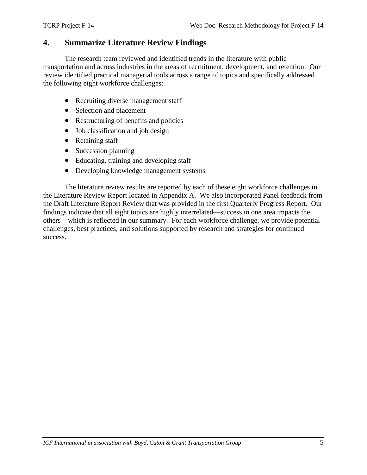### <span id="page-6-0"></span>**4. Summarize Literature Review Findings**

The research team reviewed and identified trends in the literature with public transportation and across industries in the areas of recruitment, development, and retention. Our review identified practical managerial tools across a range of topics and specifically addressed the following eight workforce challenges:

- Recruiting diverse management staff
- Selection and placement
- Restructuring of benefits and policies
- Job classification and job design
- Retaining staff
- Succession planning
- Educating, training and developing staff
- Developing knowledge management systems

The literature review results are reported by each of these eight workforce challenges in the Literature Review Report located in Appendix A. We also incorporated Panel feedback from the Draft Literature Report Review that was provided in the first Quarterly Progress Report. Our findings indicate that all eight topics are highly interrelated—success in one area impacts the others—which is reflected in our summary. For each workforce challenge, we provide potential challenges, best practices, and solutions supported by research and strategies for continued success.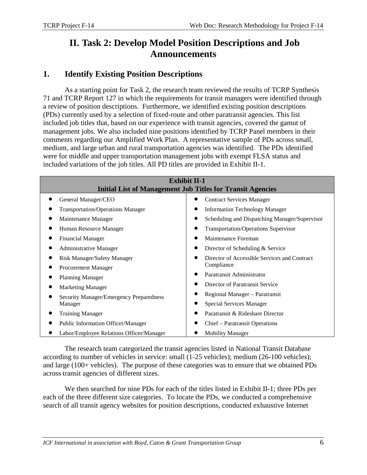## <span id="page-7-0"></span>**II. Task 2: Develop Model Position Descriptions and Job Announcements**

### <span id="page-7-1"></span>**1. Identify Existing Position Descriptions**

As a starting point for Task 2, the research team reviewed the results of TCRP Synthesis 71 and TCRP Report 127 in which the requirements for transit managers were identified through a review of position descriptions. Furthermore, we identified existing position descriptions (PDs) currently used by a selection of fixed-route and other paratransit agencies. This list included job titles that, based on our experience with transit agencies, covered the gamut of management jobs. We also included nine positions identified by TCRP Panel members in their comments regarding our Amplified Work Plan. A representative sample of PDs across small, medium, and large urban and rural transportation agencies was identified. The PDs identified were for middle and upper transportation management jobs with exempt FLSA status and included variations of the job titles. All PD titles are provided in Exhibit II-1.

| <b>Exhibit II-1</b><br><b>Initial List of Management Job Titles for Transit Agencies</b> |                                               |  |  |  |
|------------------------------------------------------------------------------------------|-----------------------------------------------|--|--|--|
| General Manager/CEO                                                                      | <b>Contract Services Manager</b>              |  |  |  |
| <b>Transportation/Operations Manager</b>                                                 | <b>Information Technology Manager</b>         |  |  |  |
| Maintenance Manager                                                                      | Scheduling and Dispatching Manager/Supervisor |  |  |  |
| Human Resource Manager                                                                   | <b>Transportation/Operations Supervisor</b>   |  |  |  |
| <b>Financial Manager</b>                                                                 | Maintenance Foreman                           |  |  |  |
| <b>Administrative Manager</b>                                                            | Director of Scheduling & Service              |  |  |  |
| Risk Manager/Safety Manager                                                              | Director of Accessible Services and Contract  |  |  |  |
| Procurement Manager                                                                      | Compliance                                    |  |  |  |
| <b>Planning Manager</b>                                                                  | Paratransit Administrator                     |  |  |  |
| <b>Marketing Manager</b>                                                                 | Director of Paratransit Service               |  |  |  |
| Security Manager/Emergency Preparedness                                                  | Regional Manager - Paratransit                |  |  |  |
| Manager                                                                                  | <b>Special Services Manager</b>               |  |  |  |
| <b>Training Manager</b>                                                                  | Paratransit & Rideshare Director              |  |  |  |
| <b>Public Information Officer/Manager</b>                                                | Chief – Paratransit Operations                |  |  |  |
| Labor/Employee Relations Officer/Manager                                                 | <b>Mobility Manager</b>                       |  |  |  |

The research team categorized the transit agencies listed in National Transit Database according to number of vehicles in service: small (1-25 vehicles); medium (26-100 vehicles); and large (100+ vehicles). The purpose of these categories was to ensure that we obtained PDs across transit agencies of different sizes.

We then searched for nine PDs for each of the titles listed in Exhibit II-1; three PDs per each of the three different size categories. To locate the PDs, we conducted a comprehensive search of all transit agency websites for position descriptions, conducted exhaustive Internet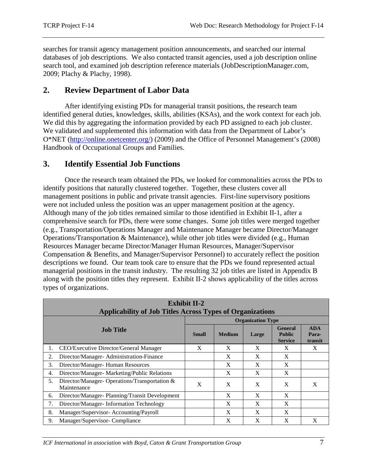searches for transit agency management position announcements, and searched our internal databases of job descriptions. We also contacted transit agencies, used a job description online search tool, and examined job description reference materials (JobDescriptionManager.com, 2009; Plachy & Plachy, 1998).

### <span id="page-8-0"></span>**2. Review Department of Labor Data**

After identifying existing PDs for managerial transit positions, the research team identified general duties, knowledges, skills, abilities (KSAs), and the work context for each job. We did this by aggregating the information provided by each PD assigned to each job cluster. We validated and supplemented this information with data from the Department of Labor's O\*NET [\(http://online.onetcenter.org/\)](http://online.onetcenter.org/) (2009) and the Office of Personnel Management's (2008) Handbook of Occupational Groups and Families.

### <span id="page-8-1"></span>**3. Identify Essential Job Functions**

Once the research team obtained the PDs, we looked for commonalities across the PDs to identify positions that naturally clustered together. Together, these clusters cover all management positions in public and private transit agencies. First-line supervisory positions were not included unless the position was an upper management position at the agency. Although many of the job titles remained similar to those identified in Exhibit II-1, after a comprehensive search for PDs, there were some changes. Some job titles were merged together (e.g., Transportation/Operations Manager and Maintenance Manager became Director/Manager Operations/Transportation & Maintenance), while other job titles were divided (e.g., Human Resources Manager became Director/Manager Human Resources, Manager/Supervisor Compensation & Benefits, and Manager/Supervisor Personnel) to accurately reflect the position descriptions we found. Our team took care to ensure that the PDs we found represented actual managerial positions in the transit industry. The resulting 32 job titles are listed in Appendix B along with the position titles they represent. Exhibit II-2 shows applicability of the titles across types of organizations.

|                                               | <b>Exhibit II-2</b>                                              |                          |               |       |                                            |                                |  |
|-----------------------------------------------|------------------------------------------------------------------|--------------------------|---------------|-------|--------------------------------------------|--------------------------------|--|
|                                               | <b>Applicability of Job Titles Across Types of Organizations</b> |                          |               |       |                                            |                                |  |
|                                               |                                                                  | <b>Organization Type</b> |               |       |                                            |                                |  |
| <b>Job Title</b>                              |                                                                  | <b>Small</b>             | <b>Medium</b> | Large | General<br><b>Public</b><br><b>Service</b> | <b>ADA</b><br>Para-<br>transit |  |
| 1.                                            | CEO/Executive Director/General Manager                           | X                        | X             | X     | X                                          | X                              |  |
| 2.                                            | Director/Manager-Administration-Finance                          |                          | X             | X     | X                                          |                                |  |
| 3.                                            | Director/Manager-Human Resources                                 |                          | X             | X     | X                                          |                                |  |
| 4.                                            | Director/Manager- Marketing/Public Relations                     |                          | X             | X     | X                                          |                                |  |
| 5.                                            | Director/Manager-Operations/Transportation &<br>Maintenance      | X                        | X             | X     | X                                          | X                              |  |
| 6.                                            | Director/Manager-Planning/Transit Development                    |                          | X             | X     | X                                          |                                |  |
| 7.<br>Director/Manager-Information Technology |                                                                  |                          | X             | X     | X                                          |                                |  |
| 8.                                            | Manager/Supervisor-Accounting/Payroll                            |                          | X             | X     | X                                          |                                |  |
| 9.                                            | Manager/Supervisor-Compliance                                    |                          | X             | X     | X                                          | X                              |  |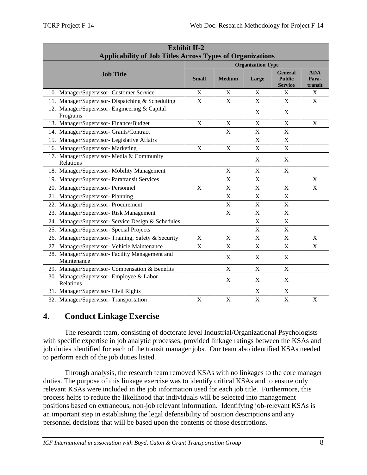| <b>Exhibit II-2</b><br><b>Applicability of Job Titles Across Types of Organizations</b> |                          |                           |                           |                                                   |                                |
|-----------------------------------------------------------------------------------------|--------------------------|---------------------------|---------------------------|---------------------------------------------------|--------------------------------|
|                                                                                         | <b>Organization Type</b> |                           |                           |                                                   |                                |
| <b>Job Title</b>                                                                        | Small                    | <b>Medium</b>             | Large                     | <b>General</b><br><b>Public</b><br><b>Service</b> | <b>ADA</b><br>Para-<br>transit |
| 10. Manager/Supervisor- Customer Service                                                | X                        | X                         | X                         | X                                                 | X                              |
| 11. Manager/Supervisor-Dispatching & Scheduling                                         | $\mathbf X$              | X                         | X                         | X                                                 | $\boldsymbol{\mathrm{X}}$      |
| 12. Manager/Supervisor- Engineering & Capital<br>Programs                               |                          |                           | X                         | $\mathbf X$                                       |                                |
| 13. Manager/Supervisor-Finance/Budget                                                   | X                        | X                         | X                         | $\boldsymbol{\mathrm{X}}$                         | X                              |
| 14. Manager/Supervisor- Grants/Contract                                                 |                          | X                         | X                         | $\boldsymbol{\mathrm{X}}$                         |                                |
| 15. Manager/Supervisor- Legislative Affairs                                             |                          |                           | X                         | X                                                 |                                |
| 16. Manager/Supervisor- Marketing                                                       | $\mathbf X$              | $\mathbf X$               | X                         | $\mathbf X$                                       |                                |
| 17. Manager/Supervisor- Media & Community<br>Relations                                  |                          |                           | X                         | X                                                 |                                |
| 18. Manager/Supervisor- Mobility Management                                             |                          | X                         | $\boldsymbol{\mathrm{X}}$ | $\boldsymbol{\mathrm{X}}$                         |                                |
| 19. Manager/Supervisor- Paratransit Services                                            |                          | $\mathbf X$               | $\boldsymbol{\mathrm{X}}$ |                                                   | X                              |
| 20. Manager/Supervisor- Personnel                                                       | X                        | $\mathbf X$               | $\boldsymbol{\mathrm{X}}$ | $\mathbf X$                                       | $\boldsymbol{\mathrm{X}}$      |
| 21. Manager/Supervisor-Planning                                                         |                          | $\boldsymbol{\mathrm{X}}$ | X                         | $\mathbf X$                                       |                                |
| 22. Manager/Supervisor-Procurement                                                      |                          | $\mathbf X$               | $\boldsymbol{\mathrm{X}}$ | X                                                 |                                |
| 23. Manager/Supervisor-Risk Management                                                  |                          | X                         | X                         | X                                                 |                                |
| 24. Manager/Supervisor- Service Design & Schedules                                      |                          |                           | X                         | $\mathbf X$                                       |                                |
| 25. Manager/Supervisor- Special Projects                                                |                          |                           | X                         | X                                                 |                                |
| 26. Manager/Supervisor-Training, Safety & Security                                      | X                        | X                         | X                         | $\mathbf X$                                       | X                              |
| 27. Manager/Supervisor- Vehicle Maintenance                                             | $\mathbf X$              | X                         | X                         | X                                                 | X                              |
| 28. Manager/Supervisor- Facility Management and<br>Maintenance                          |                          | X                         | X                         | X                                                 |                                |
| 29. Manager/Supervisor- Compensation & Benefits                                         |                          | X                         | X                         | X                                                 |                                |
| 30. Manager/Supervisor- Employee & Labor<br>Relations                                   |                          | X                         | X                         | X                                                 |                                |
| 31. Manager/Supervisor- Civil Rights                                                    |                          |                           | X                         | $\mathbf X$                                       |                                |
| 32. Manager/Supervisor-Transportation                                                   | $\mathbf X$              | X                         | X                         | X                                                 | X                              |

## <span id="page-9-0"></span>**4. Conduct Linkage Exercise**

The research team, consisting of doctorate level Industrial/Organizational Psychologists with specific expertise in job analytic processes, provided linkage ratings between the KSAs and job duties identified for each of the transit manager jobs. Our team also identified KSAs needed to perform each of the job duties listed.

Through analysis, the research team removed KSAs with no linkages to the core manager duties. The purpose of this linkage exercise was to identify critical KSAs and to ensure only relevant KSAs were included in the job information used for each job title. Furthermore, this process helps to reduce the likelihood that individuals will be selected into management positions based on extraneous, non-job relevant information. Identifying job-relevant KSAs is an important step in establishing the legal defensibility of position descriptions and any personnel decisions that will be based upon the contents of those descriptions.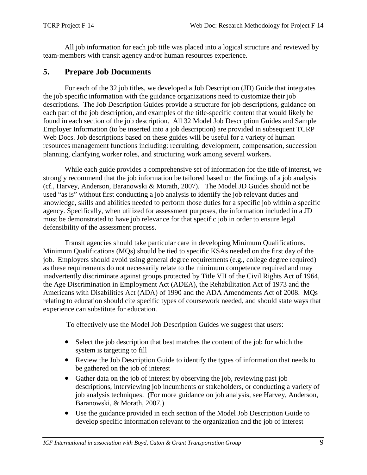All job information for each job title was placed into a logical structure and reviewed by team-members with transit agency and/or human resources experience.

## <span id="page-10-0"></span>**5. Prepare Job Documents**

For each of the 32 job titles, we developed a Job Description (JD) Guide that integrates the job specific information with the guidance organizations need to customize their job descriptions. The Job Description Guides provide a structure for job descriptions, guidance on each part of the job description, and examples of the title-specific content that would likely be found in each section of the job description. All 32 Model Job Description Guides and Sample Employer Information (to be inserted into a job description) are provided in subsequent TCRP Web Docs. Job descriptions based on these guides will be useful for a variety of human resources management functions including: recruiting, development, compensation, succession planning, clarifying worker roles, and structuring work among several workers.

While each guide provides a comprehensive set of information for the title of interest, we strongly recommend that the job information be tailored based on the findings of a job analysis (cf., Harvey, Anderson, Baranowski & Morath, 2007). The Model JD Guides should not be used "as is" without first conducting a job analysis to identify the job relevant duties and knowledge, skills and abilities needed to perform those duties for a specific job within a specific agency. Specifically, when utilized for assessment purposes, the information included in a JD must be demonstrated to have job relevance for that specific job in order to ensure legal defensibility of the assessment process.

Transit agencies should take particular care in developing Minimum Qualifications. Minimum Qualifications (MQs) should be tied to specific KSAs needed on the first day of the job. Employers should avoid using general degree requirements (e.g., college degree required) as these requirements do not necessarily relate to the minimum competence required and may inadvertently discriminate against groups protected by Title VII of the Civil Rights Act of 1964, the Age Discrimination in Employment Act (ADEA), the Rehabilitation Act of 1973 and the Americans with Disabilities Act (ADA) of 1990 and the ADA Amendments Act of 2008. MQs relating to education should cite specific types of coursework needed, and should state ways that experience can substitute for education.

To effectively use the Model Job Description Guides we suggest that users:

- Select the job description that best matches the content of the job for which the system is targeting to fill
- Review the Job Description Guide to identify the types of information that needs to be gathered on the job of interest
- Gather data on the job of interest by observing the job, reviewing past job descriptions, interviewing job incumbents or stakeholders, or conducting a variety of job analysis techniques. (For more guidance on job analysis, see Harvey, Anderson, Baranowski, & Morath, 2007.)
- Use the guidance provided in each section of the Model Job Description Guide to develop specific information relevant to the organization and the job of interest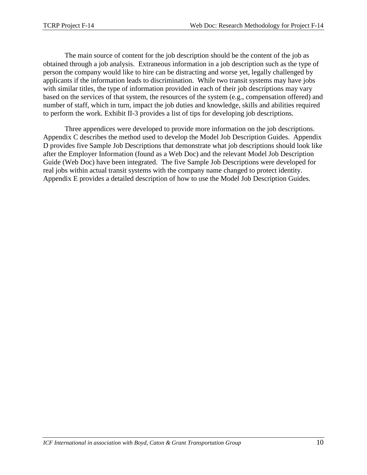The main source of content for the job description should be the content of the job as obtained through a job analysis. Extraneous information in a job description such as the type of person the company would like to hire can be distracting and worse yet, legally challenged by applicants if the information leads to discrimination. While two transit systems may have jobs with similar titles, the type of information provided in each of their job descriptions may vary based on the services of that system, the resources of the system (e.g., compensation offered) and number of staff, which in turn, impact the job duties and knowledge, skills and abilities required to perform the work. Exhibit II-3 provides a list of tips for developing job descriptions.

Three appendices were developed to provide more information on the job descriptions. Appendix C describes the method used to develop the Model Job Description Guides. Appendix D provides five Sample Job Descriptions that demonstrate what job descriptions should look like after the Employer Information (found as a Web Doc) and the relevant Model Job Description Guide (Web Doc) have been integrated. The five Sample Job Descriptions were developed for real jobs within actual transit systems with the company name changed to protect identity. Appendix E provides a detailed description of how to use the Model Job Description Guides.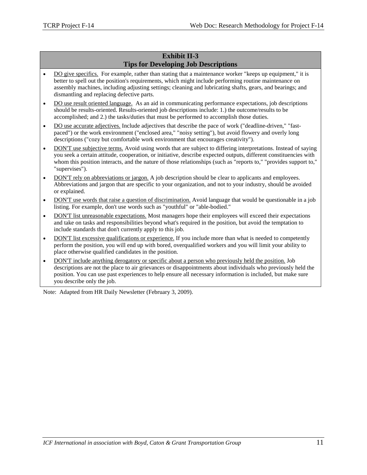#### **Exhibit II-3 Tips for Developing Job Descriptions**

- DO give specifics. For example, rather than stating that a maintenance worker "keeps up equipment," it is better to spell out the position's requirements, which might include performing routine maintenance on assembly machines, including adjusting settings; cleaning and lubricating shafts, gears, and bearings; and dismantling and replacing defective parts.
- DO use result oriented language. As an aid in communicating performance expectations, job descriptions should be results-oriented. Results-oriented job descriptions include: 1.) the outcome/results to be accomplished; and 2.) the tasks/duties that must be performed to accomplish those duties.
- DO use accurate adjectives. Include adjectives that describe the pace of work ("deadline-driven," "fastpaced") or the work environment ("enclosed area," "noisy setting"), but avoid flowery and overly long descriptions ("cozy but comfortable work environment that encourages creativity").
- DON'T use subjective terms. Avoid using words that are subject to differing interpretations. Instead of saying you seek a certain attitude, cooperation, or initiative, describe expected outputs, different constituencies with whom this position interacts, and the nature of those relationships (such as "reports to," "provides support to," "supervises").
- DON'T rely on abbreviations or jargon. A job description should be clear to applicants and employees. Abbreviations and jargon that are specific to your organization, and not to your industry, should be avoided or explained.
- DON'T use words that raise a question of discrimination. Avoid language that would be questionable in a job listing. For example, don't use words such as "youthful" or "able-bodied."
- DON'T list unreasonable expectations. Most managers hope their employees will exceed their expectations and take on tasks and responsibilities beyond what's required in the position, but avoid the temptation to include standards that don't currently apply to this job.
- DON'T list excessive qualifications or experience. If you include more than what is needed to competently perform the position, you will end up with bored, overqualified workers and you will limit your ability to place otherwise qualified candidates in the position.
- DON'T include anything derogatory or specific about a person who previously held the position. Job descriptions are not the place to air grievances or disappointments about individuals who previously held the position. You can use past experiences to help ensure all necessary information is included, but make sure you describe only the job.

Note: Adapted from HR Daily Newsletter (February 3, 2009).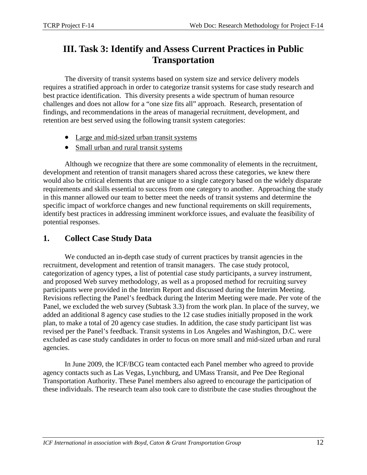# **III. Task 3: Identify and Assess Current Practices in Public Transportation**

The diversity of transit systems based on system size and service delivery models requires a stratified approach in order to categorize transit systems for case study research and best practice identification. This diversity presents a wide spectrum of human resource challenges and does not allow for a "one size fits all" approach. Research, presentation of findings, and recommendations in the areas of managerial recruitment, development, and retention are best served using the following transit system categories:

- Large and mid-sized urban transit systems
- Small urban and rural transit systems

Although we recognize that there are some commonality of elements in the recruitment, development and retention of transit managers shared across these categories, we knew there would also be critical elements that are unique to a single category based on the widely disparate requirements and skills essential to success from one category to another. Approaching the study in this manner allowed our team to better meet the needs of transit systems and determine the specific impact of workforce changes and new functional requirements on skill requirements, identify best practices in addressing imminent workforce issues, and evaluate the feasibility of potential responses.

## <span id="page-13-0"></span>**1. Collect Case Study Data**

We conducted an in-depth case study of current practices by transit agencies in the recruitment, development and retention of transit managers. The case study protocol, categorization of agency types, a list of potential case study participants, a survey instrument, and proposed Web survey methodology, as well as a proposed method for recruiting survey participants were provided in the Interim Report and discussed during the Interim Meeting. Revisions reflecting the Panel's feedback during the Interim Meeting were made. Per vote of the Panel, we excluded the web survey (Subtask 3.3) from the work plan. In place of the survey, we added an additional 8 agency case studies to the 12 case studies initially proposed in the work plan, to make a total of 20 agency case studies. In addition, the case study participant list was revised per the Panel's feedback. Transit systems in Los Angeles and Washington, D.C. were excluded as case study candidates in order to focus on more small and mid-sized urban and rural agencies.

In June 2009, the ICF/BCG team contacted each Panel member who agreed to provide agency contacts such as Las Vegas, Lynchburg, and UMass Transit, and Pee Dee Regional Transportation Authority. These Panel members also agreed to encourage the participation of these individuals. The research team also took care to distribute the case studies throughout the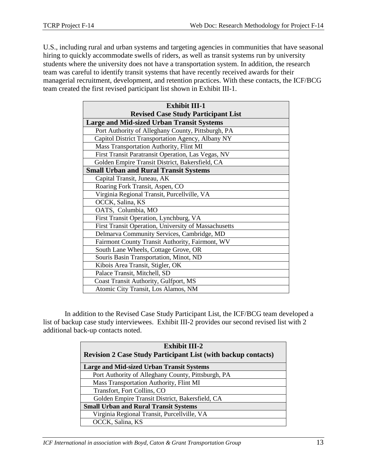U.S., including rural and urban systems and targeting agencies in communities that have seasonal hiring to quickly accommodate swells of riders, as well as transit systems run by university students where the university does not have a transportation system. In addition, the research team was careful to identify transit systems that have recently received awards for their managerial recruitment, development, and retention practices. With these contacts, the ICF/BCG team created the first revised participant list shown in Exhibit III-1.

| <b>Exhibit III-1</b>                                 |  |  |  |
|------------------------------------------------------|--|--|--|
| <b>Revised Case Study Participant List</b>           |  |  |  |
| <b>Large and Mid-sized Urban Transit Systems</b>     |  |  |  |
| Port Authority of Alleghany County, Pittsburgh, PA   |  |  |  |
| Capitol District Transportation Agency, Albany NY    |  |  |  |
| Mass Transportation Authority, Flint MI              |  |  |  |
| First Transit Paratransit Operation, Las Vegas, NV   |  |  |  |
| Golden Empire Transit District, Bakersfield, CA      |  |  |  |
| <b>Small Urban and Rural Transit Systems</b>         |  |  |  |
| Capital Transit, Juneau, AK                          |  |  |  |
| Roaring Fork Transit, Aspen, CO                      |  |  |  |
| Virginia Regional Transit, Purcellville, VA          |  |  |  |
| OCCK, Salina, KS                                     |  |  |  |
| OATS, Columbia, MO                                   |  |  |  |
| First Transit Operation, Lynchburg, VA               |  |  |  |
| First Transit Operation, University of Massachusetts |  |  |  |
| Delmarva Community Services, Cambridge, MD           |  |  |  |
| Fairmont County Transit Authority, Fairmont, WV      |  |  |  |
| South Lane Wheels, Cottage Grove, OR                 |  |  |  |
| Souris Basin Transportation, Minot, ND               |  |  |  |
| Kibois Area Transit, Stigler, OK                     |  |  |  |
| Palace Transit, Mitchell, SD                         |  |  |  |
| Coast Transit Authority, Gulfport, MS                |  |  |  |
| Atomic City Transit, Los Alamos, NM                  |  |  |  |

In addition to the Revised Case Study Participant List, the ICF/BCG team developed a list of backup case study interviewees. Exhibit III-2 provides our second revised list with 2 additional back-up contacts noted.

| <b>Exhibit III-2</b>                                                 |  |  |  |
|----------------------------------------------------------------------|--|--|--|
| <b>Revision 2 Case Study Participant List (with backup contacts)</b> |  |  |  |
| <b>Large and Mid-sized Urban Transit Systems</b>                     |  |  |  |
| Port Authority of Alleghany County, Pittsburgh, PA                   |  |  |  |
| Mass Transportation Authority, Flint MI                              |  |  |  |
| Transfort, Fort Collins, CO                                          |  |  |  |
| Golden Empire Transit District, Bakersfield, CA                      |  |  |  |
| <b>Small Urban and Rural Transit Systems</b>                         |  |  |  |
| Virginia Regional Transit, Purcellville, VA                          |  |  |  |
| OCCK, Salina, KS                                                     |  |  |  |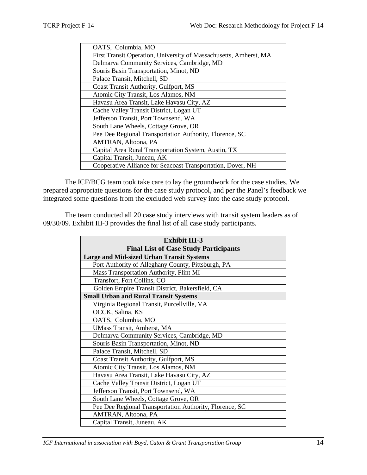| OATS, Columbia, MO                                                |
|-------------------------------------------------------------------|
| First Transit Operation, University of Massachusetts, Amherst, MA |
| Delmarva Community Services, Cambridge, MD                        |
| Souris Basin Transportation, Minot, ND                            |
| Palace Transit, Mitchell, SD                                      |
| Coast Transit Authority, Gulfport, MS                             |
| Atomic City Transit, Los Alamos, NM                               |
| Havasu Area Transit, Lake Havasu City, AZ                         |
| Cache Valley Transit District, Logan UT                           |
| Jefferson Transit, Port Townsend, WA                              |
| South Lane Wheels, Cottage Grove, OR                              |
| Pee Dee Regional Transportation Authority, Florence, SC           |
| AMTRAN, Altoona, PA                                               |
| Capital Area Rural Transportation System, Austin, TX              |
| Capital Transit, Juneau, AK                                       |
| Cooperative Alliance for Seacoast Transportation, Dover, NH       |

The ICF/BCG team took take care to lay the groundwork for the case studies. We prepared appropriate questions for the case study protocol, and per the Panel's feedback we integrated some questions from the excluded web survey into the case study protocol.

The team conducted all 20 case study interviews with transit system leaders as of 09/30/09. Exhibit III-3 provides the final list of all case study participants.

| <b>Exhibit III-3</b>                                    |  |  |  |
|---------------------------------------------------------|--|--|--|
| <b>Final List of Case Study Participants</b>            |  |  |  |
| <b>Large and Mid-sized Urban Transit Systems</b>        |  |  |  |
| Port Authority of Alleghany County, Pittsburgh, PA      |  |  |  |
| Mass Transportation Authority, Flint MI                 |  |  |  |
| Transfort, Fort Collins, CO                             |  |  |  |
| Golden Empire Transit District, Bakersfield, CA         |  |  |  |
| <b>Small Urban and Rural Transit Systems</b>            |  |  |  |
| Virginia Regional Transit, Purcellville, VA             |  |  |  |
| OCCK, Salina, KS                                        |  |  |  |
| OATS, Columbia, MO                                      |  |  |  |
| <b>UMass Transit, Amherst, MA</b>                       |  |  |  |
| Delmarva Community Services, Cambridge, MD              |  |  |  |
| Souris Basin Transportation, Minot, ND                  |  |  |  |
| Palace Transit, Mitchell, SD                            |  |  |  |
| Coast Transit Authority, Gulfport, MS                   |  |  |  |
| Atomic City Transit, Los Alamos, NM                     |  |  |  |
| Havasu Area Transit, Lake Havasu City, AZ               |  |  |  |
| Cache Valley Transit District, Logan UT                 |  |  |  |
| Jefferson Transit, Port Townsend, WA                    |  |  |  |
| South Lane Wheels, Cottage Grove, OR                    |  |  |  |
| Pee Dee Regional Transportation Authority, Florence, SC |  |  |  |
| AMTRAN, Altoona, PA                                     |  |  |  |
| Capital Transit, Juneau, AK                             |  |  |  |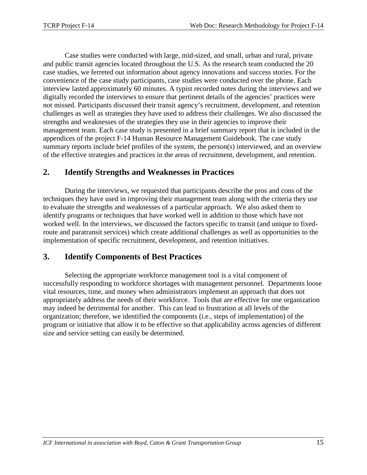Case studies were conducted with large, mid-sized, and small, urban and rural, private and public transit agencies located throughout the U.S. As the research team conducted the 20 case studies, we ferreted out information about agency innovations and success stories. For the convenience of the case study participants, case studies were conducted over the phone. Each interview lasted approximately 60 minutes. A typist recorded notes during the interviews and we digitally recorded the interviews to ensure that pertinent details of the agencies' practices were not missed. Participants discussed their transit agency's recruitment, development, and retention challenges as well as strategies they have used to address their challenges. We also discussed the strengths and weaknesses of the strategies they use in their agencies to improve their management team. Each case study is presented in a brief summary report that is included in the appendices of the project F-14 Human Resource Management Guidebook. The case study summary reports include brief profiles of the system, the person(s) interviewed, and an overview of the effective strategies and practices in the areas of recruitment, development, and retention.

### <span id="page-16-0"></span>**2. Identify Strengths and Weaknesses in Practices**

During the interviews, we requested that participants describe the pros and cons of the techniques they have used in improving their management team along with the criteria they use to evaluate the strengths and weaknesses of a particular approach. We also asked them to identify programs or techniques that have worked well in addition to those which have not worked well. In the interviews, we discussed the factors specific to transit (and unique to fixedroute and paratransit services) which create additional challenges as well as opportunities to the implementation of specific recruitment, development, and retention initiatives.

## <span id="page-16-1"></span>**3. Identify Components of Best Practices**

Selecting the appropriate workforce management tool is a vital component of successfully responding to workforce shortages with management personnel. Departments loose vital resources, time, and money when administrators implement an approach that does not appropriately address the needs of their workforce. Tools that are effective for one organization may indeed be detrimental for another. This can lead to frustration at all levels of the organization; therefore, we identified the components (i.e., steps of implementation) of the program or initiative that allow it to be effective so that applicability across agencies of different size and service setting can easily be determined.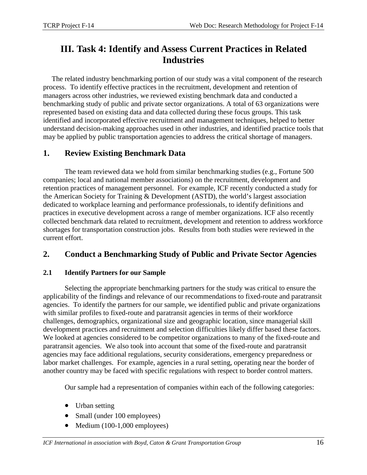# <span id="page-17-0"></span>**III. Task 4: Identify and Assess Current Practices in Related Industries**

The related industry benchmarking portion of our study was a vital component of the research process. To identify effective practices in the recruitment, development and retention of managers across other industries, we reviewed existing benchmark data and conducted a benchmarking study of public and private sector organizations. A total of 63 organizations were represented based on existing data and data collected during these focus groups. This task identified and incorporated effective recruitment and management techniques, helped to better understand decision-making approaches used in other industries, and identified practice tools that may be applied by public transportation agencies to address the critical shortage of managers.

## <span id="page-17-1"></span>**1. Review Existing Benchmark Data**

The team reviewed data we hold from similar benchmarking studies (e.g., Fortune 500 companies; local and national member associations) on the recruitment, development and retention practices of management personnel. For example, ICF recently conducted a study for the American Society for Training & Development (ASTD), the world's largest association dedicated to workplace learning and performance professionals, to identify definitions and practices in executive development across a range of member organizations. ICF also recently collected benchmark data related to recruitment, development and retention to address workforce shortages for transportation construction jobs. Results from both studies were reviewed in the current effort.

## <span id="page-17-2"></span>**2. Conduct a Benchmarking Study of Public and Private Sector Agencies**

### <span id="page-17-3"></span>**2.1 Identify Partners for our Sample**

Selecting the appropriate benchmarking partners for the study was critical to ensure the applicability of the findings and relevance of our recommendations to fixed-route and paratransit agencies. To identify the partners for our sample, we identified public and private organizations with similar profiles to fixed-route and paratransit agencies in terms of their workforce challenges, demographics, organizational size and geographic location, since managerial skill development practices and recruitment and selection difficulties likely differ based these factors. We looked at agencies considered to be competitor organizations to many of the fixed-route and paratransit agencies. We also took into account that some of the fixed-route and paratransit agencies may face additional regulations, security considerations, emergency preparedness or labor market challenges. For example, agencies in a rural setting, operating near the border of another country may be faced with specific regulations with respect to border control matters.

Our sample had a representation of companies within each of the following categories:

- Urban setting
- Small (under 100 employees)
- Medium (100-1,000 employees)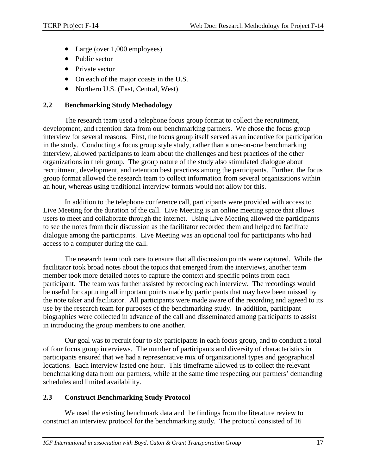- Large (over 1,000 employees)
- Public sector
- Private sector
- On each of the major coasts in the U.S.
- <span id="page-18-0"></span>• Northern U.S. (East, Central, West)

#### **2.2 Benchmarking Study Methodology**

The research team used a telephone focus group format to collect the recruitment, development, and retention data from our benchmarking partners. We chose the focus group interview for several reasons. First, the focus group itself served as an incentive for participation in the study. Conducting a focus group style study, rather than a one-on-one benchmarking interview, allowed participants to learn about the challenges and best practices of the other organizations in their group. The group nature of the study also stimulated dialogue about recruitment, development, and retention best practices among the participants. Further, the focus group format allowed the research team to collect information from several organizations within an hour, whereas using traditional interview formats would not allow for this.

In addition to the telephone conference call, participants were provided with access to Live Meeting for the duration of the call. Live Meeting is an online meeting space that allows users to meet and collaborate through the internet. Using Live Meeting allowed the participants to see the notes from their discussion as the facilitator recorded them and helped to facilitate dialogue among the participants. Live Meeting was an optional tool for participants who had access to a computer during the call.

The research team took care to ensure that all discussion points were captured. While the facilitator took broad notes about the topics that emerged from the interviews, another team member took more detailed notes to capture the context and specific points from each participant. The team was further assisted by recording each interview. The recordings would be useful for capturing all important points made by participants that may have been missed by the note taker and facilitator. All participants were made aware of the recording and agreed to its use by the research team for purposes of the benchmarking study. In addition, participant biographies were collected in advance of the call and disseminated among participants to assist in introducing the group members to one another.

Our goal was to recruit four to six participants in each focus group, and to conduct a total of four focus group interviews. The number of participants and diversity of characteristics in participants ensured that we had a representative mix of organizational types and geographical locations. Each interview lasted one hour. This timeframe allowed us to collect the relevant benchmarking data from our partners, while at the same time respecting our partners' demanding schedules and limited availability.

#### <span id="page-18-1"></span>**2.3 Construct Benchmarking Study Protocol**

We used the existing benchmark data and the findings from the literature review to construct an interview protocol for the benchmarking study. The protocol consisted of 16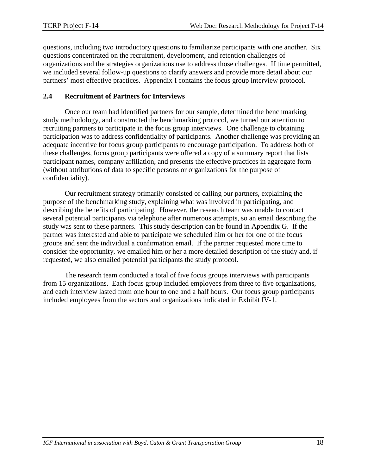questions, including two introductory questions to familiarize participants with one another. Six questions concentrated on the recruitment, development, and retention challenges of organizations and the strategies organizations use to address those challenges. If time permitted, we included several follow-up questions to clarify answers and provide more detail about our partners' most effective practices. Appendix I contains the focus group interview protocol.

#### <span id="page-19-0"></span>**2.4 Recruitment of Partners for Interviews**

Once our team had identified partners for our sample, determined the benchmarking study methodology, and constructed the benchmarking protocol, we turned our attention to recruiting partners to participate in the focus group interviews. One challenge to obtaining participation was to address confidentiality of participants. Another challenge was providing an adequate incentive for focus group participants to encourage participation. To address both of these challenges, focus group participants were offered a copy of a summary report that lists participant names, company affiliation, and presents the effective practices in aggregate form (without attributions of data to specific persons or organizations for the purpose of confidentiality).

Our recruitment strategy primarily consisted of calling our partners, explaining the purpose of the benchmarking study, explaining what was involved in participating, and describing the benefits of participating. However, the research team was unable to contact several potential participants via telephone after numerous attempts, so an email describing the study was sent to these partners. This study description can be found in Appendix G. If the partner was interested and able to participate we scheduled him or her for one of the focus groups and sent the individual a confirmation email. If the partner requested more time to consider the opportunity, we emailed him or her a more detailed description of the study and, if requested, we also emailed potential participants the study protocol.

The research team conducted a total of five focus groups interviews with participants from 15 organizations. Each focus group included employees from three to five organizations, and each interview lasted from one hour to one and a half hours. Our focus group participants included employees from the sectors and organizations indicated in Exhibit IV-1.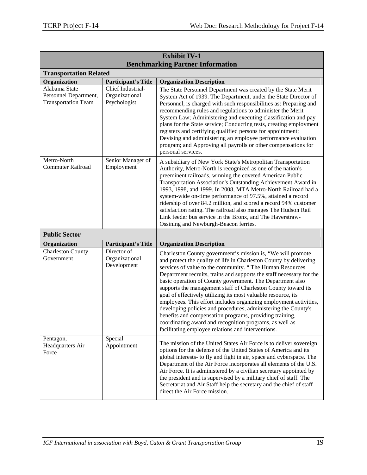| <b>Exhibit IV-1</b>                                                  |                                                     |                                                                                                                                                                                                                                                                                                                                                                                                                                                                                                                                                                                                                                                                                                                                                                                         |  |  |
|----------------------------------------------------------------------|-----------------------------------------------------|-----------------------------------------------------------------------------------------------------------------------------------------------------------------------------------------------------------------------------------------------------------------------------------------------------------------------------------------------------------------------------------------------------------------------------------------------------------------------------------------------------------------------------------------------------------------------------------------------------------------------------------------------------------------------------------------------------------------------------------------------------------------------------------------|--|--|
| <b>Benchmarking Partner Information</b>                              |                                                     |                                                                                                                                                                                                                                                                                                                                                                                                                                                                                                                                                                                                                                                                                                                                                                                         |  |  |
| <b>Transportation Related</b>                                        |                                                     |                                                                                                                                                                                                                                                                                                                                                                                                                                                                                                                                                                                                                                                                                                                                                                                         |  |  |
| Organization                                                         | <b>Participant's Title</b>                          | <b>Organization Description</b>                                                                                                                                                                                                                                                                                                                                                                                                                                                                                                                                                                                                                                                                                                                                                         |  |  |
| Alabama State<br>Personnel Department,<br><b>Transportation Team</b> | Chief Industrial-<br>Organizational<br>Psychologist | The State Personnel Department was created by the State Merit<br>System Act of 1939. The Department, under the State Director of<br>Personnel, is charged with such responsibilities as: Preparing and<br>recommending rules and regulations to administer the Merit<br>System Law; Administering and executing classification and pay<br>plans for the State service; Conducting tests, creating employment<br>registers and certifying qualified persons for appointment;<br>Devising and administering an employee performance evaluation<br>program; and Approving all payrolls or other compensations for<br>personal services.                                                                                                                                                    |  |  |
| Metro-North<br><b>Commuter Railroad</b>                              | Senior Manager of<br>Employment                     | A subsidiary of New York State's Metropolitan Transportation<br>Authority, Metro-North is recognized as one of the nation's<br>preeminent railroads, winning the coveted American Public<br>Transportation Association's Outstanding Achievement Award in<br>1993, 1998, and 1999. In 2008, MTA Metro-North Railroad had a<br>system-wide on-time performance of 97.5%, attained a record<br>ridership of over 84.2 million, and scored a record 94% customer<br>satisfaction rating. The railroad also manages The Hudson Rail<br>Link feeder bus service in the Bronx, and The Haverstraw-<br>Ossining and Newburgh-Beacon ferries.                                                                                                                                                   |  |  |
| <b>Public Sector</b>                                                 |                                                     |                                                                                                                                                                                                                                                                                                                                                                                                                                                                                                                                                                                                                                                                                                                                                                                         |  |  |
| Organization                                                         | <b>Participant's Title</b>                          | <b>Organization Description</b>                                                                                                                                                                                                                                                                                                                                                                                                                                                                                                                                                                                                                                                                                                                                                         |  |  |
| <b>Charleston County</b><br>Government                               | Director of<br>Organizational<br>Development        | Charleston County government's mission is, "We will promote<br>and protect the quality of life in Charleston County by delivering<br>services of value to the community. "The Human Resources<br>Department recruits, trains and supports the staff necessary for the<br>basic operation of County government. The Department also<br>supports the management staff of Charleston County toward its<br>goal of effectively utilizing its most valuable resource, its<br>employees. This effort includes organizing employment activities,<br>developing policies and procedures, administering the County's<br>benefits and compensation programs, providing training,<br>coordinating award and recognition programs, as well as<br>facilitating employee relations and interventions. |  |  |
| Pentagon,<br>Headquarters Air<br>Force                               | Special<br>Appointment                              | The mission of the United States Air Force is to deliver sovereign<br>options for the defense of the United States of America and its<br>global interests- to fly and fight in air, space and cyberspace. The<br>Department of the Air Force incorporates all elements of the U.S.<br>Air Force. It is administered by a civilian secretary appointed by<br>the president and is supervised by a military chief of staff. The<br>Secretariat and Air Staff help the secretary and the chief of staff<br>direct the Air Force mission.                                                                                                                                                                                                                                                   |  |  |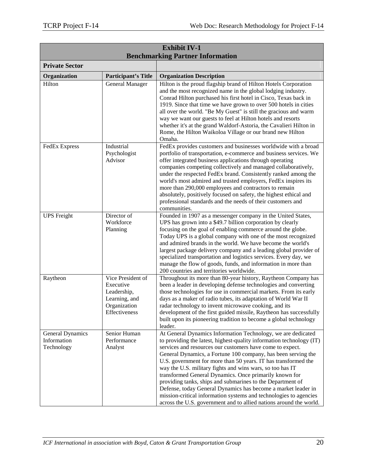| <b>Exhibit IV-1</b><br><b>Benchmarking Partner Information</b> |                                                                                                 |                                                                                                                                                                                                                                                                                                                                                                                                                                                                                                                                                                                                                                                                                                                                       |  |
|----------------------------------------------------------------|-------------------------------------------------------------------------------------------------|---------------------------------------------------------------------------------------------------------------------------------------------------------------------------------------------------------------------------------------------------------------------------------------------------------------------------------------------------------------------------------------------------------------------------------------------------------------------------------------------------------------------------------------------------------------------------------------------------------------------------------------------------------------------------------------------------------------------------------------|--|
| <b>Private Sector</b>                                          |                                                                                                 |                                                                                                                                                                                                                                                                                                                                                                                                                                                                                                                                                                                                                                                                                                                                       |  |
|                                                                |                                                                                                 |                                                                                                                                                                                                                                                                                                                                                                                                                                                                                                                                                                                                                                                                                                                                       |  |
| Organization                                                   | <b>Participant's Title</b>                                                                      | <b>Organization Description</b>                                                                                                                                                                                                                                                                                                                                                                                                                                                                                                                                                                                                                                                                                                       |  |
| Hilton                                                         | General Manager                                                                                 | Hilton is the proud flagship brand of Hilton Hotels Corporation<br>and the most recognized name in the global lodging industry.<br>Conrad Hilton purchased his first hotel in Cisco, Texas back in<br>1919. Since that time we have grown to over 500 hotels in cities<br>all over the world. "Be My Guest" is still the gracious and warm<br>way we want our guests to feel at Hilton hotels and resorts<br>whether it's at the grand Waldorf-Astoria, the Cavalieri Hilton in<br>Rome, the Hilton Waikoloa Village or our brand new Hilton<br>Omaha.                                                                                                                                                                                |  |
| <b>FedEx Express</b>                                           | Industrial<br>Psychologist<br>Advisor                                                           | FedEx provides customers and businesses worldwide with a broad<br>portfolio of transportation, e-commerce and business services. We<br>offer integrated business applications through operating<br>companies competing collectively and managed collaboratively,<br>under the respected FedEx brand. Consistently ranked among the<br>world's most admired and trusted employers, FedEx inspires its<br>more than 290,000 employees and contractors to remain<br>absolutely, positively focused on safety, the highest ethical and<br>professional standards and the needs of their customers and<br>communities.                                                                                                                     |  |
| <b>UPS</b> Freight                                             | Director of<br>Workforce<br>Planning                                                            | Founded in 1907 as a messenger company in the United States,<br>UPS has grown into a \$49.7 billion corporation by clearly<br>focusing on the goal of enabling commerce around the globe.<br>Today UPS is a global company with one of the most recognized<br>and admired brands in the world. We have become the world's<br>largest package delivery company and a leading global provider of<br>specialized transportation and logistics services. Every day, we<br>manage the flow of goods, funds, and information in more than<br>200 countries and territories worldwide.                                                                                                                                                       |  |
| Raytheon                                                       | Vice President of<br>Executive<br>Leadership,<br>Learning, and<br>Organization<br>Effectiveness | Throughout its more than 80-year history, Raytheon Company has<br>been a leader in developing defense technologies and converting<br>those technologies for use in commercial markets. From its early<br>days as a maker of radio tubes, its adaptation of World War II<br>radar technology to invent microwave cooking, and its<br>development of the first guided missile, Raytheon has successfully<br>built upon its pioneering tradition to become a global technology<br>leader.                                                                                                                                                                                                                                                |  |
| General Dynamics<br>Information<br>Technology                  | Senior Human<br>Performance<br>Analyst                                                          | At General Dynamics Information Technology, we are dedicated<br>to providing the latest, highest-quality information technology (IT)<br>services and resources our customers have come to expect.<br>General Dynamics, a Fortune 100 company, has been serving the<br>U.S. government for more than 50 years. IT has transformed the<br>way the U.S. military fights and wins wars, so too has IT<br>transformed General Dynamics. Once primarily known for<br>providing tanks, ships and submarines to the Department of<br>Defense, today General Dynamics has become a market leader in<br>mission-critical information systems and technologies to agencies<br>across the U.S. government and to allied nations around the world. |  |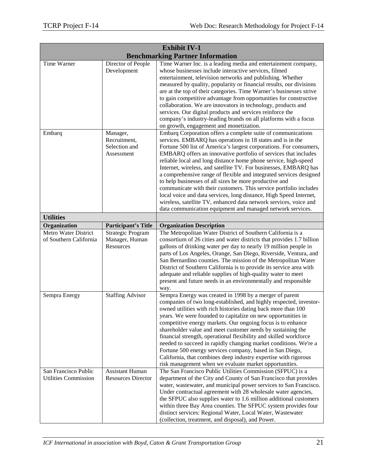| <b>Exhibit IV-1</b>                                 |                                                         |                                                                                                                                                                                                                                                                                                                                                                                                                                                                                                                                                                                                                                                                                                                                                                                                                          |  |
|-----------------------------------------------------|---------------------------------------------------------|--------------------------------------------------------------------------------------------------------------------------------------------------------------------------------------------------------------------------------------------------------------------------------------------------------------------------------------------------------------------------------------------------------------------------------------------------------------------------------------------------------------------------------------------------------------------------------------------------------------------------------------------------------------------------------------------------------------------------------------------------------------------------------------------------------------------------|--|
|                                                     |                                                         | <b>Benchmarking Partner Information</b>                                                                                                                                                                                                                                                                                                                                                                                                                                                                                                                                                                                                                                                                                                                                                                                  |  |
| Time Warner                                         | Director of People<br>Development                       | Time Warner Inc. is a leading media and entertainment company,<br>whose businesses include interactive services, filmed<br>entertainment, television networks and publishing. Whether<br>measured by quality, popularity or financial results, our divisions<br>are at the top of their categories. Time Warner's businesses strive<br>to gain competitive advantage from opportunities for constructive<br>collaboration. We are innovators in technology, products and<br>services. Our digital products and services reinforce the<br>company's industry-leading brands on all platforms with a focus<br>on growth, engagement and monetization.                                                                                                                                                                      |  |
| Embarq                                              | Manager,<br>Recruitment,<br>Selection and<br>Assessment | Embarq Corporation offers a complete suite of communications<br>services. EMBARQ has operations in 18 states and is in the<br>Fortune 500 list of America's largest corporations. For consumers,<br>EMBARQ offers an innovative portfolio of services that includes<br>reliable local and long distance home phone service, high-speed<br>Internet, wireless, and satellite TV. For businesses, EMBARQ has<br>a comprehensive range of flexible and integrated services designed<br>to help businesses of all sizes be more productive and<br>communicate with their customers. This service portfolio includes<br>local voice and data services, long distance, High Speed Internet,<br>wireless, satellite TV, enhanced data network services, voice and<br>data communication equipment and managed network services. |  |
| <b>Utilities</b>                                    |                                                         |                                                                                                                                                                                                                                                                                                                                                                                                                                                                                                                                                                                                                                                                                                                                                                                                                          |  |
| Organization                                        | <b>Participant's Title</b>                              | <b>Organization Description</b>                                                                                                                                                                                                                                                                                                                                                                                                                                                                                                                                                                                                                                                                                                                                                                                          |  |
| Metro Water District<br>of Southern California      | Strategic Program<br>Manager, Human<br>Resources        | The Metropolitan Water District of Southern California is a<br>consortium of 26 cities and water districts that provides 1.7 billion<br>gallons of drinking water per day to nearly 19 million people in<br>parts of Los Angeles, Orange, San Diego, Riverside, Ventura, and<br>San Bernardino counties. The mission of the Metropolitan Water<br>District of Southern California is to provide its service area with<br>adequate and reliable supplies of high-quality water to meet<br>present and future needs in an environmentally and responsible<br>way.                                                                                                                                                                                                                                                          |  |
| Sempra Energy                                       | <b>Staffing Advisor</b>                                 | Sempra Energy was created in 1998 by a merger of parent<br>companies of two long-established, and highly respected, investor-<br>owned utilities with rich histories dating back more than 100<br>years. We were founded to capitalize on new opportunities in<br>competitive energy markets. Our ongoing focus is to enhance<br>shareholder value and meet customer needs by sustaining the<br>financial strength, operational flexibility and skilled workforce<br>needed to succeed in rapidly changing market conditions. We're a<br>Fortune 500 energy services company, based in San Diego,<br>California, that combines deep industry expertise with rigorous<br>risk management when we evaluate market opportunities.                                                                                           |  |
| San Francisco Public<br><b>Utilities Commission</b> | <b>Assistant Human</b><br><b>Resources Director</b>     | The San Francisco Public Utilities Commission (SFPUC) is a<br>department of the City and County of San Francisco that provides<br>water, wastewater, and municipal power services to San Francisco.<br>Under contractual agreement with 28 wholesale water agencies,<br>the SFPUC also supplies water to 1.6 million additional customers<br>within three Bay Area counties. The SFPUC system provides four<br>distinct services: Regional Water, Local Water, Wastewater<br>(collection, treatment, and disposal), and Power.                                                                                                                                                                                                                                                                                           |  |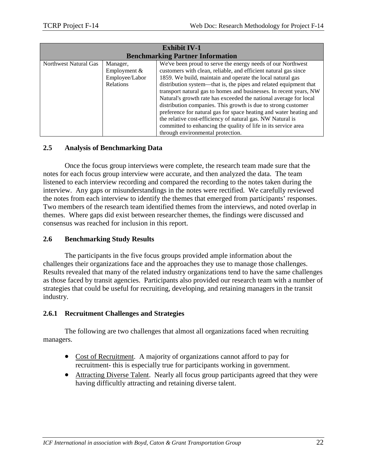| <b>Exhibit IV-1</b>   |                                                                  |                                                                                                                                                                                                                                                                                                                                                                                                                                                                                                                                                                                                                   |  |
|-----------------------|------------------------------------------------------------------|-------------------------------------------------------------------------------------------------------------------------------------------------------------------------------------------------------------------------------------------------------------------------------------------------------------------------------------------------------------------------------------------------------------------------------------------------------------------------------------------------------------------------------------------------------------------------------------------------------------------|--|
|                       |                                                                  | <b>Benchmarking Partner Information</b>                                                                                                                                                                                                                                                                                                                                                                                                                                                                                                                                                                           |  |
| Northwest Natural Gas | Manager,<br>Employment $&$<br>Employee/Labor<br><b>Relations</b> | We've been proud to serve the energy needs of our Northwest<br>customers with clean, reliable, and efficient natural gas since<br>1859. We build, maintain and operate the local natural gas<br>distribution system—that is, the pipes and related equipment that<br>transport natural gas to homes and businesses. In recent years, NW<br>Natural's growth rate has exceeded the national average for local<br>distribution companies. This growth is due to strong customer<br>preference for natural gas for space heating and water heating and<br>the relative cost-efficiency of natural gas. NW Natural is |  |
|                       |                                                                  | committed to enhancing the quality of life in its service area<br>through environmental protection.                                                                                                                                                                                                                                                                                                                                                                                                                                                                                                               |  |

#### <span id="page-23-0"></span>**2.5 Analysis of Benchmarking Data**

Once the focus group interviews were complete, the research team made sure that the notes for each focus group interview were accurate, and then analyzed the data. The team listened to each interview recording and compared the recording to the notes taken during the interview. Any gaps or misunderstandings in the notes were rectified. We carefully reviewed the notes from each interview to identify the themes that emerged from participants' responses. Two members of the research team identified themes from the interviews, and noted overlap in themes. Where gaps did exist between researcher themes, the findings were discussed and consensus was reached for inclusion in this report.

#### **2.6 Benchmarking Study Results**

The participants in the five focus groups provided ample information about the challenges their organizations face and the approaches they use to manage those challenges. Results revealed that many of the related industry organizations tend to have the same challenges as those faced by transit agencies. Participants also provided our research team with a number of strategies that could be useful for recruiting, developing, and retaining managers in the transit industry.

#### **2.6.1 Recruitment Challenges and Strategies**

The following are two challenges that almost all organizations faced when recruiting managers.

- Cost of Recruitment. A majority of organizations cannot afford to pay for recruitment- this is especially true for participants working in government.
- Attracting Diverse Talent. Nearly all focus group participants agreed that they were having difficultly attracting and retaining diverse talent.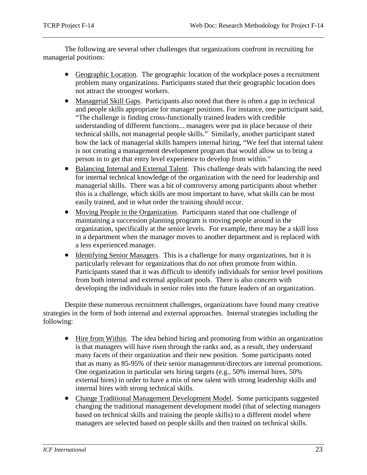The following are several other challenges that organizations confront in recruiting for managerial positions:

- Geographic Location. The geographic location of the workplace poses a recruitment problem many organizations. Participants stated that their geographic location does not attract the strongest workers.
- Managerial Skill Gaps. Participants also noted that there is often a gap in technical and people skills appropriate for manager positions. For instance, one participant said, "The challenge is finding cross-functionally trained leaders with credible understanding of different functions... managers were put in place because of their technical skills, not managerial people skills." Similarly, another participant stated how the lack of managerial skills hampers internal hiring, "We feel that internal talent is not creating a management development program that would allow us to bring a person in to get that entry level experience to develop from within."
- Balancing Internal and External Talent. This challenge deals with balancing the need for internal technical knowledge of the organization with the need for leadership and managerial skills. There was a bit of controversy among participants about whether this is a challenge, which skills are most important to have, what skills can be most easily trained, and in what order the training should occur.
- Moving People in the Organization. Participants stated that one challenge of maintaining a succession planning program is moving people around in the organization, specifically at the senior levels. For example, there may be a skill loss in a department when the manager moves to another department and is replaced with a less experienced manager.
- Identifying Senior Managers. This is a challenge for many organizations, but it is particularly relevant for organizations that do not often promote from within. Participants stated that it was difficult to identify individuals for senior level positions from both internal and external applicant pools. There is also concern with developing the individuals in senior roles into the future leaders of an organization.

Despite these numerous recruitment challenges, organizations have found many creative strategies in the form of both internal and external approaches. Internal strategies including the following:

- Hire from Within. The idea behind hiring and promoting from within an organization is that managers will have risen through the ranks and, as a result, they understand many facets of their organization and their new position. Some participants noted that as many as 85-95% of their senior management/directors are internal promotions. One organization in particular sets hiring targets (e.g., 50% internal hires, 50% external hires) in order to have a mix of new talent with strong leadership skills and internal hires with strong technical skills.
- Change Traditional Management Development Model. Some participants suggested changing the traditional management development model (that of selecting managers based on technical skills and training the people skills) to a different model where managers are selected based on people skills and then trained on technical skills.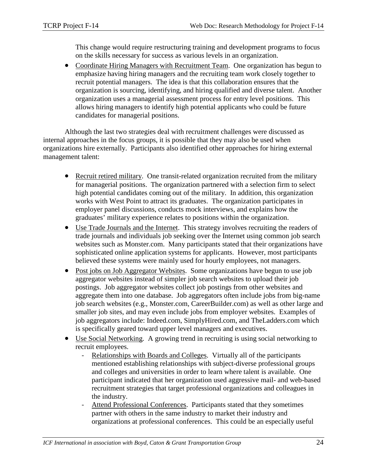This change would require restructuring training and development programs to focus on the skills necessary for success as various levels in an organization.

• Coordinate Hiring Managers with Recruitment Team. One organization has begun to emphasize having hiring managers and the recruiting team work closely together to recruit potential managers. The idea is that this collaboration ensures that the organization is sourcing, identifying, and hiring qualified and diverse talent. Another organization uses a managerial assessment process for entry level positions. This allows hiring managers to identify high potential applicants who could be future candidates for managerial positions.

Although the last two strategies deal with recruitment challenges were discussed as internal approaches in the focus groups, it is possible that they may also be used when organizations hire externally. Participants also identified other approaches for hiring external management talent:

- Recruit retired military. One transit-related organization recruited from the military for managerial positions. The organization partnered with a selection firm to select high potential candidates coming out of the military. In addition, this organization works with West Point to attract its graduates. The organization participates in employer panel discussions, conducts mock interviews, and explains how the graduates' military experience relates to positions within the organization.
- Use Trade Journals and the Internet. This strategy involves recruiting the readers of trade journals and individuals job seeking over the Internet using common job search websites such as Monster.com. Many participants stated that their organizations have sophisticated online application systems for applicants. However, most participants believed these systems were mainly used for hourly employees, not managers.
- Post jobs on Job Aggregator Websites. Some organizations have begun to use job aggregator websites instead of simpler job search websites to upload their job postings. Job aggregator websites collect job postings from other websites and aggregate them into one database. Job aggregators often include jobs from big-name job search websites (e.g., Monster.com, CareerBuilder.com) as well as other large and smaller job sites, and may even include jobs from employer websites. Examples of job aggregators include: Indeed.com, SimplyHired.com, and TheLadders.com which is specifically geared toward upper level managers and executives.
- Use Social Networking. A growing trend in recruiting is using social networking to recruit employees.
	- Relationships with Boards and Colleges. Virtually all of the participants mentioned establishing relationships with subject-diverse professional groups and colleges and universities in order to learn where talent is available. One participant indicated that her organization used aggressive mail- and web-based recruitment strategies that target professional organizations and colleagues in the industry.
	- Attend Professional Conferences. Participants stated that they sometimes partner with others in the same industry to market their industry and organizations at professional conferences. This could be an especially useful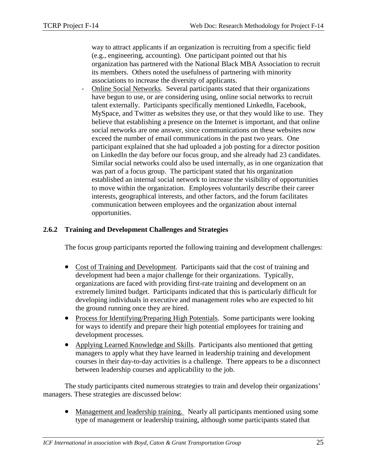way to attract applicants if an organization is recruiting from a specific field (e.g., engineering, accounting). One participant pointed out that his organization has partnered with the National Black MBA Association to recruit its members. Others noted the usefulness of partnering with minority associations to increase the diversity of applicants.

- Online Social Networks. Several participants stated that their organizations have begun to use, or are considering using, online social networks to recruit talent externally. Participants specifically mentioned LinkedIn, Facebook, MySpace, and Twitter as websites they use, or that they would like to use. They believe that establishing a presence on the Internet is important, and that online social networks are one answer, since communications on these websites now exceed the number of email communications in the past two years. One participant explained that she had uploaded a job posting for a director position on LinkedIn the day before our focus group, and she already had 23 candidates. Similar social networks could also be used internally, as in one organization that was part of a focus group. The participant stated that his organization established an internal social network to increase the visibility of opportunities to move within the organization. Employees voluntarily describe their career interests, geographical interests, and other factors, and the forum facilitates communication between employees and the organization about internal opportunities.

#### <span id="page-26-0"></span>**2.6.2 Training and Development Challenges and Strategies**

The focus group participants reported the following training and development challenges:

- Cost of Training and Development. Participants said that the cost of training and development had been a major challenge for their organizations. Typically, organizations are faced with providing first-rate training and development on an extremely limited budget. Participants indicated that this is particularly difficult for developing individuals in executive and management roles who are expected to hit the ground running once they are hired.
- Process for Identifying/Preparing High Potentials. Some participants were looking for ways to identify and prepare their high potential employees for training and development processes.
- Applying Learned Knowledge and Skills. Participants also mentioned that getting managers to apply what they have learned in leadership training and development courses in their day-to-day activities is a challenge. There appears to be a disconnect between leadership courses and applicability to the job.

The study participants cited numerous strategies to train and develop their organizations' managers. These strategies are discussed below:

• Management and leadership training. Nearly all participants mentioned using some type of management or leadership training, although some participants stated that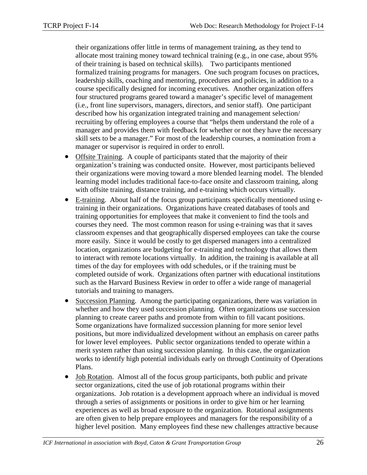their organizations offer little in terms of management training, as they tend to allocate most training money toward technical training (e.g., in one case, about 95% of their training is based on technical skills). Two participants mentioned formalized training programs for managers. One such program focuses on practices, leadership skills, coaching and mentoring, procedures and policies, in addition to a course specifically designed for incoming executives. Another organization offers four structured programs geared toward a manager's specific level of management (i.e., front line supervisors, managers, directors, and senior staff). One participant described how his organization integrated training and management selection/ recruiting by offering employees a course that "helps them understand the role of a manager and provides them with feedback for whether or not they have the necessary skill sets to be a manager." For most of the leadership courses, a nomination from a manager or supervisor is required in order to enroll.

- Offsite Training. A couple of participants stated that the majority of their organization's training was conducted onsite. However, most participants believed their organizations were moving toward a more blended learning model. The blended learning model includes traditional face-to-face onsite and classroom training, along with offsite training, distance training, and e-training which occurs virtually.
- E-training. About half of the focus group participants specifically mentioned using etraining in their organizations. Organizations have created databases of tools and training opportunities for employees that make it convenient to find the tools and courses they need. The most common reason for using e-training was that it saves classroom expenses and that geographically dispersed employees can take the course more easily. Since it would be costly to get dispersed managers into a centralized location, organizations are budgeting for e-training and technology that allows them to interact with remote locations virtually. In addition, the training is available at all times of the day for employees with odd schedules, or if the training must be completed outside of work. Organizations often partner with educational institutions such as the Harvard Business Review in order to offer a wide range of managerial tutorials and training to managers.
- Succession Planning. Among the participating organizations, there was variation in whether and how they used succession planning. Often organizations use succession planning to create career paths and promote from within to fill vacant positions. Some organizations have formalized succession planning for more senior level positions, but more individualized development without an emphasis on career paths for lower level employees. Public sector organizations tended to operate within a merit system rather than using succession planning. In this case, the organization works to identify high potential individuals early on through Continuity of Operations Plans.
- Job Rotation. Almost all of the focus group participants, both public and private sector organizations, cited the use of job rotational programs within their organizations. Job rotation is a development approach where an individual is moved through a series of assignments or positions in order to give him or her learning experiences as well as broad exposure to the organization. Rotational assignments are often given to help prepare employees and managers for the responsibility of a higher level position. Many employees find these new challenges attractive because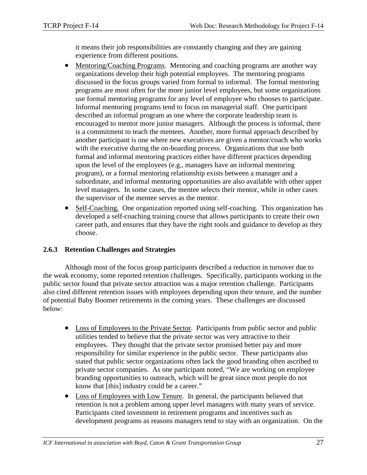it means their job responsibilities are constantly changing and they are gaining experience from different positions.

- Mentoring/Coaching Programs. Mentoring and coaching programs are another way organizations develop their high potential employees. The mentoring programs discussed in the focus groups varied from formal to informal. The formal mentoring programs are most often for the more junior level employees, but some organizations use formal mentoring programs for any level of employee who chooses to participate. Informal mentoring programs tend to focus on managerial staff. One participant described an informal program as one where the corporate leadership team is encouraged to mentor more junior managers. Although the process is informal, there is a commitment to teach the mentees. Another, more formal approach described by another participant is one where new executives are given a mentor/coach who works with the executive during the on-boarding process. Organizations that use both formal and informal mentoring practices either have different practices depending upon the level of the employees (e.g., managers have an informal mentoring program), or a formal mentoring relationship exists between a manager and a subordinate, and informal mentoring opportunities are also available with other upper level managers. In some cases, the mentee selects their mentor, while in other cases the supervisor of the mentee serves as the mentor.
- Self-Coaching. One organization reported using self-coaching. This organization has developed a self-coaching training course that allows participants to create their own career path, and ensures that they have the right tools and guidance to develop as they choose.

#### <span id="page-28-0"></span>**2.6.3 Retention Challenges and Strategies**

Although most of the focus group participants described a reduction in turnover due to the weak economy, some reported retention challenges. Specifically, participants working in the public sector found that private sector attraction was a major retention challenge. Participants also cited different retention issues with employees depending upon their tenure, and the number of potential Baby Boomer retirements in the coming years. These challenges are discussed below:

- Loss of Employees to the Private Sector. Participants from public sector and public utilities tended to believe that the private sector was very attractive to their employees. They thought that the private sector promised better pay and more responsibility for similar experience in the public sector. These participants also stated that public sector organizations often lack the good branding often ascribed to private sector companies. As one participant noted, "We are working on employee branding opportunities to outreach, which will be great since most people do not know that [this] industry could be a career."
- Loss of Employees with Low Tenure. In general, the participants believed that retention is not a problem among upper level managers with many years of service. Participants cited investment in retirement programs and incentives such as development programs as reasons managers tend to stay with an organization. On the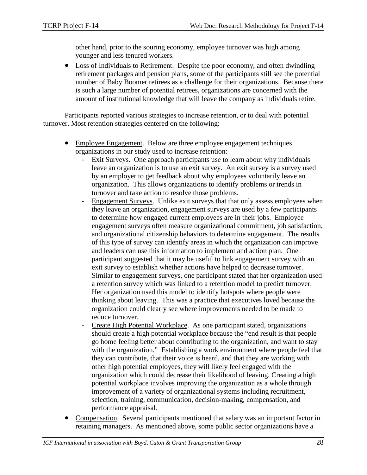other hand, prior to the souring economy, employee turnover was high among younger and less tenured workers.

• Loss of Individuals to Retirement. Despite the poor economy, and often dwindling retirement packages and pension plans, some of the participants still see the potential number of Baby Boomer retirees as a challenge for their organizations. Because there is such a large number of potential retirees, organizations are concerned with the amount of institutional knowledge that will leave the company as individuals retire.

Participants reported various strategies to increase retention, or to deal with potential turnover. Most retention strategies centered on the following:

- Employee Engagement. Below are three employee engagement techniques organizations in our study used to increase retention:
	- Exit Surveys. One approach participants use to learn about why individuals leave an organization is to use an exit survey. An exit survey is a survey used by an employer to get feedback about why employees voluntarily leave an organization. This allows organizations to identify problems or trends in turnover and take action to resolve those problems.
	- Engagement Surveys. Unlike exit surveys that that only assess employees when they leave an organization, engagement surveys are used by a few participants to determine how engaged current employees are in their jobs. Employee engagement surveys often measure organizational commitment, job satisfaction, and organizational citizenship behaviors to determine engagement. The results of this type of survey can identify areas in which the organization can improve and leaders can use this information to implement and action plan. One participant suggested that it may be useful to link engagement survey with an exit survey to establish whether actions have helped to decrease turnover. Similar to engagement surveys, one participant stated that her organization used a retention survey which was linked to a retention model to predict turnover. Her organization used this model to identify hotspots where people were thinking about leaving. This was a practice that executives loved because the organization could clearly see where improvements needed to be made to reduce turnover.
	- Create High Potential Workplace. As one participant stated, organizations should create a high potential workplace because the "end result is that people go home feeling better about contributing to the organization, and want to stay with the organization." Establishing a work environment where people feel that they can contribute, that their voice is heard, and that they are working with other high potential employees, they will likely feel engaged with the organization which could decrease their likelihood of leaving. Creating a high potential workplace involves improving the organization as a whole through improvement of a variety of organizational systems including recruitment, selection, training, communication, decision-making, compensation, and performance appraisal.
- Compensation. Several participants mentioned that salary was an important factor in retaining managers. As mentioned above, some public sector organizations have a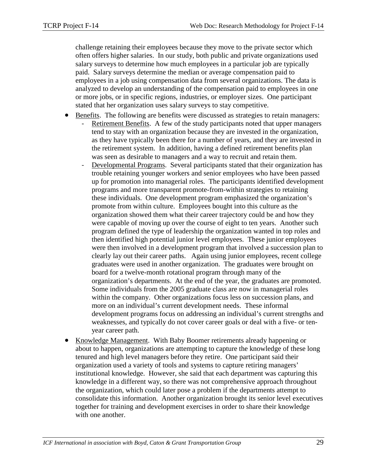challenge retaining their employees because they move to the private sector which often offers higher salaries. In our study, both public and private organizations used salary surveys to determine how much employees in a particular job are typically paid. Salary surveys determine the median or average compensation paid to employees in a job using compensation data from several organizations. The data is analyzed to develop an understanding of the compensation paid to employees in one or more jobs, or in specific regions, industries, or employer sizes. One participant stated that her organization uses salary surveys to stay competitive.

- Benefits. The following are benefits were discussed as strategies to retain managers:
	- Retirement Benefits. A few of the study participants noted that upper managers tend to stay with an organization because they are invested in the organization, as they have typically been there for a number of years, and they are invested in the retirement system. In addition, having a defined retirement benefits plan was seen as desirable to managers and a way to recruit and retain them.
	- Developmental Programs. Several participants stated that their organization has trouble retaining younger workers and senior employees who have been passed up for promotion into managerial roles. The participants identified development programs and more transparent promote-from-within strategies to retaining these individuals. One development program emphasized the organization's promote from within culture. Employees bought into this culture as the organization showed them what their career trajectory could be and how they were capable of moving up over the course of eight to ten years. Another such program defined the type of leadership the organization wanted in top roles and then identified high potential junior level employees. These junior employees were then involved in a development program that involved a succession plan to clearly lay out their career paths. Again using junior employees, recent college graduates were used in another organization. The graduates were brought on board for a twelve-month rotational program through many of the organization's departments. At the end of the year, the graduates are promoted. Some individuals from the 2005 graduate class are now in managerial roles within the company. Other organizations focus less on succession plans, and more on an individual's current development needs. These informal development programs focus on addressing an individual's current strengths and weaknesses, and typically do not cover career goals or deal with a five- or tenyear career path.
- Knowledge Management. With Baby Boomer retirements already happening or about to happen, organizations are attempting to capture the knowledge of these long tenured and high level managers before they retire. One participant said their organization used a variety of tools and systems to capture retiring managers' institutional knowledge. However, she said that each department was capturing this knowledge in a different way, so there was not comprehensive approach throughout the organization, which could later pose a problem if the departments attempt to consolidate this information. Another organization brought its senior level executives together for training and development exercises in order to share their knowledge with one another.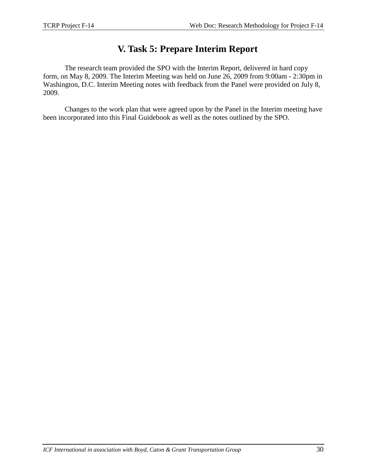# **V. Task 5: Prepare Interim Report**

The research team provided the SPO with the Interim Report, delivered in hard copy form, on May 8, 2009. The Interim Meeting was held on June 26, 2009 from 9:00am - 2:30pm in Washington, D.C. Interim Meeting notes with feedback from the Panel were provided on July 8, 2009.

Changes to the work plan that were agreed upon by the Panel in the Interim meeting have been incorporated into this Final Guidebook as well as the notes outlined by the SPO.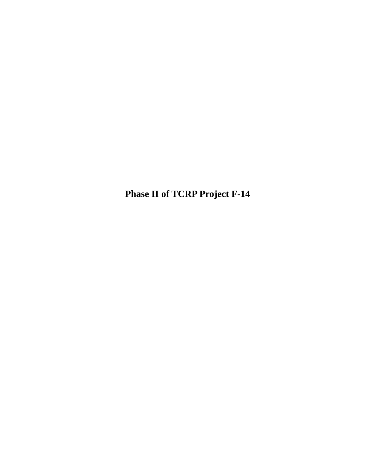**Phase II of TCRP Project F-14**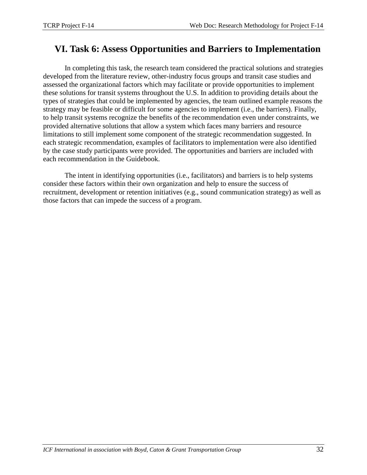# **VI. Task 6: Assess Opportunities and Barriers to Implementation**

In completing this task, the research team considered the practical solutions and strategies developed from the literature review, other-industry focus groups and transit case studies and assessed the organizational factors which may facilitate or provide opportunities to implement these solutions for transit systems throughout the U.S. In addition to providing details about the types of strategies that could be implemented by agencies, the team outlined example reasons the strategy may be feasible or difficult for some agencies to implement (i.e., the barriers). Finally, to help transit systems recognize the benefits of the recommendation even under constraints, we provided alternative solutions that allow a system which faces many barriers and resource limitations to still implement some component of the strategic recommendation suggested. In each strategic recommendation, examples of facilitators to implementation were also identified by the case study participants were provided. The opportunities and barriers are included with each recommendation in the Guidebook.

The intent in identifying opportunities (i.e., facilitators) and barriers is to help systems consider these factors within their own organization and help to ensure the success of recruitment, development or retention initiatives (e.g., sound communication strategy) as well as those factors that can impede the success of a program.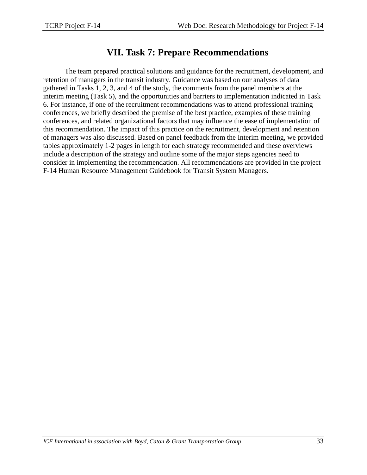## **VII. Task 7: Prepare Recommendations**

The team prepared practical solutions and guidance for the recruitment, development, and retention of managers in the transit industry. Guidance was based on our analyses of data gathered in Tasks 1, 2, 3, and 4 of the study, the comments from the panel members at the interim meeting (Task 5), and the opportunities and barriers to implementation indicated in Task 6. For instance, if one of the recruitment recommendations was to attend professional training conferences, we briefly described the premise of the best practice, examples of these training conferences, and related organizational factors that may influence the ease of implementation of this recommendation. The impact of this practice on the recruitment, development and retention of managers was also discussed. Based on panel feedback from the Interim meeting, we provided tables approximately 1-2 pages in length for each strategy recommended and these overviews include a description of the strategy and outline some of the major steps agencies need to consider in implementing the recommendation. All recommendations are provided in the project F-14 Human Resource Management Guidebook for Transit System Managers.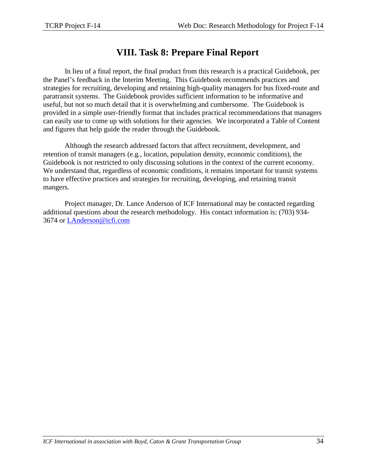## **VIII. Task 8: Prepare Final Report**

In lieu of a final report, the final product from this research is a practical Guidebook, per the Panel's feedback in the Interim Meeting. This Guidebook recommends practices and strategies for recruiting, developing and retaining high-quality managers for bus fixed-route and paratransit systems. The Guidebook provides sufficient information to be informative and useful, but not so much detail that it is overwhelming and cumbersome. The Guidebook is provided in a simple user-friendly format that includes practical recommendations that managers can easily use to come up with solutions for their agencies. We incorporated a Table of Content and figures that help guide the reader through the Guidebook.

Although the research addressed factors that affect recruitment, development, and retention of transit managers (e.g., location, population density, economic conditions), the Guidebook is not restricted to only discussing solutions in the context of the current economy. We understand that, regardless of economic conditions, it remains important for transit systems to have effective practices and strategies for recruiting, developing, and retaining transit mangers.

Project manager, Dr. Lance Anderson of ICF International may be contacted regarding additional questions about the research methodology. His contact information is: (703) 934- 3674 or [LAnderson@icfi.com](mailto:LAnderson@icfi.com)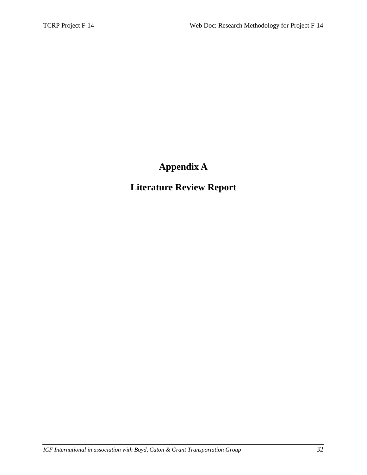# **Appendix A**

# **Literature Review Report**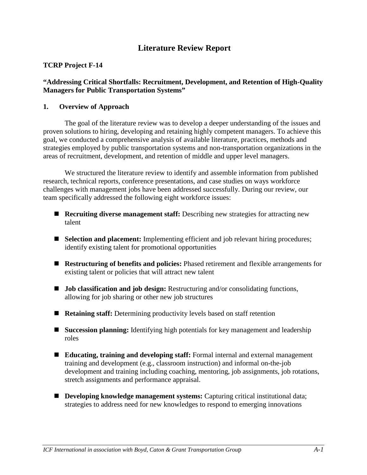# **Literature Review Report**

# **TCRP Project F-14**

# **"Addressing Critical Shortfalls: Recruitment, Development, and Retention of High-Quality Managers for Public Transportation Systems"**

# **1. Overview of Approach**

The goal of the literature review was to develop a deeper understanding of the issues and proven solutions to hiring, developing and retaining highly competent managers. To achieve this goal, we conducted a comprehensive analysis of available literature, practices, methods and strategies employed by public transportation systems and non-transportation organizations in the areas of recruitment, development, and retention of middle and upper level managers.

We structured the literature review to identify and assemble information from published research, technical reports, conference presentations, and case studies on ways workforce challenges with management jobs have been addressed successfully. During our review, our team specifically addressed the following eight workforce issues:

- **Recruiting diverse management staff:** Describing new strategies for attracting new talent
- **Selection and placement:** Implementing efficient and job relevant hiring procedures; identify existing talent for promotional opportunities
- **Restructuring of benefits and policies:** Phased retirement and flexible arrangements for existing talent or policies that will attract new talent
- **Job classification and job design:** Restructuring and/or consolidating functions, allowing for job sharing or other new job structures
- **Retaining staff:** Determining productivity levels based on staff retention
- **Succession planning:** Identifying high potentials for key management and leadership roles
- **Educating, training and developing staff:** Formal internal and external management training and development (e.g., classroom instruction) and informal on-the-job development and training including coaching, mentoring, job assignments, job rotations, stretch assignments and performance appraisal.
- **Developing knowledge management systems:** Capturing critical institutional data; strategies to address need for new knowledges to respond to emerging innovations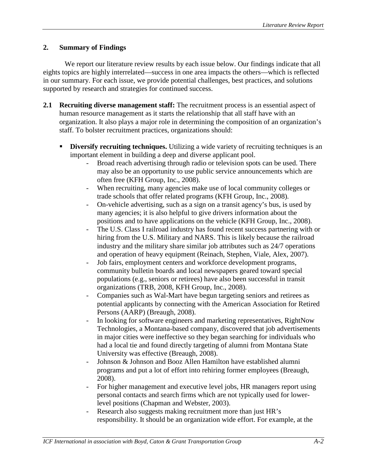# **2. Summary of Findings**

We report our literature review results by each issue below. Our findings indicate that all eights topics are highly interrelated—success in one area impacts the others—which is reflected in our summary. For each issue, we provide potential challenges, best practices, and solutions supported by research and strategies for continued success.

- **2.1 Recruiting diverse management staff:** The recruitment process is an essential aspect of human resource management as it starts the relationship that all staff have with an organization. It also plays a major role in determining the composition of an organization's staff. To bolster recruitment practices, organizations should:
	- **Diversify recruiting techniques.** Utilizing a wide variety of recruiting techniques is an important element in building a deep and diverse applicant pool.
		- Broad reach advertising through radio or television spots can be used. There may also be an opportunity to use public service announcements which are often free (KFH Group, Inc., 2008).
		- When recruiting, many agencies make use of local community colleges or trade schools that offer related programs (KFH Group, Inc., 2008).
		- On-vehicle advertising, such as a sign on a transit agency's bus, is used by many agencies; it is also helpful to give drivers information about the positions and to have applications on the vehicle (KFH Group, Inc., 2008).
		- The U.S. Class I railroad industry has found recent success partnering with or hiring from the U.S. Military and NARS. This is likely because the railroad industry and the military share similar job attributes such as 24/7 operations and operation of heavy equipment (Reinach, Stephen, Viale, Alex, 2007).
		- Job fairs, employment centers and workforce development programs, community bulletin boards and local newspapers geared toward special populations (e.g., seniors or retirees) have also been successful in transit organizations (TRB, 2008, KFH Group, Inc., 2008).
		- Companies such as Wal-Mart have begun targeting seniors and retirees as potential applicants by connecting with the American Association for Retired Persons (AARP) (Breaugh, 2008).
		- In looking for software engineers and marketing representatives, RightNow Technologies, a Montana-based company, discovered that job advertisements in major cities were ineffective so they began searching for individuals who had a local tie and found directly targeting of alumni from Montana State University was effective (Breaugh, 2008).
		- Johnson & Johnson and Booz Allen Hamilton have established alumni programs and put a lot of effort into rehiring former employees (Breaugh, 2008).
		- For higher management and executive level jobs, HR managers report using personal contacts and search firms which are not typically used for lowerlevel positions (Chapman and Webster, 2003).
		- Research also suggests making recruitment more than just HR's responsibility. It should be an organization wide effort. For example, at the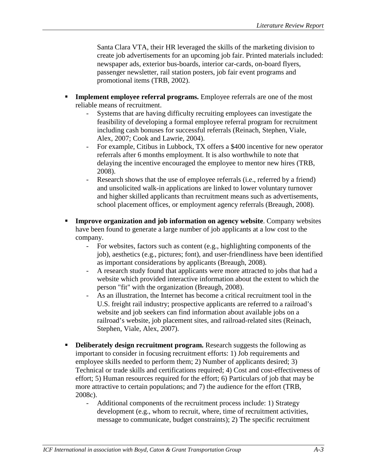Santa Clara VTA, their HR leveraged the skills of the marketing division to create job advertisements for an upcoming job fair. Printed materials included: newspaper ads, exterior bus-boards, interior car-cards, on-board flyers, passenger newsletter, rail station posters, job fair event programs and promotional items (TRB, 2002).

- **Implement employee referral programs.** Employee referrals are one of the most reliable means of recruitment.
	- Systems that are having difficulty recruiting employees can investigate the feasibility of developing a formal employee referral program for recruitment including cash bonuses for successful referrals (Reinach, Stephen, Viale, Alex, 2007; Cook and Lawrie, 2004).
	- For example, Citibus in Lubbock, TX offers a \$400 incentive for new operator referrals after 6 months employment. It is also worthwhile to note that delaying the incentive encouraged the employee to mentor new hires (TRB, 2008).
	- Research shows that the use of employee referrals (i.e., referred by a friend) and unsolicited walk-in applications are linked to lower voluntary turnover and higher skilled applicants than recruitment means such as advertisements, school placement offices, or employment agency referrals (Breaugh, 2008).
- **Improve organization and job information on agency website**. Company websites have been found to generate a large number of job applicants at a low cost to the company.
	- For websites, factors such as content (e.g., highlighting components of the job), aesthetics (e.g., pictures; font), and user-friendliness have been identified as important considerations by applicants (Breaugh, 2008).
	- A research study found that applicants were more attracted to jobs that had a website which provided interactive information about the extent to which the person "fit" with the organization (Breaugh, 2008).
	- As an illustration, the Internet has become a critical recruitment tool in the U.S. freight rail industry; prospective applicants are referred to a railroad's website and job seekers can find information about available jobs on a railroad's website, job placement sites, and railroad-related sites (Reinach, Stephen, Viale, Alex, 2007).
- **Deliberately design recruitment program.** Research suggests the following as important to consider in focusing recruitment efforts: 1) Job requirements and employee skills needed to perform them; 2) Number of applicants desired; 3) Technical or trade skills and certifications required; 4) Cost and cost-effectiveness of effort; 5) Human resources required for the effort; 6) Particulars of job that may be more attractive to certain populations; and 7) the audience for the effort (TRB, 2008c).
	- Additional components of the recruitment process include: 1) Strategy development (e.g., whom to recruit, where, time of recruitment activities, message to communicate, budget constraints); 2) The specific recruitment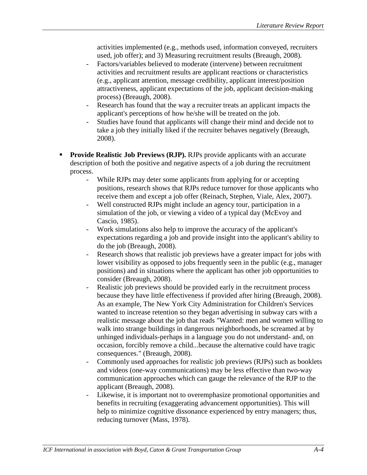activities implemented (e.g., methods used, information conveyed, recruiters used, job offer); and 3) Measuring recruitment results (Breaugh, 2008).

- Factors/variables believed to moderate (intervene) between recruitment activities and recruitment results are applicant reactions or characteristics (e.g., applicant attention, message credibility, applicant interest/position attractiveness, applicant expectations of the job, applicant decision-making process) (Breaugh, 2008).
- Research has found that the way a recruiter treats an applicant impacts the applicant's perceptions of how he/she will be treated on the job.
- Studies have found that applicants will change their mind and decide not to take a job they initially liked if the recruiter behaves negatively (Breaugh, 2008).
- **Provide Realistic Job Previews (RJP).** RJPs provide applicants with an accurate description of both the positive and negative aspects of a job during the recruitment process.
	- While RJPs may deter some applicants from applying for or accepting positions, research shows that RJPs reduce turnover for those applicants who receive them and except a job offer (Reinach, Stephen, Viale, Alex, 2007).
	- Well constructed RJPs might include an agency tour, participation in a simulation of the job, or viewing a video of a typical day (McEvoy and Cascio, 1985).
	- Work simulations also help to improve the accuracy of the applicant's expectations regarding a job and provide insight into the applicant's ability to do the job (Breaugh, 2008).
	- Research shows that realistic job previews have a greater impact for jobs with lower visibility as opposed to jobs frequently seen in the public (e.g., manager positions) and in situations where the applicant has other job opportunities to consider (Breaugh, 2008).
	- Realistic job previews should be provided early in the recruitment process because they have little effectiveness if provided after hiring (Breaugh, 2008). As an example, The New York City Administration for Children's Services wanted to increase retention so they began advertising in subway cars with a realistic message about the job that reads "Wanted: men and women willing to walk into strange buildings in dangerous neighborhoods, be screamed at by unhinged individuals-perhaps in a language you do not understand- and, on occasion, forcibly remove a child...because the alternative could have tragic consequences." (Breaugh, 2008).
	- Commonly used approaches for realistic job previews (RJPs) such as booklets and videos (one-way communications) may be less effective than two-way communication approaches which can gauge the relevance of the RJP to the applicant (Breaugh, 2008).
	- Likewise, it is important not to overemphasize promotional opportunities and benefits in recruiting (exaggerating advancement opportunities). This will help to minimize cognitive dissonance experienced by entry managers; thus, reducing turnover (Mass, 1978).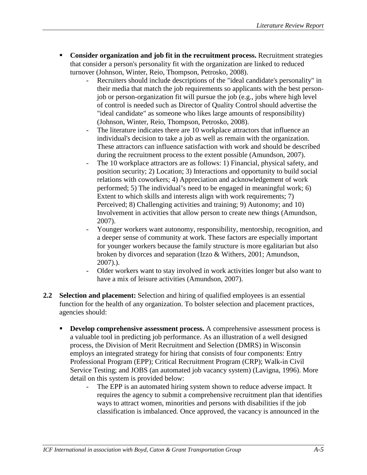- **Consider organization and job fit in the recruitment process.** Recruitment strategies that consider a person's personality fit with the organization are linked to reduced turnover (Johnson, Winter, Reio, Thompson, Petrosko, 2008).
	- Recruiters should include descriptions of the "ideal candidate's personality" in their media that match the job requirements so applicants with the best personjob or person-organization fit will pursue the job (e.g., jobs where high level of control is needed such as Director of Quality Control should advertise the "ideal candidate" as someone who likes large amounts of responsibility) (Johnson, Winter, Reio, Thompson, Petrosko, 2008).
	- The literature indicates there are 10 workplace attractors that influence an individual's decision to take a job as well as remain with the organization. These attractors can influence satisfaction with work and should be described during the recruitment process to the extent possible (Amundson, 2007).
	- The 10 workplace attractors are as follows: 1) Financial, physical safety, and position security; 2) Location; 3) Interactions and opportunity to build social relations with coworkers; 4) Appreciation and acknowledgement of work performed; 5) The individual's need to be engaged in meaningful work; 6) Extent to which skills and interests align with work requirements; 7) Perceived; 8) Challenging activities and training; 9) Autonomy; and 10) Involvement in activities that allow person to create new things (Amundson, 2007).
	- Younger workers want autonomy, responsibility, mentorship, recognition, and a deeper sense of community at work. These factors are especially important for younger workers because the family structure is more egalitarian but also broken by divorces and separation (Izzo & Withers, 2001; Amundson, 2007).).
	- Older workers want to stay involved in work activities longer but also want to have a mix of leisure activities (Amundson, 2007).
- **2.2 Selection and placement:** Selection and hiring of qualified employees is an essential function for the health of any organization. To bolster selection and placement practices, agencies should:
	- **Develop comprehensive assessment process.** A comprehensive assessment process is a valuable tool in predicting job performance. As an illustration of a well designed process, the Division of Merit Recruitment and Selection (DMRS) in Wisconsin employs an integrated strategy for hiring that consists of four components: Entry Professional Program (EPP); Critical Recruitment Program (CRP); Walk-in Civil Service Testing; and JOBS (an automated job vacancy system) (Lavigna, 1996). More detail on this system is provided below:
		- The EPP is an automated hiring system shown to reduce adverse impact. It requires the agency to submit a comprehensive recruitment plan that identifies ways to attract women, minorities and persons with disabilities if the job classification is imbalanced. Once approved, the vacancy is announced in the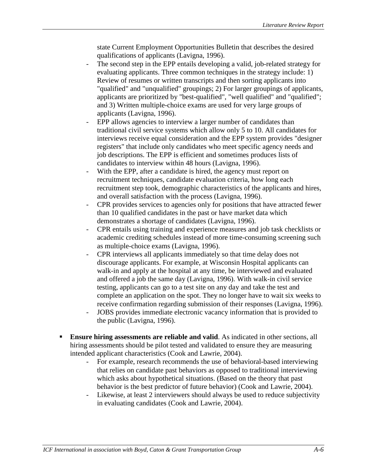state Current Employment Opportunities Bulletin that describes the desired qualifications of applicants (Lavigna, 1996).

- The second step in the EPP entails developing a valid, job-related strategy for evaluating applicants. Three common techniques in the strategy include: 1) Review of resumes or written transcripts and then sorting applicants into "qualified" and "unqualified" groupings; 2) For larger groupings of applicants, applicants are prioritized by "best-qualified", "well qualified" and "qualified"; and 3) Written multiple-choice exams are used for very large groups of applicants (Lavigna, 1996).
- EPP allows agencies to interview a larger number of candidates than traditional civil service systems which allow only 5 to 10. All candidates for interviews receive equal consideration and the EPP system provides "designer registers" that include only candidates who meet specific agency needs and job descriptions. The EPP is efficient and sometimes produces lists of candidates to interview within 48 hours (Lavigna, 1996).
- With the EPP, after a candidate is hired, the agency must report on recruitment techniques, candidate evaluation criteria, how long each recruitment step took, demographic characteristics of the applicants and hires, and overall satisfaction with the process (Lavigna, 1996).
- CPR provides services to agencies only for positions that have attracted fewer than 10 qualified candidates in the past or have market data which demonstrates a shortage of candidates (Lavigna, 1996).
- CPR entails using training and experience measures and job task checklists or academic crediting schedules instead of more time-consuming screening such as multiple-choice exams (Lavigna, 1996).
- CPR interviews all applicants immediately so that time delay does not discourage applicants. For example, at Wisconsin Hospital applicants can walk-in and apply at the hospital at any time, be interviewed and evaluated and offered a job the same day (Lavigna, 1996). With walk-in civil service testing, applicants can go to a test site on any day and take the test and complete an application on the spot. They no longer have to wait six weeks to receive confirmation regarding submission of their responses (Lavigna, 1996).
- JOBS provides immediate electronic vacancy information that is provided to the public (Lavigna, 1996).
- **Ensure hiring assessments are reliable and valid**. As indicated in other sections, all hiring assessments should be pilot tested and validated to ensure they are measuring intended applicant characteristics (Cook and Lawrie, 2004).
	- For example, research recommends the use of behavioral-based interviewing that relies on candidate past behaviors as opposed to traditional interviewing which asks about hypothetical situations. (Based on the theory that past behavior is the best predictor of future behavior) (Cook and Lawrie, 2004).
	- Likewise, at least 2 interviewers should always be used to reduce subjectivity in evaluating candidates (Cook and Lawrie, 2004).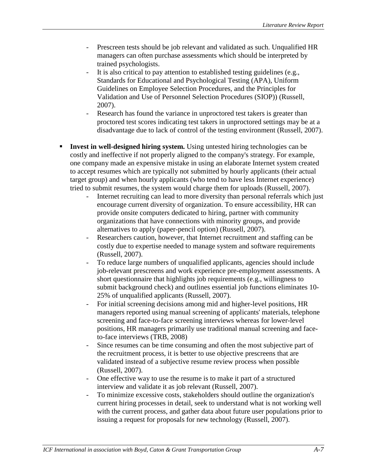- Prescreen tests should be job relevant and validated as such. Unqualified HR managers can often purchase assessments which should be interpreted by trained psychologists.
- It is also critical to pay attention to established testing guidelines (e.g., Standards for Educational and Psychological Testing (APA), Uniform Guidelines on Employee Selection Procedures, and the Principles for Validation and Use of Personnel Selection Procedures (SIOP)) (Russell, 2007).
- Research has found the variance in unproctored test takers is greater than proctored test scores indicating test takers in unproctored settings may be at a disadvantage due to lack of control of the testing environment (Russell, 2007).
- **Invest in well-designed hiring system.** Using untested hiring technologies can be costly and ineffective if not properly aligned to the company's strategy. For example, one company made an expensive mistake in using an elaborate Internet system created to accept resumes which are typically not submitted by hourly applicants (their actual target group) and when hourly applicants (who tend to have less Internet experience) tried to submit resumes, the system would charge them for uploads (Russell, 2007).
	- Internet recruiting can lead to more diversity than personal referrals which just encourage current diversity of organization. To ensure accessibility, HR can provide onsite computers dedicated to hiring, partner with community organizations that have connections with minority groups, and provide alternatives to apply (paper-pencil option) (Russell, 2007).
	- Researchers caution, however, that Internet recruitment and staffing can be costly due to expertise needed to manage system and software requirements (Russell, 2007).
	- To reduce large numbers of unqualified applicants, agencies should include job-relevant prescreens and work experience pre-employment assessments. A short questionnaire that highlights job requirements (e.g., willingness to submit background check) and outlines essential job functions eliminates 10- 25% of unqualified applicants (Russell, 2007).
	- For initial screening decisions among mid and higher-level positions, HR managers reported using manual screening of applicants' materials, telephone screening and face-to-face screening interviews whereas for lower-level positions, HR managers primarily use traditional manual screening and faceto-face interviews (TRB, 2008)
	- Since resumes can be time consuming and often the most subjective part of the recruitment process, it is better to use objective prescreens that are validated instead of a subjective resume review process when possible (Russell, 2007).
	- One effective way to use the resume is to make it part of a structured interview and validate it as job relevant (Russell, 2007).
	- To minimize excessive costs, stakeholders should outline the organization's current hiring processes in detail, seek to understand what is not working well with the current process, and gather data about future user populations prior to issuing a request for proposals for new technology (Russell, 2007).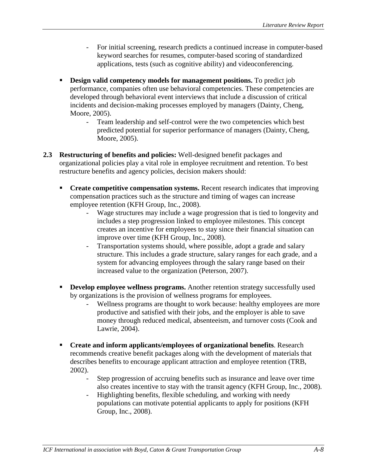- For initial screening, research predicts a continued increase in computer-based keyword searches for resumes, computer-based scoring of standardized applications, tests (such as cognitive ability) and videoconferencing.
- **Design valid competency models for management positions.** To predict job performance, companies often use behavioral competencies. These competencies are developed through behavioral event interviews that include a discussion of critical incidents and decision-making processes employed by managers (Dainty, Cheng, Moore, 2005).
	- Team leadership and self-control were the two competencies which best predicted potential for superior performance of managers (Dainty, Cheng, Moore, 2005).
- **2.3 Restructuring of benefits and policies:** Well-designed benefit packages and organizational policies play a vital role in employee recruitment and retention. To best restructure benefits and agency policies, decision makers should:
	- **Create competitive compensation systems.** Recent research indicates that improving compensation practices such as the structure and timing of wages can increase employee retention (KFH Group, Inc., 2008).
		- Wage structures may include a wage progression that is tied to longevity and includes a step progression linked to employee milestones. This concept creates an incentive for employees to stay since their financial situation can improve over time (KFH Group, Inc., 2008).
		- Transportation systems should, where possible, adopt a grade and salary structure. This includes a grade structure, salary ranges for each grade, and a system for advancing employees through the salary range based on their increased value to the organization (Peterson, 2007).
	- **Develop employee wellness programs.** Another retention strategy successfully used by organizations is the provision of wellness programs for employees.
		- Wellness programs are thought to work because: healthy employees are more productive and satisfied with their jobs, and the employer is able to save money through reduced medical, absenteeism, and turnover costs (Cook and Lawrie, 2004).
	- **Create and inform applicants/employees of organizational benefits**. Research recommends creative benefit packages along with the development of materials that describes benefits to encourage applicant attraction and employee retention (TRB, 2002).
		- Step progression of accruing benefits such as insurance and leave over time also creates incentive to stay with the transit agency (KFH Group, Inc., 2008).
		- Highlighting benefits, flexible scheduling, and working with needy populations can motivate potential applicants to apply for positions (KFH Group, Inc., 2008).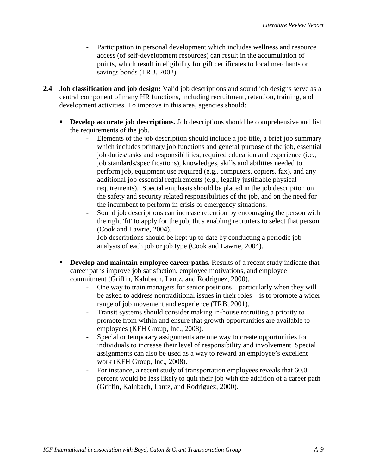- Participation in personal development which includes wellness and resource access (of self-development resources) can result in the accumulation of points, which result in eligibility for gift certificates to local merchants or savings bonds (TRB, 2002).
- **2.4 Job classification and job design:** Valid job descriptions and sound job designs serve as a central component of many HR functions, including recruitment, retention, training, and development activities. To improve in this area, agencies should:
	- **Develop accurate job descriptions.** Job descriptions should be comprehensive and list the requirements of the job.
		- Elements of the job description should include a job title, a brief job summary which includes primary job functions and general purpose of the job, essential job duties/tasks and responsibilities, required education and experience (i.e., job standards/specifications), knowledges, skills and abilities needed to perform job, equipment use required (e.g., computers, copiers, fax), and any additional job essential requirements (e.g., legally justifiable physical requirements). Special emphasis should be placed in the job description on the safety and security related responsibilities of the job, and on the need for the incumbent to perform in crisis or emergency situations.
		- Sound job descriptions can increase retention by encouraging the person with the right 'fit' to apply for the job, thus enabling recruiters to select that person (Cook and Lawrie, 2004).
		- Job descriptions should be kept up to date by conducting a periodic job analysis of each job or job type (Cook and Lawrie, 2004).
	- **Develop and maintain employee career paths.** Results of a recent study indicate that career paths improve job satisfaction, employee motivations, and employee commitment (Griffin, Kalnbach, Lantz, and Rodriguez, 2000).
		- One way to train managers for senior positions—particularly when they will be asked to address nontraditional issues in their roles—is to promote a wider range of job movement and experience (TRB, 2001).
		- Transit systems should consider making in-house recruiting a priority to promote from within and ensure that growth opportunities are available to employees (KFH Group, Inc., 2008).
		- Special or temporary assignments are one way to create opportunities for individuals to increase their level of responsibility and involvement. Special assignments can also be used as a way to reward an employee's excellent work (KFH Group, Inc., 2008).
		- For instance, a recent study of transportation employees reveals that 60.0 percent would be less likely to quit their job with the addition of a career path (Griffin, Kalnbach, Lantz, and Rodriguez, 2000).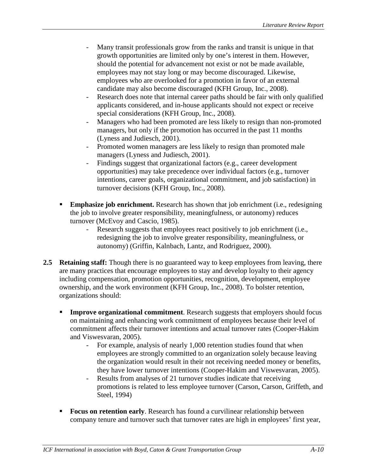- Many transit professionals grow from the ranks and transit is unique in that growth opportunities are limited only by one's interest in them. However, should the potential for advancement not exist or not be made available, employees may not stay long or may become discouraged. Likewise, employees who are overlooked for a promotion in favor of an external candidate may also become discouraged (KFH Group, Inc., 2008).
- Research does note that internal career paths should be fair with only qualified applicants considered, and in-house applicants should not expect or receive special considerations (KFH Group, Inc., 2008).
- Managers who had been promoted are less likely to resign than non-promoted managers, but only if the promotion has occurred in the past 11 months (Lyness and Judiesch, 2001).
- Promoted women managers are less likely to resign than promoted male managers (Lyness and Judiesch, 2001).
- Findings suggest that organizational factors (e.g., career development opportunities) may take precedence over individual factors (e.g., turnover intentions, career goals, organizational commitment, and job satisfaction) in turnover decisions (KFH Group, Inc., 2008).
- **Emphasize job enrichment.** Research has shown that job enrichment (i.e., redesigning the job to involve greater responsibility, meaningfulness, or autonomy) reduces turnover (McEvoy and Cascio, 1985).
	- Research suggests that employees react positively to job enrichment (i.e., redesigning the job to involve greater responsibility, meaningfulness, or autonomy) (Griffin, Kalnbach, Lantz, and Rodriguez, 2000).
- **2.5 Retaining staff:** Though there is no guaranteed way to keep employees from leaving, there are many practices that encourage employees to stay and develop loyalty to their agency including compensation, promotion opportunities, recognition, development, employee ownership, and the work environment (KFH Group, Inc., 2008). To bolster retention, organizations should:
	- **Improve organizational commitment**. Research suggests that employers should focus on maintaining and enhancing work commitment of employees because their level of commitment affects their turnover intentions and actual turnover rates (Cooper-Hakim and Viswesvaran, 2005).
		- For example, analysis of nearly 1,000 retention studies found that when employees are strongly committed to an organization solely because leaving the organization would result in their not receiving needed money or benefits, they have lower turnover intentions (Cooper-Hakim and Viswesvaran, 2005).
		- Results from analyses of 21 turnover studies indicate that receiving promotions is related to less employee turnover (Carson, Carson, Griffeth, and Steel, 1994)
	- **Focus on retention early.** Research has found a curvilinear relationship between company tenure and turnover such that turnover rates are high in employees' first year,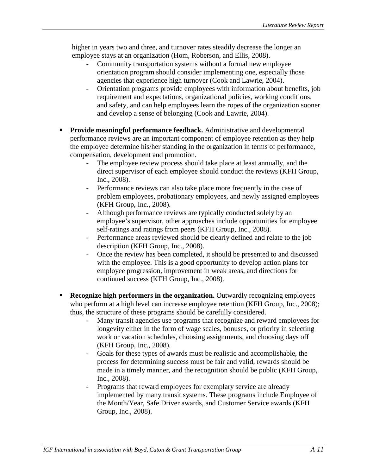higher in years two and three, and turnover rates steadily decrease the longer an employee stays at an organization (Hom, Roberson, and Ellis, 2008).

- Community transportation systems without a formal new employee orientation program should consider implementing one, especially those agencies that experience high turnover (Cook and Lawrie, 2004).
- Orientation programs provide employees with information about benefits, job requirement and expectations, organizational policies, working conditions, and safety, and can help employees learn the ropes of the organization sooner and develop a sense of belonging (Cook and Lawrie, 2004).
- **Provide meaningful performance feedback.** Administrative and developmental performance reviews are an important component of employee retention as they help the employee determine his/her standing in the organization in terms of performance, compensation, development and promotion.
	- The employee review process should take place at least annually, and the direct supervisor of each employee should conduct the reviews (KFH Group, Inc., 2008).
	- Performance reviews can also take place more frequently in the case of problem employees, probationary employees, and newly assigned employees (KFH Group, Inc., 2008).
	- Although performance reviews are typically conducted solely by an employee's supervisor, other approaches include opportunities for employee self-ratings and ratings from peers (KFH Group, Inc., 2008).
	- Performance areas reviewed should be clearly defined and relate to the job description (KFH Group, Inc., 2008).
	- Once the review has been completed, it should be presented to and discussed with the employee. This is a good opportunity to develop action plans for employee progression, improvement in weak areas, and directions for continued success (KFH Group, Inc., 2008).
- **Recognize high performers in the organization.** Outwardly recognizing employees who perform at a high level can increase employee retention (KFH Group, Inc., 2008); thus, the structure of these programs should be carefully considered.
	- Many transit agencies use programs that recognize and reward employees for longevity either in the form of wage scales, bonuses, or priority in selecting work or vacation schedules, choosing assignments, and choosing days off (KFH Group, Inc., 2008).
	- Goals for these types of awards must be realistic and accomplishable, the process for determining success must be fair and valid, rewards should be made in a timely manner, and the recognition should be public (KFH Group, Inc., 2008).
	- Programs that reward employees for exemplary service are already implemented by many transit systems. These programs include Employee of the Month/Year, Safe Driver awards, and Customer Service awards (KFH Group, Inc., 2008).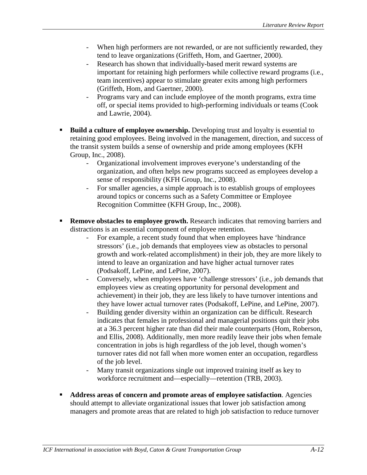- When high performers are not rewarded, or are not sufficiently rewarded, they tend to leave organizations (Griffeth, Hom, and Gaertner, 2000).
- Research has shown that individually-based merit reward systems are important for retaining high performers while collective reward programs (i.e., team incentives) appear to stimulate greater exits among high performers (Griffeth, Hom, and Gaertner, 2000).
- Programs vary and can include employee of the month programs, extra time off, or special items provided to high-performing individuals or teams (Cook and Lawrie, 2004).
- **Build a culture of employee ownership.** Developing trust and loyalty is essential to retaining good employees. Being involved in the management, direction, and success of the transit system builds a sense of ownership and pride among employees (KFH Group, Inc., 2008).
	- Organizational involvement improves everyone's understanding of the organization, and often helps new programs succeed as employees develop a sense of responsibility (KFH Group, Inc., 2008).
	- For smaller agencies, a simple approach is to establish groups of employees around topics or concerns such as a Safety Committee or Employee Recognition Committee (KFH Group, Inc., 2008).
- **Remove obstacles to employee growth.** Research indicates that removing barriers and distractions is an essential component of employee retention.
	- For example, a recent study found that when employees have 'hindrance' stressors' (i.e., job demands that employees view as obstacles to personal growth and work-related accomplishment) in their job, they are more likely to intend to leave an organization and have higher actual turnover rates (Podsakoff, LePine, and LePine, 2007).
	- Conversely, when employees have 'challenge stressors' (i.e., job demands that employees view as creating opportunity for personal development and achievement) in their job, they are less likely to have turnover intentions and they have lower actual turnover rates (Podsakoff, LePine, and LePine, 2007).
	- Building gender diversity within an organization can be difficult. Research indicates that females in professional and managerial positions quit their jobs at a 36.3 percent higher rate than did their male counterparts (Hom, Roberson, and Ellis, 2008). Additionally, men more readily leave their jobs when female concentration in jobs is high regardless of the job level, though women's turnover rates did not fall when more women enter an occupation, regardless of the job level.
	- Many transit organizations single out improved training itself as key to workforce recruitment and—especially—retention (TRB, 2003).
- **Address areas of concern and promote areas of employee satisfaction**. Agencies should attempt to alleviate organizational issues that lower job satisfaction among managers and promote areas that are related to high job satisfaction to reduce turnover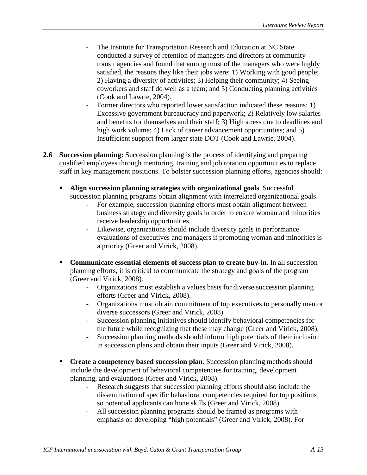- The Institute for Transportation Research and Education at NC State conducted a survey of retention of managers and directors at community transit agencies and found that among most of the managers who were highly satisfied, the reasons they like their jobs were: 1) Working with good people; 2) Having a diversity of activities; 3) Helping their community; 4) Seeing coworkers and staff do well as a team; and 5) Conducting planning activities (Cook and Lawrie, 2004).
- Former directors who reported lower satisfaction indicated these reasons: 1) Excessive government bureaucracy and paperwork; 2) Relatively low salaries and benefits for themselves and their staff; 3) High stress due to deadlines and high work volume; 4) Lack of career advancement opportunities; and 5) Insufficient support from larger state DOT (Cook and Lawrie, 2004).
- **2.6 Succession planning:** Succession planning is the process of identifying and preparing qualified employees through mentoring, training and job rotation opportunities to replace staff in key management positions. To bolster succession planning efforts, agencies should:
	- **Align succession planning strategies with organizational goals**. Successful succession planning programs obtain alignment with interrelated organizational goals.
		- For example, succession planning efforts must obtain alignment between business strategy and diversity goals in order to ensure woman and minorities receive leadership opportunities.
		- Likewise, organizations should include diversity goals in performance evaluations of executives and managers if promoting woman and minorities is a priority (Greer and Virick, 2008).
	- **Communicate essential elements of success plan to create buy-in.** In all succession planning efforts, it is critical to communicate the strategy and goals of the program (Greer and Virick, 2008).
		- Organizations must establish a values basis for diverse succession planning efforts (Greer and Virick, 2008).
		- Organizations must obtain commitment of top executives to personally mentor diverse successors (Greer and Virick, 2008).
		- Succession planning initiatives should identify behavioral competencies for the future while recognizing that these may change (Greer and Virick, 2008).
		- Succession planning methods should inform high potentials of their inclusion in succession plans and obtain their inputs (Greer and Virick, 2008).
	- **Create a competency based succession plan.** Succession planning methods should include the development of behavioral competencies for training, development planning, and evaluations (Greer and Virick, 2008).
		- Research suggests that succession planning efforts should also include the dissemination of specific behavioral competencies required for top positions so potential applicants can hone skills (Greer and Virick, 2008).
		- All succession planning programs should be framed as programs with emphasis on developing "high potentials" (Greer and Virick, 2008). For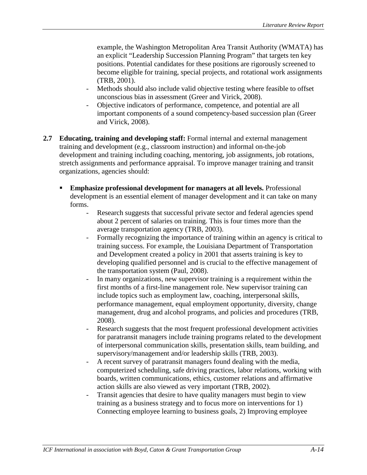example, the Washington Metropolitan Area Transit Authority (WMATA) has an explicit "Leadership Succession Planning Program" that targets ten key positions. Potential candidates for these positions are rigorously screened to become eligible for training, special projects, and rotational work assignments (TRB, 2001).

- Methods should also include valid objective testing where feasible to offset unconscious bias in assessment (Greer and Virick, 2008).
- Objective indicators of performance, competence, and potential are all important components of a sound competency-based succession plan (Greer and Virick, 2008).
- **2.7 Educating, training and developing staff:** Formal internal and external management training and development (e.g., classroom instruction) and informal on-the-job development and training including coaching, mentoring, job assignments, job rotations, stretch assignments and performance appraisal. To improve manager training and transit organizations, agencies should:
	- **Emphasize professional development for managers at all levels.** Professional development is an essential element of manager development and it can take on many forms.
		- Research suggests that successful private sector and federal agencies spend about 2 percent of salaries on training. This is four times more than the average transportation agency (TRB, 2003).
		- Formally recognizing the importance of training within an agency is critical to training success. For example, the Louisiana Department of Transportation and Development created a policy in 2001 that asserts training is key to developing qualified personnel and is crucial to the effective management of the transportation system (Paul, 2008).
		- In many organizations, new supervisor training is a requirement within the first months of a first-line management role. New supervisor training can include topics such as employment law, coaching, interpersonal skills, performance management, equal employment opportunity, diversity, change management, drug and alcohol programs, and policies and procedures (TRB, 2008).
		- Research suggests that the most frequent professional development activities for paratransit managers include training programs related to the development of interpersonal communication skills, presentation skills, team building, and supervisory/management and/or leadership skills (TRB, 2003).
		- A recent survey of paratransit managers found dealing with the media, computerized scheduling, safe driving practices, labor relations, working with boards, written communications, ethics, customer relations and affirmative action skills are also viewed as very important (TRB, 2002).
		- Transit agencies that desire to have quality managers must begin to view training as a business strategy and to focus more on interventions for 1) Connecting employee learning to business goals, 2) Improving employee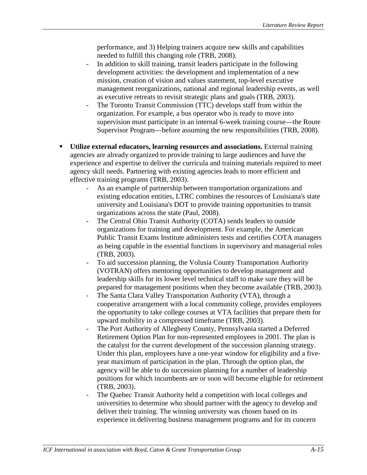performance, and 3) Helping trainers acquire new skills and capabilities needed to fulfill this changing role (TRB, 2008).

- In addition to skill training, transit leaders participate in the following development activities: the development and implementation of a new mission, creation of vision and values statement, top-level executive management reorganizations, national and regional leadership events, as well as executive retreats to revisit strategic plans and goals (TRB, 2003).
- The Toronto Transit Commission (TTC) develops staff from within the organization. For example, a bus operator who is ready to move into supervision must participate in an internal 6-week training course—the Route Supervisor Program—before assuming the new responsibilities (TRB, 2008).
- **Utilize external educators, learning resources and associations.** External training agencies are already organized to provide training to large audiences and have the experience and expertise to deliver the curricula and training materials required to meet agency skill needs. Partnering with existing agencies leads to more efficient and effective training programs (TRB, 2003).
	- As an example of partnership between transportation organizations and existing education entities, LTRC combines the resources of Louisiana's state university and Louisiana's DOT to provide training opportunities to transit organizations across the state (Paul, 2008).
	- The Central Ohio Transit Authority (COTA) sends leaders to outside organizations for training and development. For example, the American Public Transit Exams Institute administers tests and certifies COTA managers as being capable in the essential functions in supervisory and managerial roles (TRB, 2003).
	- To aid succession planning, the Volusia County Transportation Authority (VOTRAN) offers mentoring opportunities to develop management and leadership skills for its lower level technical staff to make sure they will be prepared for management positions when they become available (TRB, 2003).
	- The Santa Clara Valley Transportation Authority (VTA), through a cooperative arrangement with a local community college, provides employees the opportunity to take college courses at VTA facilities that prepare them for upward mobility in a compressed timeframe (TRB, 2003).
	- The Port Authority of Allegheny County, Pennsylvania started a Deferred Retirement Option Plan for non-represented employees in 2001. The plan is the catalyst for the current development of the succession planning strategy. Under this plan, employees have a one-year window for eligibility and a fiveyear maximum of participation in the plan. Through the option plan, the agency will be able to do succession planning for a number of leadership positions for which incumbents are or soon will become eligible for retirement (TRB, 2003).
	- The Quebec Transit Authority held a competition with local colleges and universities to determine who should partner with the agency to develop and deliver their training. The winning university was chosen based on its experience in delivering business management programs and for its concern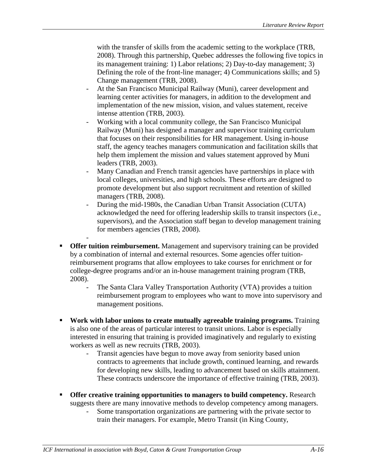with the transfer of skills from the academic setting to the workplace (TRB, 2008). Through this partnership, Quebec addresses the following five topics in its management training: 1) Labor relations; 2) Day-to-day management; 3) Defining the role of the front-line manager; 4) Communications skills; and 5) Change management (TRB, 2008).

- At the San Francisco Municipal Railway (Muni), career development and learning center activities for managers, in addition to the development and implementation of the new mission, vision, and values statement, receive intense attention (TRB, 2003).
- Working with a local community college, the San Francisco Municipal Railway (Muni) has designed a manager and supervisor training curriculum that focuses on their responsibilities for HR management. Using in-house staff, the agency teaches managers communication and facilitation skills that help them implement the mission and values statement approved by Muni leaders (TRB, 2003).
- Many Canadian and French transit agencies have partnerships in place with local colleges, universities, and high schools. These efforts are designed to promote development but also support recruitment and retention of skilled managers (TRB, 2008).
- During the mid-1980s, the Canadian Urban Transit Association (CUTA) acknowledged the need for offering leadership skills to transit inspectors (i.e., supervisors), and the Association staff began to develop management training for members agencies (TRB, 2008).
- **• Offer tuition reimbursement.** Management and supervisory training can be provided by a combination of internal and external resources. Some agencies offer tuitionreimbursement programs that allow employees to take courses for enrichment or for college-degree programs and/or an in-house management training program (TRB, 2008).
	- The Santa Clara Valley Transportation Authority (VTA) provides a tuition reimbursement program to employees who want to move into supervisory and management positions.
- **Work with labor unions to create mutually agreeable training programs.** Training is also one of the areas of particular interest to transit unions. Labor is especially interested in ensuring that training is provided imaginatively and regularly to existing workers as well as new recruits (TRB, 2003).
	- Transit agencies have begun to move away from seniority based union contracts to agreements that include growth, continued learning, and rewards for developing new skills, leading to advancement based on skills attainment. These contracts underscore the importance of effective training (TRB, 2003).
- **Offer creative training opportunities to managers to build competency.** Research suggests there are many innovative methods to develop competency among managers.
	- Some transportation organizations are partnering with the private sector to train their managers. For example, Metro Transit (in King County,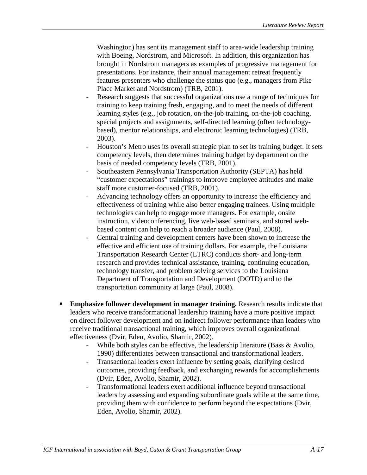Washington) has sent its management staff to area-wide leadership training with Boeing, Nordstrom, and Microsoft. In addition, this organization has brought in Nordstrom managers as examples of progressive management for presentations. For instance, their annual management retreat frequently features presenters who challenge the status quo (e.g., managers from Pike Place Market and Nordstrom) (TRB, 2001).

- Research suggests that successful organizations use a range of techniques for training to keep training fresh, engaging, and to meet the needs of different learning styles (e.g., job rotation, on-the-job training, on-the-job coaching, special projects and assignments, self-directed learning (often technologybased), mentor relationships, and electronic learning technologies) (TRB, 2003).
- Houston's Metro uses its overall strategic plan to set its training budget. It sets competency levels, then determines training budget by department on the basis of needed competency levels (TRB, 2001).
- Southeastern Pennsylvania Transportation Authority (SEPTA) has held "customer expectations" trainings to improve employee attitudes and make staff more customer-focused (TRB, 2001).
- Advancing technology offers an opportunity to increase the efficiency and effectiveness of training while also better engaging trainees. Using multiple technologies can help to engage more managers. For example, onsite instruction, videoconferencing, live web-based seminars, and stored webbased content can help to reach a broader audience (Paul, 2008).
- Central training and development centers have been shown to increase the effective and efficient use of training dollars. For example, the Louisiana Transportation Research Center (LTRC) conducts short- and long-term research and provides technical assistance, training, continuing education, technology transfer, and problem solving services to the Louisiana Department of Transportation and Development (DOTD) and to the transportation community at large (Paul, 2008).
- **Emphasize follower development in manager training.** Research results indicate that leaders who receive transformational leadership training have a more positive impact on direct follower development and on indirect follower performance than leaders who receive traditional transactional training, which improves overall organizational effectiveness (Dvir, Eden, Avolio, Shamir, 2002).
	- While both styles can be effective, the leadership literature (Bass & Avolio, 1990) differentiates between transactional and transformational leaders.
	- Transactional leaders exert influence by setting goals, clarifying desired outcomes, providing feedback, and exchanging rewards for accomplishments (Dvir, Eden, Avolio, Shamir, 2002).
	- Transformational leaders exert additional influence beyond transactional leaders by assessing and expanding subordinate goals while at the same time, providing them with confidence to perform beyond the expectations (Dvir, Eden, Avolio, Shamir, 2002).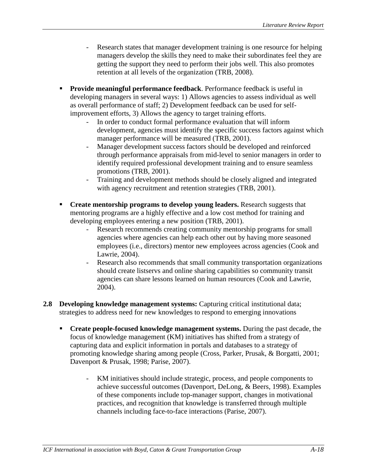- Research states that manager development training is one resource for helping managers develop the skills they need to make their subordinates feel they are getting the support they need to perform their jobs well. This also promotes retention at all levels of the organization (TRB, 2008).
- **Provide meaningful performance feedback**. Performance feedback is useful in developing managers in several ways: 1) Allows agencies to assess individual as well as overall performance of staff; 2) Development feedback can be used for selfimprovement efforts, 3) Allows the agency to target training efforts.
	- In order to conduct formal performance evaluation that will inform development, agencies must identify the specific success factors against which manager performance will be measured (TRB, 2001).
	- Manager development success factors should be developed and reinforced through performance appraisals from mid-level to senior managers in order to identify required professional development training and to ensure seamless promotions (TRB, 2001).
	- Training and development methods should be closely aligned and integrated with agency recruitment and retention strategies (TRB, 2001).
- **Create mentorship programs to develop young leaders.** Research suggests that mentoring programs are a highly effective and a low cost method for training and developing employees entering a new position (TRB, 2001).
	- Research recommends creating community mentorship programs for small agencies where agencies can help each other out by having more seasoned employees (i.e., directors) mentor new employees across agencies (Cook and Lawrie, 2004).
	- Research also recommends that small community transportation organizations should create listservs and online sharing capabilities so community transit agencies can share lessons learned on human resources (Cook and Lawrie, 2004).
- **2.8 Developing knowledge management systems:** Capturing critical institutional data; strategies to address need for new knowledges to respond to emerging innovations
	- **Create people-focused knowledge management systems.** During the past decade, the focus of knowledge management (KM) initiatives has shifted from a strategy of capturing data and explicit information in portals and databases to a strategy of promoting knowledge sharing among people (Cross, Parker, Prusak, & Borgatti, 2001; Davenport & Prusak, 1998; Parise, 2007).
		- KM initiatives should include strategic, process, and people components to achieve successful outcomes (Davenport, DeLong, & Beers, 1998). Examples of these components include top-manager support, changes in motivational practices, and recognition that knowledge is transferred through multiple channels including face-to-face interactions (Parise, 2007).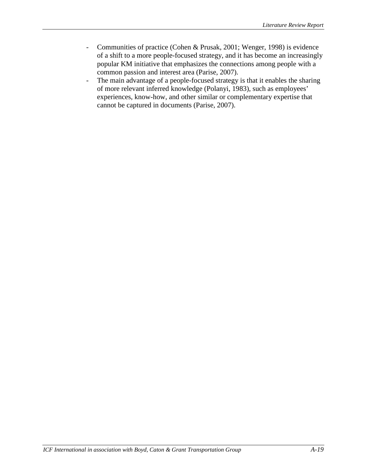- Communities of practice (Cohen & Prusak, 2001; Wenger, 1998) is evidence of a shift to a more people-focused strategy, and it has become an increasingly popular KM initiative that emphasizes the connections among people with a common passion and interest area (Parise, 2007).
- The main advantage of a people-focused strategy is that it enables the sharing of more relevant inferred knowledge (Polanyi, 1983), such as employees' experiences, know-how, and other similar or complementary expertise that cannot be captured in documents (Parise, 2007).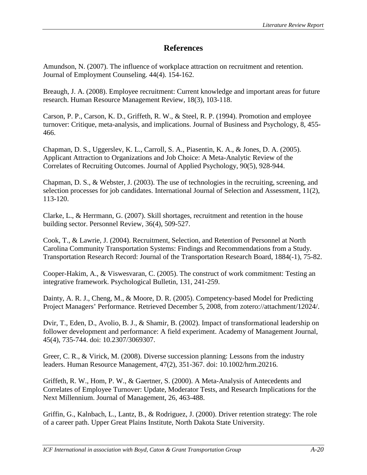# **References**

Amundson, N. (2007). The influence of workplace attraction on recruitment and retention. Journal of Employment Counseling. 44(4). 154-162.

Breaugh, J. A. (2008). Employee recruitment: Current knowledge and important areas for future research. Human Resource Management Review, 18(3), 103-118.

Carson, P. P., Carson, K. D., Griffeth, R. W., & Steel, R. P. (1994). Promotion and employee turnover: Critique, meta-analysis, and implications. Journal of Business and Psychology, 8, 455- 466.

Chapman, D. S., Uggerslev, K. L., Carroll, S. A., Piasentin, K. A., & Jones, D. A. (2005). Applicant Attraction to Organizations and Job Choice: A Meta-Analytic Review of the Correlates of Recruiting Outcomes. Journal of Applied Psychology, 90(5), 928-944.

Chapman, D. S., & Webster, J. (2003). The use of technologies in the recruiting, screening, and selection processes for job candidates. International Journal of Selection and Assessment, 11(2), 113-120.

Clarke, L., & Herrmann, G. (2007). Skill shortages, recruitment and retention in the house building sector. Personnel Review, 36(4), 509-527.

Cook, T., & Lawrie, J. (2004). Recruitment, Selection, and Retention of Personnel at North Carolina Community Transportation Systems: Findings and Recommendations from a Study. Transportation Research Record: Journal of the Transportation Research Board, 1884(-1), 75-82.

Cooper-Hakim, A., & Viswesvaran, C. (2005). The construct of work commitment: Testing an integrative framework. Psychological Bulletin, 131, 241-259.

Dainty, A. R. J., Cheng, M., & Moore, D. R. (2005). Competency-based Model for Predicting Project Managers' Performance. Retrieved December 5, 2008, from zotero://attachment/12024/.

Dvir, T., Eden, D., Avolio, B. J., & Shamir, B. (2002). Impact of transformational leadership on follower development and performance: A field experiment. Academy of Management Journal, 45(4), 735-744. doi: 10.2307/3069307.

Greer, C. R., & Virick, M. (2008). Diverse succession planning: Lessons from the industry leaders. Human Resource Management, 47(2), 351-367. doi: 10.1002/hrm.20216.

Griffeth, R. W., Hom, P. W., & Gaertner, S. (2000). A Meta-Analysis of Antecedents and Correlates of Employee Turnover: Update, Moderator Tests, and Research Implications for the Next Millennium. Journal of Management, 26, 463-488.

Griffin, G., Kalnbach, L., Lantz, B., & Rodriguez, J. (2000). Driver retention strategy: The role of a career path. Upper Great Plains Institute, North Dakota State University.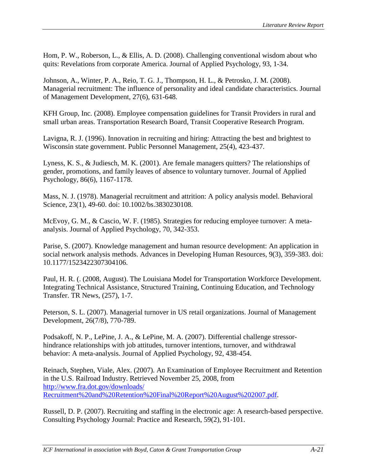Hom, P. W., Roberson, L., & Ellis, A. D. (2008). Challenging conventional wisdom about who quits: Revelations from corporate America. Journal of Applied Psychology, 93, 1-34.

Johnson, A., Winter, P. A., Reio, T. G. J., Thompson, H. L., & Petrosko, J. M. (2008). Managerial recruitment: The influence of personality and ideal candidate characteristics. Journal of Management Development, 27(6), 631-648.

KFH Group, Inc. (2008). Employee compensation guidelines for Transit Providers in rural and small urban areas. Transportation Research Board, Transit Cooperative Research Program.

Lavigna, R. J. (1996). Innovation in recruiting and hiring: Attracting the best and brightest to Wisconsin state government. Public Personnel Management, 25(4), 423-437.

Lyness, K. S., & Judiesch, M. K. (2001). Are female managers quitters? The relationships of gender, promotions, and family leaves of absence to voluntary turnover. Journal of Applied Psychology, 86(6), 1167-1178.

Mass, N. J. (1978). Managerial recruitment and attrition: A policy analysis model. Behavioral Science, 23(1), 49-60. doi: 10.1002/bs.3830230108.

McEvoy, G. M., & Cascio, W. F. (1985). Strategies for reducing employee turnover: A metaanalysis. Journal of Applied Psychology, 70, 342-353.

Parise, S. (2007). Knowledge management and human resource development: An application in social network analysis methods. Advances in Developing Human Resources, 9(3), 359-383. doi: 10.1177/1523422307304106.

Paul, H. R. (. (2008, August). The Louisiana Model for Transportation Workforce Development. Integrating Technical Assistance, Structured Training, Continuing Education, and Technology Transfer. TR News, (257), 1-7.

Peterson, S. L. (2007). Managerial turnover in US retail organizations. Journal of Management Development, 26(7/8), 770-789.

Podsakoff, N. P., LePine, J. A., & LePine, M. A. (2007). Differential challenge stressorhindrance relationships with job attitudes, turnover intentions, turnover, and withdrawal behavior: A meta-analysis. Journal of Applied Psychology, 92, 438-454.

Reinach, Stephen, Viale, Alex. (2007). An Examination of Employee Recruitment and Retention in the U.S. Railroad Industry. Retrieved November 25, 2008, from [http://www.fra.dot.gov/downloads/](http://www.fra.dot.gov/downloads/%20Recruitment%20and%20Retention%20Final%20Report%20August%202007.pdf)  [Recruitment%20and%20Retention%20Final%20Report%20August%202007.pdf.](http://www.fra.dot.gov/downloads/%20Recruitment%20and%20Retention%20Final%20Report%20August%202007.pdf)

Russell, D. P. (2007). Recruiting and staffing in the electronic age: A research-based perspective. Consulting Psychology Journal: Practice and Research, 59(2), 91-101.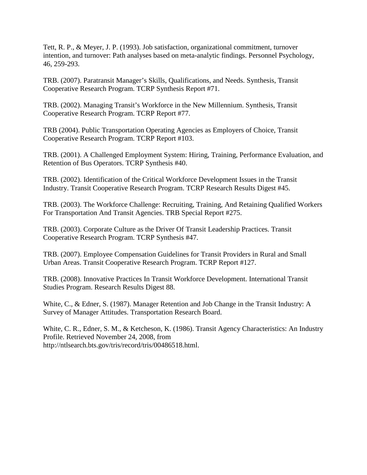Tett, R. P., & Meyer, J. P. (1993). Job satisfaction, organizational commitment, turnover intention, and turnover: Path analyses based on meta-analytic findings. Personnel Psychology, 46, 259-293.

TRB. (2007). Paratransit Manager's Skills, Qualifications, and Needs. Synthesis, Transit Cooperative Research Program. TCRP Synthesis Report #71.

TRB. (2002). Managing Transit's Workforce in the New Millennium. Synthesis, Transit Cooperative Research Program. TCRP Report #77.

TRB (2004). Public Transportation Operating Agencies as Employers of Choice, Transit Cooperative Research Program. TCRP Report #103.

TRB. (2001). A Challenged Employment System: Hiring, Training, Performance Evaluation, and Retention of Bus Operators. TCRP Synthesis #40.

TRB. (2002). Identification of the Critical Workforce Development Issues in the Transit Industry. Transit Cooperative Research Program. TCRP Research Results Digest #45.

TRB. (2003). The Workforce Challenge: Recruiting, Training, And Retaining Qualified Workers For Transportation And Transit Agencies. TRB Special Report #275.

TRB. (2003). Corporate Culture as the Driver Of Transit Leadership Practices. Transit Cooperative Research Program. TCRP Synthesis #47.

TRB. (2007). Employee Compensation Guidelines for Transit Providers in Rural and Small Urban Areas. Transit Cooperative Research Program. TCRP Report #127.

TRB. (2008). Innovative Practices In Transit Workforce Development. International Transit Studies Program. Research Results Digest 88.

White, C., & Edner, S. (1987). Manager Retention and Job Change in the Transit Industry: A Survey of Manager Attitudes. Transportation Research Board.

White, C. R., Edner, S. M., & Ketcheson, K. (1986). Transit Agency Characteristics: An Industry Profile. Retrieved November 24, 2008, from http://ntlsearch.bts.gov/tris/record/tris/00486518.html.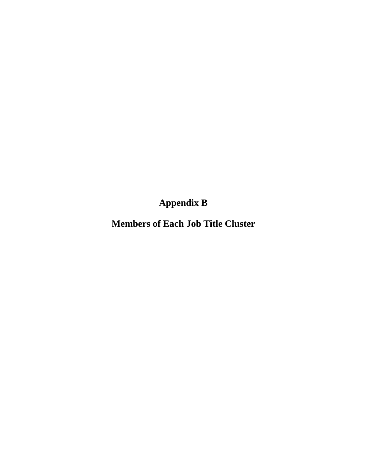**Appendix B**

**Members of Each Job Title Cluster**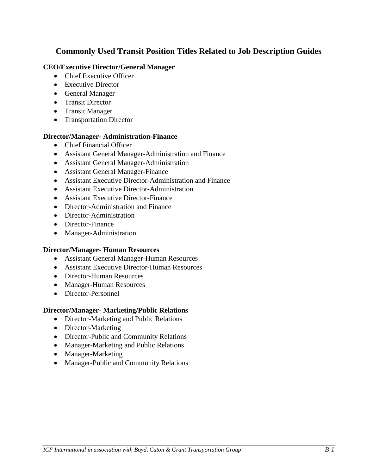# **Commonly Used Transit Position Titles Related to Job Description Guides**

# **CEO/Executive Director/General Manager**

- Chief Executive Officer
- Executive Director
- General Manager
- Transit Director
- Transit Manager
- Transportation Director

#### **Director/Manager- Administration-Finance**

- Chief Financial Officer
- Assistant General Manager-Administration and Finance
- Assistant General Manager-Administration
- Assistant General Manager-Finance
- Assistant Executive Director-Administration and Finance
- Assistant Executive Director-Administration
- Assistant Executive Director-Finance
- Director-Administration and Finance
- Director-Administration
- Director-Finance
- Manager-Administration

#### **Director/Manager- Human Resources**

- Assistant General Manager-Human Resources
- Assistant Executive Director-Human Resources
- Director-Human Resources
- Manager-Human Resources
- Director-Personnel

#### **Director/Manager- Marketing/Public Relations**

- Director-Marketing and Public Relations
- Director-Marketing
- Director-Public and Community Relations
- Manager-Marketing and Public Relations
- Manager-Marketing
- Manager-Public and Community Relations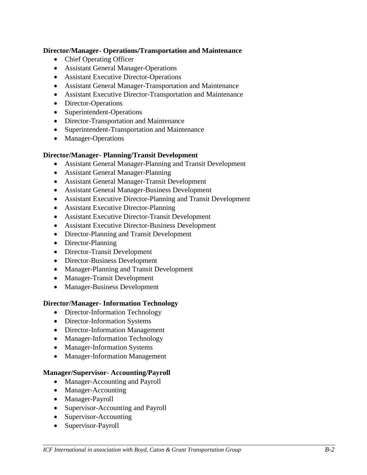# **Director/Manager- Operations/Transportation and Maintenance**

- Chief Operating Officer
- Assistant General Manager-Operations
- Assistant Executive Director-Operations
- Assistant General Manager-Transportation and Maintenance
- Assistant Executive Director-Transportation and Maintenance
- Director-Operations
- Superintendent-Operations
- Director-Transportation and Maintenance
- Superintendent-Transportation and Maintenance
- Manager-Operations

# **Director/Manager- Planning/Transit Development**

- Assistant General Manager-Planning and Transit Development
- Assistant General Manager-Planning
- Assistant General Manager-Transit Development
- Assistant General Manager-Business Development
- Assistant Executive Director-Planning and Transit Development
- Assistant Executive Director-Planning
- Assistant Executive Director-Transit Development
- Assistant Executive Director-Business Development
- Director-Planning and Transit Development
- Director-Planning
- Director-Transit Development
- Director-Business Development
- Manager-Planning and Transit Development
- Manager-Transit Development
- Manager-Business Development

# **Director/Manager- Information Technology**

- Director-Information Technology
- Director-Information Systems
- Director-Information Management
- Manager-Information Technology
- Manager-Information Systems
- Manager-Information Management

# **Manager/Supervisor- Accounting/Payroll**

- Manager-Accounting and Payroll
- Manager-Accounting
- Manager-Payroll
- Supervisor-Accounting and Payroll
- Supervisor-Accounting
- Supervisor-Payroll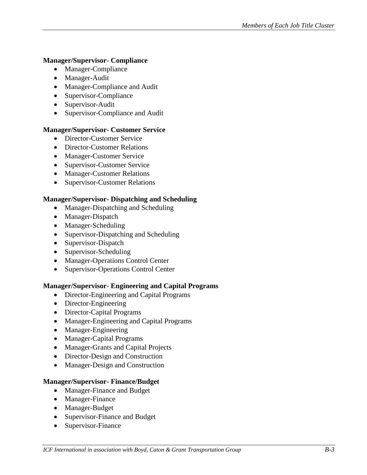# **Manager/Supervisor- Compliance**

- Manager-Compliance
- Manager-Audit
- Manager-Compliance and Audit
- Supervisor-Compliance
- Supervisor-Audit
- Supervisor-Compliance and Audit

# **Manager/Supervisor- Customer Service**

- Director-Customer Service
- Director-Customer Relations
- Manager-Customer Service
- Supervisor-Customer Service
- Manager-Customer Relations
- Supervisor-Customer Relations

# **Manager/Supervisor- Dispatching and Scheduling**

- Manager-Dispatching and Scheduling
- Manager-Dispatch
- Manager-Scheduling
- Supervisor-Dispatching and Scheduling
- Supervisor-Dispatch
- Supervisor-Scheduling
- Manager-Operations Control Center
- Supervisor-Operations Control Center

# **Manager/Supervisor- Engineering and Capital Programs**

- Director-Engineering and Capital Programs
- Director-Engineering
- Director-Capital Programs
- Manager-Engineering and Capital Programs
- Manager-Engineering
- Manager-Capital Programs
- Manager-Grants and Capital Projects
- Director-Design and Construction
- Manager-Design and Construction

# **Manager/Supervisor- Finance/Budget**

- Manager-Finance and Budget
- Manager-Finance
- Manager-Budget
- Supervisor-Finance and Budget
- Supervisor-Finance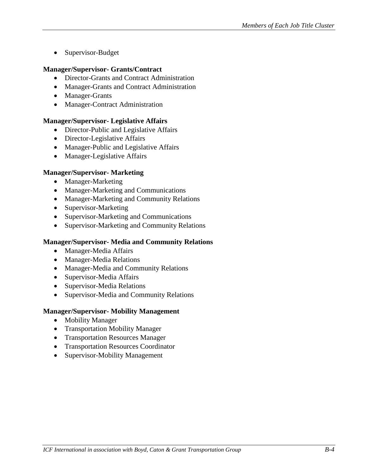• Supervisor-Budget

### **Manager/Supervisor- Grants/Contract**

- Director-Grants and Contract Administration
- Manager-Grants and Contract Administration
- Manager-Grants
- Manager-Contract Administration

#### **Manager/Supervisor- Legislative Affairs**

- Director-Public and Legislative Affairs
- Director-Legislative Affairs
- Manager-Public and Legislative Affairs
- Manager-Legislative Affairs

#### **Manager/Supervisor- Marketing**

- Manager-Marketing
- Manager-Marketing and Communications
- Manager-Marketing and Community Relations
- Supervisor-Marketing
- Supervisor-Marketing and Communications
- Supervisor-Marketing and Community Relations

#### **Manager/Supervisor- Media and Community Relations**

- Manager-Media Affairs
- Manager-Media Relations
- Manager-Media and Community Relations
- Supervisor-Media Affairs
- Supervisor-Media Relations
- Supervisor-Media and Community Relations

#### **Manager/Supervisor- Mobility Management**

- Mobility Manager
- Transportation Mobility Manager
- Transportation Resources Manager
- Transportation Resources Coordinator
- Supervisor-Mobility Management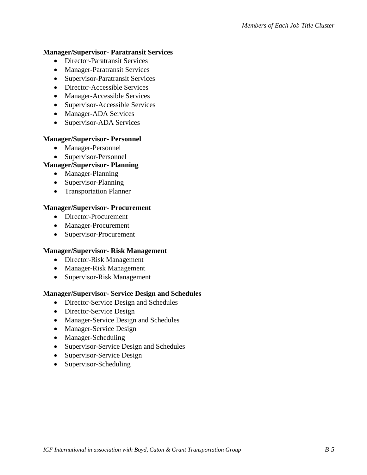### **Manager/Supervisor- Paratransit Services**

- Director-Paratransit Services
- Manager-Paratransit Services
- Supervisor-Paratransit Services
- Director-Accessible Services
- Manager-Accessible Services
- Supervisor-Accessible Services
- Manager-ADA Services
- Supervisor-ADA Services

# **Manager/Supervisor- Personnel**

- Manager-Personnel
- Supervisor-Personnel

# **Manager/Supervisor- Planning**

- Manager-Planning
- Supervisor-Planning
- Transportation Planner

#### **Manager/Supervisor- Procurement**

- Director-Procurement
- Manager-Procurement
- Supervisor-Procurement

# **Manager/Supervisor- Risk Management**

- Director-Risk Management
- Manager-Risk Management
- Supervisor-Risk Management

# **Manager/Supervisor- Service Design and Schedules**

- Director-Service Design and Schedules
- Director-Service Design
- Manager-Service Design and Schedules
- Manager-Service Design
- Manager-Scheduling
- Supervisor-Service Design and Schedules
- Supervisor-Service Design
- Supervisor-Scheduling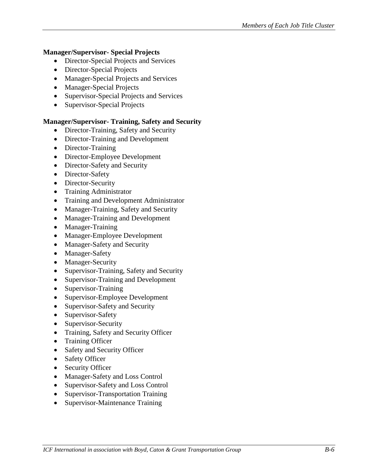# **Manager/Supervisor- Special Projects**

- Director-Special Projects and Services
- Director-Special Projects
- Manager-Special Projects and Services
- Manager-Special Projects
- Supervisor-Special Projects and Services
- Supervisor-Special Projects

# **Manager/Supervisor- Training, Safety and Security**

- Director-Training, Safety and Security
- Director-Training and Development
- Director-Training
- Director-Employee Development
- Director-Safety and Security
- Director-Safety
- Director-Security
- Training Administrator
- Training and Development Administrator
- Manager-Training, Safety and Security
- Manager-Training and Development
- Manager-Training
- Manager-Employee Development
- Manager-Safety and Security
- Manager-Safety
- Manager-Security
- Supervisor-Training, Safety and Security
- Supervisor-Training and Development
- Supervisor-Training
- Supervisor-Employee Development
- Supervisor-Safety and Security
- Supervisor-Safety
- Supervisor-Security
- Training, Safety and Security Officer
- Training Officer
- Safety and Security Officer
- Safety Officer
- Security Officer
- Manager-Safety and Loss Control
- Supervisor-Safety and Loss Control
- Supervisor-Transportation Training
- Supervisor-Maintenance Training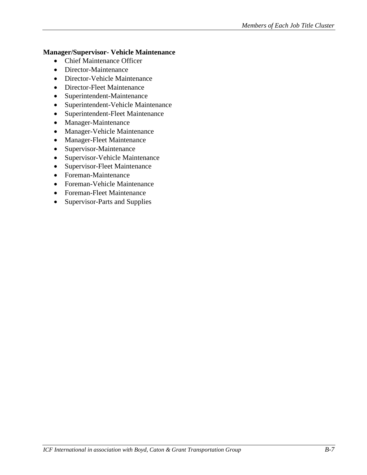# **Manager/Supervisor- Vehicle Maintenance**

- Chief Maintenance Officer
- Director-Maintenance
- Director-Vehicle Maintenance
- Director-Fleet Maintenance
- Superintendent-Maintenance
- Superintendent-Vehicle Maintenance
- Superintendent-Fleet Maintenance
- Manager-Maintenance
- Manager-Vehicle Maintenance
- Manager-Fleet Maintenance
- Supervisor-Maintenance
- Supervisor-Vehicle Maintenance
- Supervisor-Fleet Maintenance
- Foreman-Maintenance
- Foreman-Vehicle Maintenance
- Foreman-Fleet Maintenance
- Supervisor-Parts and Supplies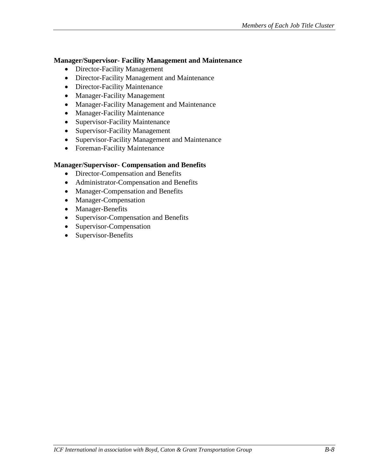#### **Manager/Supervisor- Facility Management and Maintenance**

- Director-Facility Management
- Director-Facility Management and Maintenance
- Director-Facility Maintenance
- Manager-Facility Management
- Manager-Facility Management and Maintenance
- Manager-Facility Maintenance
- Supervisor-Facility Maintenance
- Supervisor-Facility Management
- Supervisor-Facility Management and Maintenance
- Foreman-Facility Maintenance

# **Manager/Supervisor- Compensation and Benefits**

- Director-Compensation and Benefits
- Administrator-Compensation and Benefits
- Manager-Compensation and Benefits
- Manager-Compensation
- Manager-Benefits
- Supervisor-Compensation and Benefits
- Supervisor-Compensation
- Supervisor-Benefits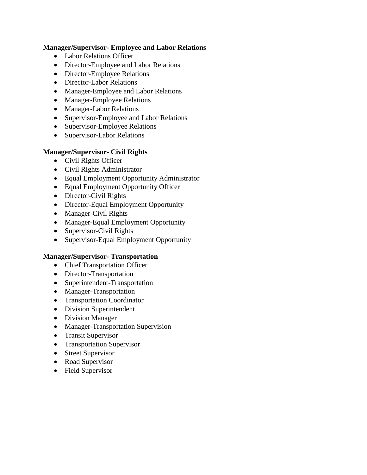#### **Manager/Supervisor- Employee and Labor Relations**

- Labor Relations Officer
- Director-Employee and Labor Relations
- Director-Employee Relations
- Director-Labor Relations
- Manager-Employee and Labor Relations
- Manager-Employee Relations
- Manager-Labor Relations
- Supervisor-Employee and Labor Relations
- Supervisor-Employee Relations
- Supervisor-Labor Relations

# **Manager/Supervisor- Civil Rights**

- Civil Rights Officer
- Civil Rights Administrator
- Equal Employment Opportunity Administrator
- Equal Employment Opportunity Officer
- Director-Civil Rights
- Director-Equal Employment Opportunity
- Manager-Civil Rights
- Manager-Equal Employment Opportunity
- Supervisor-Civil Rights
- Supervisor-Equal Employment Opportunity

# **Manager/Supervisor- Transportation**

- Chief Transportation Officer
- Director-Transportation
- Superintendent-Transportation
- Manager-Transportation
- Transportation Coordinator
- Division Superintendent
- Division Manager
- Manager-Transportation Supervision
- Transit Supervisor
- Transportation Supervisor
- Street Supervisor
- Road Supervisor
- Field Supervisor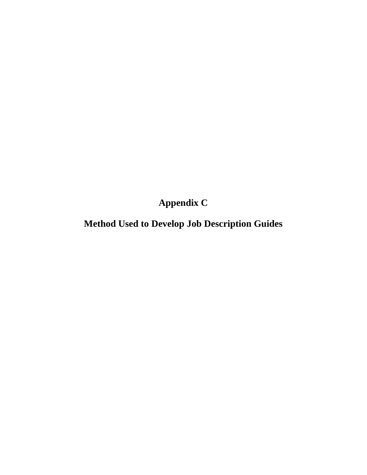**Appendix C**

**Method Used to Develop Job Description Guides**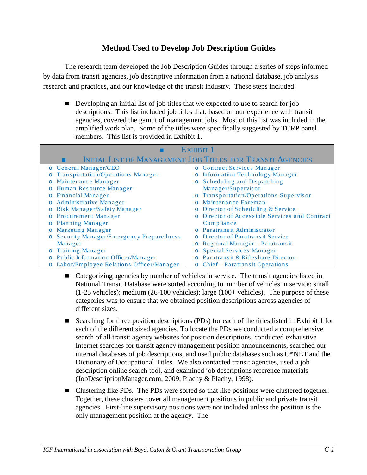# **Method Used to Develop Job Description Guides**

The research team developed the Job Description Guides through a series of steps informed by data from transit agencies, job descriptive information from a national database, job analysis research and practices, and our knowledge of the transit industry. These steps included:

Developing an initial list of job titles that we expected to use to search for job descriptions. This list included job titles that, based on our experience with transit agencies, covered the gamut of management jobs. Most of this list was included in the amplified work plan. Some of the titles were specifically suggested by TCRP panel members. This list is provided in Exhibit 1.

| EXHIBIT 1                                                         |                                                          |  |  |  |  |  |
|-------------------------------------------------------------------|----------------------------------------------------------|--|--|--|--|--|
| <b>INITIAL LIST OF MANAGEMENT JOB TITLES FOR TRANSIT AGENCIES</b> |                                                          |  |  |  |  |  |
| o General Manager/CEO                                             | o Contract Services Manager                              |  |  |  |  |  |
| Transportation/Operations Manager<br>$\circ$                      | o Information Technology Manager                         |  |  |  |  |  |
| Maintenance Manager<br>$\circ$                                    | Scheduling and Dispatching<br>$\circ$                    |  |  |  |  |  |
| Human Resource Manager<br>$\circ$                                 | Manager/Supervisor                                       |  |  |  |  |  |
| Financial Manager<br>$\circ$                                      | o Transportation/Operations Supervisor                   |  |  |  |  |  |
| o Administrative Manager                                          | Maintenance Foreman<br>$\Omega$                          |  |  |  |  |  |
| Risk Manager/Safety Manager<br>$\circ$                            | o Director of Scheduling & Service                       |  |  |  |  |  |
| o Procurement Manager                                             | Director of Accessible Services and Contract<br>$\Omega$ |  |  |  |  |  |
| <b>Planning Manager</b><br>$\circ$                                | Compliance                                               |  |  |  |  |  |
| Marketing Manager<br>$\circ$                                      | o Paratransit Administrator                              |  |  |  |  |  |
| <b>Security Manager/Emergency Preparedness</b><br>$\circ$         | Director of Paratransit Service<br>$\Omega$              |  |  |  |  |  |
| Manager                                                           | o Regional Manager - Paratransit                         |  |  |  |  |  |
| o Training Manager                                                | o Special Services Manager                               |  |  |  |  |  |
| o Public Information Officer/Manager                              | o Paratransit & Rideshare Director                       |  |  |  |  |  |
| o Labor/Employee Relations Officer/Manager                        | o Chief – Paratransit Operations                         |  |  |  |  |  |

- Categorizing agencies by number of vehicles in service. The transit agencies listed in National Transit Database were sorted according to number of vehicles in service: small (1-25 vehicles); medium (26-100 vehicles); large (100+ vehicles). The purpose of these categories was to ensure that we obtained position descriptions across agencies of different sizes.
- Searching for three position descriptions (PDs) for each of the titles listed in Exhibit 1 for each of the different sized agencies. To locate the PDs we conducted a comprehensive search of all transit agency websites for position descriptions, conducted exhaustive Internet searches for transit agency management position announcements, searched our internal databases of job descriptions, and used public databases such as O\*NET and the Dictionary of Occupational Titles. We also contacted transit agencies, used a job description online search tool, and examined job descriptions reference materials (JobDescriptionManager.com, 2009; Plachy & Plachy, 1998).
- Clustering like PDs. The PDs were sorted so that like positions were clustered together. Together, these clusters cover all management positions in public and private transit agencies. First-line supervisory positions were not included unless the position is the only management position at the agency. The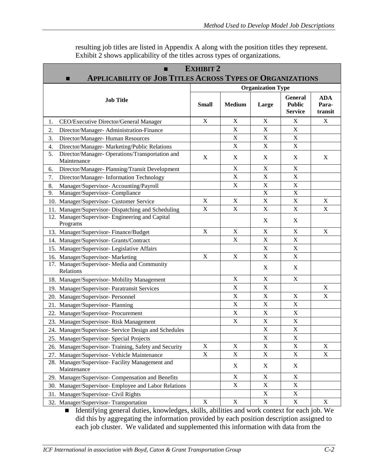| resulting job titles are listed in Appendix A along with the position titles they represent. |
|----------------------------------------------------------------------------------------------|
| Exhibit 2 shows applicability of the titles across types of organizations.                   |

| <b>EXHIBIT 2</b><br><b>APPLICABILITY OF JOB TITLES ACROSS TYPES OF ORGANIZATIONS</b><br>■ |                           |                           |                           |                                                   |                                |  |  |
|-------------------------------------------------------------------------------------------|---------------------------|---------------------------|---------------------------|---------------------------------------------------|--------------------------------|--|--|
|                                                                                           | <b>Organization Type</b>  |                           |                           |                                                   |                                |  |  |
| <b>Job Title</b>                                                                          | <b>Small</b>              | <b>Medium</b>             | Large                     | <b>General</b><br><b>Public</b><br><b>Service</b> | <b>ADA</b><br>Para-<br>transit |  |  |
| CEO/Executive Director/General Manager<br>1.                                              | $\mathbf X$               | X                         | X                         | X                                                 | X                              |  |  |
| 2.<br>Director/Manager- Administration-Finance                                            |                           | $\boldsymbol{\mathrm{X}}$ | $\boldsymbol{\mathrm{X}}$ | $\mathbf X$                                       |                                |  |  |
| Director/Manager-Human Resources<br>3.                                                    |                           | X                         | $\boldsymbol{\mathrm{X}}$ | X                                                 |                                |  |  |
| Director/Manager- Marketing/Public Relations<br>4.                                        |                           | X                         | $\mathbf X$               | X                                                 |                                |  |  |
| Director/Manager- Operations/Transportation and<br>5.<br>Maintenance                      | X                         | X                         | X                         | X                                                 | X                              |  |  |
| Director/Manager- Planning/Transit Development<br>6.                                      |                           | X                         | X                         | X                                                 |                                |  |  |
| Director/Manager- Information Technology<br>7.                                            |                           | X                         | X                         | $\boldsymbol{\mathrm{X}}$                         |                                |  |  |
| Manager/Supervisor- Accounting/Payroll<br>8.                                              |                           | X                         | $\mathbf X$               | X                                                 |                                |  |  |
| Manager/Supervisor- Compliance<br>9.                                                      |                           |                           | $\boldsymbol{\mathrm{X}}$ | $\boldsymbol{\mathrm{X}}$                         |                                |  |  |
| 10. Manager/Supervisor- Customer Service                                                  | X                         | X                         | $\boldsymbol{\mathrm{X}}$ | $\boldsymbol{\mathrm{X}}$                         | X                              |  |  |
| 11. Manager/Supervisor- Dispatching and Scheduling                                        | $\boldsymbol{\mathrm{X}}$ | $\boldsymbol{\mathrm{X}}$ | X                         | $\boldsymbol{\mathrm{X}}$                         | X                              |  |  |
| 12. Manager/Supervisor- Engineering and Capital<br>Programs                               |                           |                           | X                         | X                                                 |                                |  |  |
| 13. Manager/Supervisor-Finance/Budget                                                     | X                         | X                         | X                         | X                                                 | $\mathbf X$                    |  |  |
| 14. Manager/Supervisor- Grants/Contract                                                   |                           | X                         | $\mathbf X$               | X                                                 |                                |  |  |
| 15. Manager/Supervisor- Legislative Affairs                                               |                           |                           | X                         | $\mathbf X$                                       |                                |  |  |
| 16. Manager/Supervisor- Marketing                                                         | $\mathbf X$               | X                         | $\boldsymbol{\mathrm{X}}$ | X                                                 |                                |  |  |
| 17. Manager/Supervisor- Media and Community<br>Relations                                  |                           |                           | X                         | X                                                 |                                |  |  |
| 18. Manager/Supervisor- Mobility Management                                               |                           | X                         | $\boldsymbol{\mathrm{X}}$ | X                                                 |                                |  |  |
| 19. Manager/Supervisor-Paratransit Services                                               |                           | $\boldsymbol{\mathrm{X}}$ | X                         |                                                   | $\mathbf X$                    |  |  |
| 20. Manager/Supervisor- Personnel                                                         |                           | X                         | X                         | X                                                 | $\mathbf X$                    |  |  |
| 21. Manager/Supervisor-Planning                                                           |                           | $\boldsymbol{\mathrm{X}}$ | $\boldsymbol{\mathrm{X}}$ | X                                                 |                                |  |  |
| 22. Manager/Supervisor-Procurement                                                        |                           | $\boldsymbol{\mathrm{X}}$ | X                         | $\mathbf X$                                       |                                |  |  |
| 23. Manager/Supervisor-Risk Management                                                    |                           | X                         | $\boldsymbol{\mathrm{X}}$ | X                                                 |                                |  |  |
| 24. Manager/Supervisor- Service Design and Schedules                                      |                           |                           | X                         | X                                                 |                                |  |  |
| 25. Manager/Supervisor- Special Projects                                                  |                           |                           | $\mathbf X$               | X                                                 |                                |  |  |
| 26. Manager/Supervisor-Training, Safety and Security                                      | $\mathbf X$               | $\boldsymbol{\mathrm{X}}$ | X                         | $\mathbf X$                                       | $\boldsymbol{\mathrm{X}}$      |  |  |
| 27. Manager/Supervisor- Vehicle Maintenance                                               | $\mathbf X$               | X                         | X                         | X                                                 | X                              |  |  |
| 28. Manager/Supervisor- Facility Management and<br>Maintenance                            |                           | X                         | X                         | X                                                 |                                |  |  |
| 29. Manager/Supervisor- Compensation and Benefits                                         |                           | X                         | X                         | X                                                 |                                |  |  |
| 30. Manager/Supervisor-Employee and Labor Relations                                       |                           | $\mathbf X$               | X                         | $\boldsymbol{\mathrm{X}}$                         |                                |  |  |
| 31. Manager/Supervisor- Civil Rights                                                      |                           |                           | X                         | X                                                 |                                |  |  |
| 32. Manager/Supervisor-Transportation                                                     | $\mathbf X$               | X                         | $\mathbf X$               | X                                                 | X                              |  |  |

 Identifying general duties, knowledges, skills, abilities and work context for each job. We did this by aggregating the information provided by each position description assigned to each job cluster. We validated and supplemented this information with data from the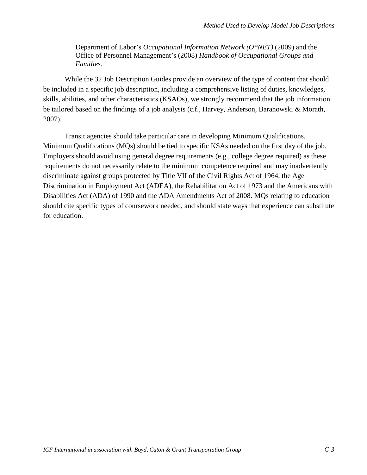Department of Labor's *Occupational Information Network (O\*NET)* (2009) and the Office of Personnel Management's (2008) *Handbook of Occupational Groups and Families*.

While the 32 Job Description Guides provide an overview of the type of content that should be included in a specific job description, including a comprehensive listing of duties, knowledges, skills, abilities, and other characteristics (KSAOs), we strongly recommend that the job information be tailored based on the findings of a job analysis (c.f., Harvey, Anderson, Baranowski & Morath, 2007).

Transit agencies should take particular care in developing Minimum Qualifications. Minimum Qualifications (MQs) should be tied to specific KSAs needed on the first day of the job. Employers should avoid using general degree requirements (e.g., college degree required) as these requirements do not necessarily relate to the minimum competence required and may inadvertently discriminate against groups protected by Title VII of the Civil Rights Act of 1964, the Age Discrimination in Employment Act (ADEA), the Rehabilitation Act of 1973 and the Americans with Disabilities Act (ADA) of 1990 and the ADA Amendments Act of 2008. MQs relating to education should cite specific types of coursework needed, and should state ways that experience can substitute for education.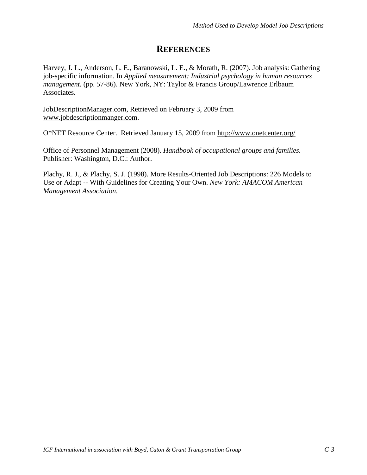# **REFERENCES**

Harvey, J. L., Anderson, L. E., Baranowski, L. E., & Morath, R. (2007). Job analysis: Gathering job-specific information. In *Applied measurement: Industrial psychology in human resources management.* (pp. 57-86). New York, NY: Taylor & Francis Group/Lawrence Erlbaum Associates.

JobDescriptionManager.com, Retrieved on February 3, 2009 from [www.jobdescriptionmanger.com.](http://www.jobdescriptionmanger.com/)

O\*NET Resource Center. Retrieved January 15, 2009 from<http://www.onetcenter.org/>

Office of Personnel Management (2008). *[Handbook of occupational groups and families.](http://www.worldcat.org/oclc/21721354&referer=brief_results)* Publisher: Washington, D.C.: Author.

Plachy, R. J., & Plachy, S. J. (1998). [More Results-Oriented Job Descriptions: 226 Models to](http://www.amazon.com/More-Results-Oriented-Job-Descriptions-Guidelines/dp/0814479618/ref=si3_rdr_bb_product)  Use or Adapt -- [With Guidelines for Creating Your Own.](http://www.amazon.com/More-Results-Oriented-Job-Descriptions-Guidelines/dp/0814479618/ref=si3_rdr_bb_product) *New York: AMACOM American Management Association.*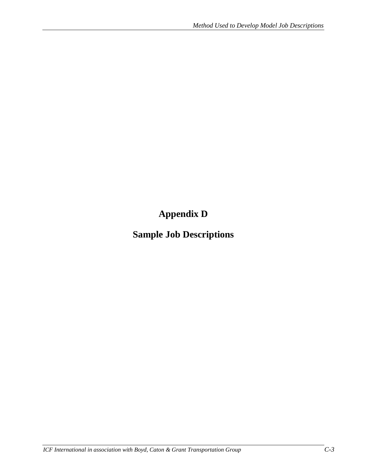**Appendix D**

**Sample Job Descriptions**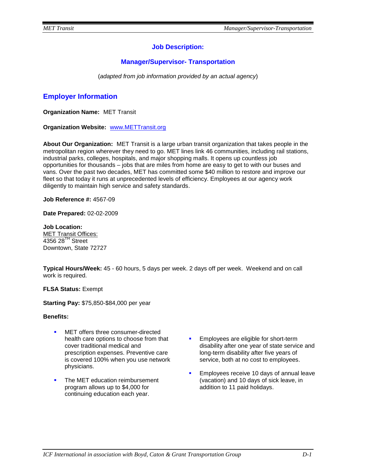# **Job Description:**

# **Manager/Supervisor- Transportation**

(*adapted from job information provided by an actual agency*)

# **Employer Information**

**Organization Name:** MET Transit

**Organization Website:** [www.METTransit.org](http://www.tacttransit.org/)

**About Our Organization:** MET Transit is a large urban transit organization that takes people in the metropolitan region wherever they need to go. MET lines link 46 communities, including rail stations, industrial parks, colleges, hospitals, and major shopping malls. It opens up countless job opportunities for thousands – jobs that are miles from home are easy to get to with our buses and vans. Over the past two decades, MET has committed some \$40 million to restore and improve our fleet so that today it runs at unprecedented levels of efficiency. Employees at our agency work diligently to maintain high service and safety standards.

**Job Reference #:** 4567-09

**Date Prepared:** 02-02-2009

**Job Location:**  MET Transit Offices: 4356 28<sup>TH</sup> Street Downtown, State 72727

**Typical Hours/Week:** 45 - 60 hours, 5 days per week. 2 days off per week. Weekend and on call work is required.

**FLSA Status:** Exempt

**Starting Pay:** \$75,850-\$84,000 per year

#### **Benefits:**

- MET offers three consumer-directed health care options to choose from that cover traditional medical and prescription expenses. Preventive care is covered 100% when you use network physicians.
- The MET education reimbursement program allows up to \$4,000 for continuing education each year.
- **Employees are eligible for short-term** disability after one year of state service and long-term disability after five years of service, both at no cost to employees.
- Employees receive 10 days of annual leave (vacation) and 10 days of sick leave, in addition to 11 paid holidays.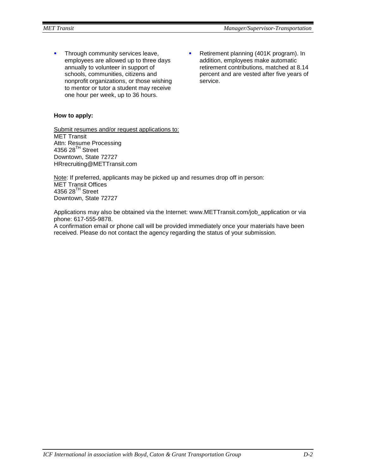- Through community services leave, employees are allowed up to three days annually to volunteer in support of schools, communities, citizens and nonprofit organizations, or those wishing to mentor or tutor a student may receive one hour per week, up to 36 hours.
- Retirement planning (401K program). In addition, employees make automatic retirement contributions, matched at 8.14 percent and are vested after five years of service.

# **How to apply:**

Submit resumes and/or request applications to: MET Transit Attn: Resume Processing 4356 28<sup>TH</sup> Street Downtown, State 72727 HRrecruiting@METTransit.com

Note: If preferred, applicants may be picked up and resumes drop off in person: MET Transit Offices 4356 28 $^{TH}$  Street Downtown, State 72727

Applications may also be obtained via the Internet: www.METTransit.com/job\_application or via phone: 617-555-9878.

A confirmation email or phone call will be provided immediately once your materials have been received. Please do not contact the agency regarding the status of your submission.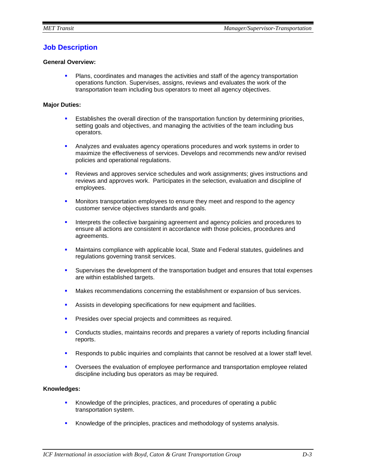# **Job Description**

#### **General Overview:**

 Plans, coordinates and manages the activities and staff of the agency transportation operations function. Supervises, assigns, reviews and evaluates the work of the transportation team including bus operators to meet all agency objectives.

#### **Major Duties:**

- **Establishes the overall direction of the transportation function by determining priorities,** setting goals and objectives, and managing the activities of the team including bus operators.
- Analyzes and evaluates agency operations procedures and work systems in order to maximize the effectiveness of services. Develops and recommends new and/or revised policies and operational regulations.
- Reviews and approves service schedules and work assignments; gives instructions and reviews and approves work. Participates in the selection, evaluation and discipline of employees.
- **Monitors transportation employees to ensure they meet and respond to the agency** customer service objectives standards and goals.
- Interprets the collective bargaining agreement and agency policies and procedures to ensure all actions are consistent in accordance with those policies, procedures and agreements.
- Maintains compliance with applicable local, State and Federal statutes, guidelines and regulations governing transit services.
- **Supervises the development of the transportation budget and ensures that total expenses** are within established targets.
- Makes recommendations concerning the establishment or expansion of bus services.
- Assists in developing specifications for new equipment and facilities.
- **Presides over special projects and committees as required.**
- Conducts studies, maintains records and prepares a variety of reports including financial reports.
- **Responds to public inquiries and complaints that cannot be resolved at a lower staff level.**
- Oversees the evaluation of employee performance and transportation employee related discipline including bus operators as may be required.

#### **Knowledges:**

- Knowledge of the principles, practices, and procedures of operating a public transportation system.
- Knowledge of the principles, practices and methodology of systems analysis.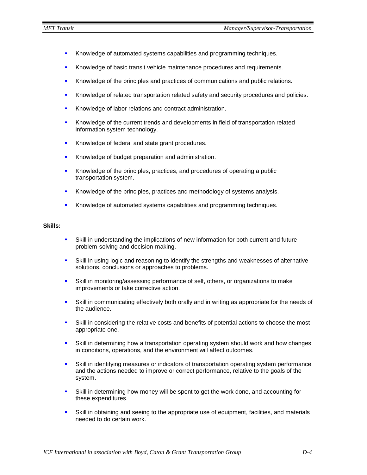- **Knowledge of automated systems capabilities and programming techniques.**
- Knowledge of basic transit vehicle maintenance procedures and requirements.
- Knowledge of the principles and practices of communications and public relations.
- Knowledge of related transportation related safety and security procedures and policies.
- Knowledge of labor relations and contract administration.
- **Knowledge of the current trends and developments in field of transportation related** information system technology.
- Knowledge of federal and state grant procedures.
- Knowledge of budget preparation and administration.
- Knowledge of the principles, practices, and procedures of operating a public transportation system.
- Knowledge of the principles, practices and methodology of systems analysis.
- Knowledge of automated systems capabilities and programming techniques.

## **Skills:**

- Skill in understanding the implications of new information for both current and future problem-solving and decision-making.
- Skill in using logic and reasoning to identify the strengths and weaknesses of alternative solutions, conclusions or approaches to problems.
- Skill in monitoring/assessing performance of self, others, or organizations to make improvements or take corrective action.
- Skill in communicating effectively both orally and in writing as appropriate for the needs of the audience.
- Skill in considering the relative costs and benefits of potential actions to choose the most appropriate one.
- Skill in determining how a transportation operating system should work and how changes in conditions, operations, and the environment will affect outcomes.
- Skill in identifying measures or indicators of transportation operating system performance and the actions needed to improve or correct performance, relative to the goals of the system.
- Skill in determining how money will be spent to get the work done, and accounting for these expenditures.
- Skill in obtaining and seeing to the appropriate use of equipment, facilities, and materials needed to do certain work.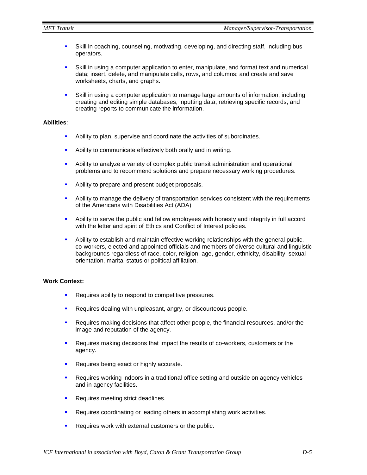- Skill in coaching, counseling, motivating, developing, and directing staff, including bus operators.
- Skill in using a computer application to enter, manipulate, and format text and numerical data; insert, delete, and manipulate cells, rows, and columns; and create and save worksheets, charts, and graphs.
- Skill in using a computer application to manage large amounts of information, including creating and editing simple databases, inputting data, retrieving specific records, and creating reports to communicate the information.

# **Abilities**:

- Ability to plan, supervise and coordinate the activities of subordinates.
- **Ability to communicate effectively both orally and in writing.**
- Ability to analyze a variety of complex public transit administration and operational problems and to recommend solutions and prepare necessary working procedures.
- Ability to prepare and present budget proposals.
- Ability to manage the delivery of transportation services consistent with the requirements of the Americans with Disabilities Act (ADA)
- Ability to serve the public and fellow employees with honesty and integrity in full accord with the letter and spirit of Ethics and Conflict of Interest policies.
- Ability to establish and maintain effective working relationships with the general public, co-workers, elected and appointed officials and members of diverse cultural and linguistic backgrounds regardless of race, color, religion, age, gender, ethnicity, disability, sexual orientation, marital status or political affiliation.

## **Work Context:**

- **Requires ability to respond to competitive pressures.**
- **Requires dealing with unpleasant, angry, or discourteous people.**
- **Requires making decisions that affect other people, the financial resources, and/or the** image and reputation of the agency.
- **Requires making decisions that impact the results of co-workers, customers or the** agency.
- **Requires being exact or highly accurate.**
- **•** Requires working indoors in a traditional office setting and outside on agency vehicles and in agency facilities.
- **Requires meeting strict deadlines.**
- **Requires coordinating or leading others in accomplishing work activities.**
- Requires work with external customers or the public.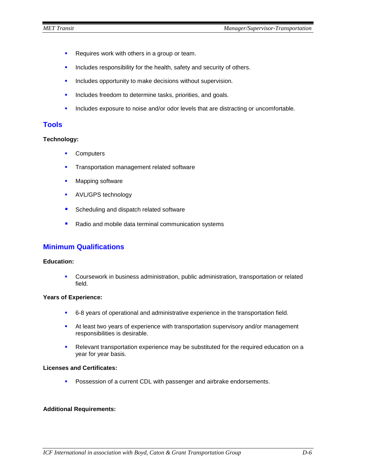- **Requires work with others in a group or team.**
- **Includes responsibility for the health, safety and security of others.**
- **Includes opportunity to make decisions without supervision.**
- **Includes freedom to determine tasks, priorities, and goals.**
- **Includes exposure to noise and/or odor levels that are distracting or uncomfortable.**

# **Tools**

#### **Technology:**

- **•** Computers
- **Transportation management related software**
- **Mapping software**
- **AVL/GPS technology**
- Scheduling and dispatch related software
- Radio and mobile data terminal communication systems

# **Minimum Qualifications**

#### **Education:**

 Coursework in business administration, public administration, transportation or related field.

#### **Years of Experience:**

- 6-8 years of operational and administrative experience in the transportation field.
- At least two years of experience with transportation supervisory and/or management responsibilities is desirable.
- Relevant transportation experience may be substituted for the required education on a year for year basis.

#### **Licenses and Certificates:**

**Possession of a current CDL with passenger and airbrake endorsements.** 

# **Additional Requirements:**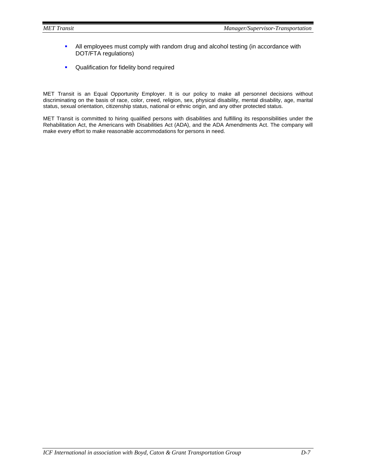- All employees must comply with random drug and alcohol testing (in accordance with DOT/FTA regulations)
- **•** Qualification for fidelity bond required

MET Transit is an Equal Opportunity Employer. It is our policy to make all personnel decisions without discriminating on the basis of race, color, creed, religion, sex, physical disability, mental disability, age, marital status, sexual orientation, citizenship status, national or ethnic origin, and any other protected status.

MET Transit is committed to hiring qualified persons with disabilities and fulfilling its responsibilities under the Rehabilitation Act, the Americans with Disabilities Act (ADA), and the ADA Amendments Act. The company will make every effort to make reasonable accommodations for persons in need.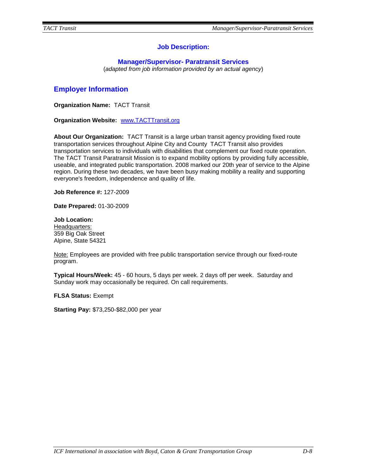# **Job Description:**

# **Manager/Supervisor- Paratransit Services**

(*adapted from job information provided by an actual agency*)

# **Employer Information**

**Organization Name:** TACT Transit

**Organization Website:** [www.TACTTransit.org](http://www.tacttransit.org/)

**About Our Organization:** TACT Transit is a large urban transit agency providing fixed route transportation services throughout Alpine City and County TACT Transit also provides transportation services to individuals with disabilities that complement our fixed route operation. The TACT Transit Paratransit Mission is to expand mobility options by providing fully accessible, useable, and integrated public transportation. 2008 marked our 20th year of service to the Alpine region. During these two decades, we have been busy making mobility a reality and supporting everyone's freedom, independence and quality of life.

**Job Reference #:** 127-2009

**Date Prepared:** 01-30-2009

**Job Location:**  Headquarters: 359 Big Oak Street Alpine, State 54321

Note: Employees are provided with free public transportation service through our fixed-route program.

**Typical Hours/Week:** 45 - 60 hours, 5 days per week. 2 days off per week. Saturday and Sunday work may occasionally be required. On call requirements.

**FLSA Status:** Exempt

**Starting Pay:** \$73,250-\$82,000 per year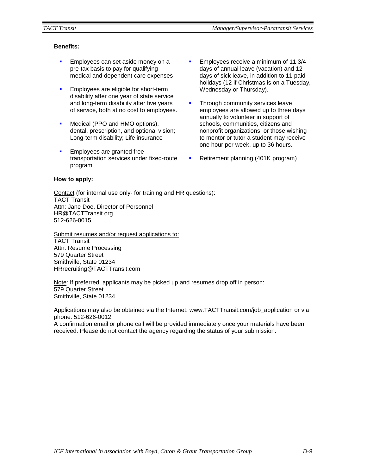# **Benefits:**

- **Employees can set aside money on a** pre-tax basis to pay for qualifying medical and dependent care expenses
- **Employees are eligible for short-term** disability after one year of state service and long-term disability after five years of service, both at no cost to employees.
- Medical (PPO and HMO options), dental, prescription, and optional vision; Long-term disability; Life insurance
- Employees are granted free transportation services under fixed-route program
- Employees receive a minimum of 11 3/4 days of annual leave (vacation) and 12 days of sick leave, in addition to 11 paid holidays (12 if Christmas is on a Tuesday, Wednesday or Thursday).
- Through community services leave, employees are allowed up to three days annually to volunteer in support of schools, communities, citizens and nonprofit organizations, or those wishing to mentor or tutor a student may receive one hour per week, up to 36 hours.
- Retirement planning (401K program)

## **How to apply:**

Contact (for internal use only- for training and HR questions): TACT Transit Attn: Jane Doe, Director of Personnel HR@TACTTransit.org 512-626-0015

Submit resumes and/or request applications to: TACT Transit Attn: Resume Processing 579 Quarter Street Smithville, State 01234 HRrecruiting@TACTTransit.com

Note: If preferred, applicants may be picked up and resumes drop off in person: 579 Quarter Street Smithville, State 01234

Applications may also be obtained via the Internet: www.TACTTransit.com/job\_application or via phone: 512-626-0012.

A confirmation email or phone call will be provided immediately once your materials have been received. Please do not contact the agency regarding the status of your submission.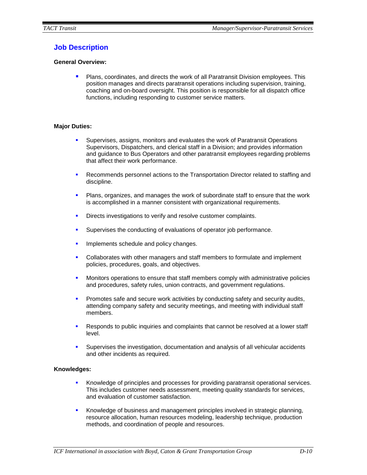# **Job Description**

# **General Overview:**

**Plans, coordinates, and directs the work of all Paratransit Division employees. This** position manages and directs paratransit operations including supervision, training, coaching and on-board oversight. This position is responsible for all dispatch office functions, including responding to customer service matters.

## **Major Duties:**

- Supervises, assigns, monitors and evaluates the work of Paratransit Operations Supervisors, Dispatchers, and clerical staff in a Division; and provides information and guidance to Bus Operators and other paratransit employees regarding problems that affect their work performance.
- **Recommends personnel actions to the Transportation Director related to staffing and** discipline.
- Plans, organizes, and manages the work of subordinate staff to ensure that the work is accomplished in a manner consistent with organizational requirements.
- Directs investigations to verify and resolve customer complaints.
- Supervises the conducting of evaluations of operator job performance.
- **IMPLEMENTED SCHEDULE AND POLICY CHANGES.**
- Collaborates with other managers and staff members to formulate and implement policies, procedures, goals, and objectives.
- **Monitors operations to ensure that staff members comply with administrative policies** and procedures, safety rules, union contracts, and government regulations.
- **Promotes safe and secure work activities by conducting safety and security audits,** attending company safety and security meetings, and meeting with individual staff members.
- Responds to public inquiries and complaints that cannot be resolved at a lower staff level.
- Supervises the investigation, documentation and analysis of all vehicular accidents and other incidents as required.

# **Knowledges:**

- **Knowledge of principles and processes for providing paratransit operational services.** This includes customer needs assessment, meeting quality standards for services, and evaluation of customer satisfaction.
- Knowledge of business and management principles involved in strategic planning, resource allocation, human resources modeling, leadership technique, production methods, and coordination of people and resources.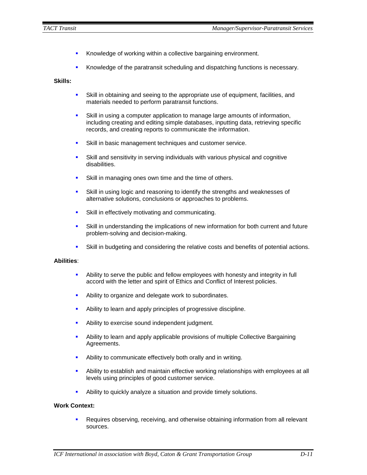- **Knowledge of working within a collective bargaining environment.**
- Knowledge of the paratransit scheduling and dispatching functions is necessary.

#### **Skills:**

- Skill in obtaining and seeing to the appropriate use of equipment, facilities, and materials needed to perform paratransit functions.
- Skill in using a computer application to manage large amounts of information, including creating and editing simple databases, inputting data, retrieving specific records, and creating reports to communicate the information.
- **Skill in basic management techniques and customer service.**
- Skill and sensitivity in serving individuals with various physical and cognitive disabilities.
- **Skill in managing ones own time and the time of others.**
- Skill in using logic and reasoning to identify the strengths and weaknesses of alternative solutions, conclusions or approaches to problems.
- **Skill in effectively motivating and communicating.**
- Skill in understanding the implications of new information for both current and future problem-solving and decision-making.
- Skill in budgeting and considering the relative costs and benefits of potential actions.

#### **Abilities**:

- Ability to serve the public and fellow employees with honesty and integrity in full accord with the letter and spirit of Ethics and Conflict of Interest policies.
- Ability to organize and delegate work to subordinates.
- Ability to learn and apply principles of progressive discipline.
- Ability to exercise sound independent judgment.
- Ability to learn and apply applicable provisions of multiple Collective Bargaining Agreements.
- **Ability to communicate effectively both orally and in writing.**
- Ability to establish and maintain effective working relationships with employees at all levels using principles of good customer service.
- **Ability to quickly analyze a situation and provide timely solutions.**

## **Work Context:**

 Requires observing, receiving, and otherwise obtaining information from all relevant sources.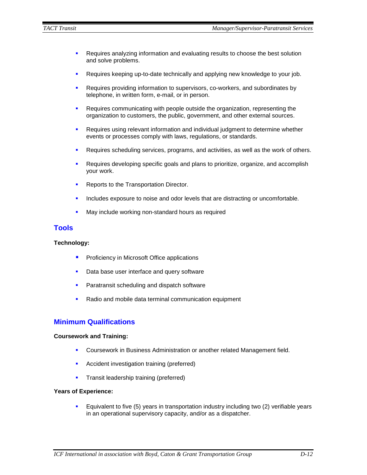- Requires analyzing information and evaluating results to choose the best solution and solve problems.
- **•** Requires keeping up-to-date technically and applying new knowledge to your job.
- **Requires providing information to supervisors, co-workers, and subordinates by** telephone, in written form, e-mail, or in person.
- **Requires communicating with people outside the organization, representing the** organization to customers, the public, government, and other external sources.
- Requires using relevant information and individual judgment to determine whether events or processes comply with laws, regulations, or standards.
- **Requires scheduling services, programs, and activities, as well as the work of others.**
- Requires developing specific goals and plans to prioritize, organize, and accomplish your work.
- **Reports to the Transportation Director.**
- Includes exposure to noise and odor levels that are distracting or uncomfortable.
- **May include working non-standard hours as required**

# **Tools**

#### **Technology:**

- **Proficiency in Microsoft Office applications**
- Data base user interface and query software
- **Paratransit scheduling and dispatch software**
- Radio and mobile data terminal communication equipment

# **Minimum Qualifications**

#### **Coursework and Training:**

- Coursework in Business Administration or another related Management field.
- **Accident investigation training (preferred)**
- **Transit leadership training (preferred)**

#### **Years of Experience:**

**Equivalent to five (5) years in transportation industry including two (2) verifiable years** in an operational supervisory capacity, and/or as a dispatcher.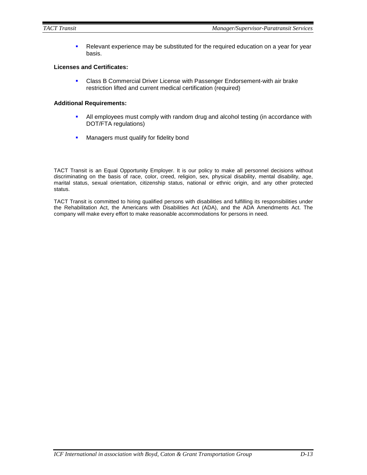Relevant experience may be substituted for the required education on a year for year basis.

## **Licenses and Certificates:**

**Class B Commercial Driver License with Passenger Endorsement-with air brake** restriction lifted and current medical certification (required)

#### **Additional Requirements:**

- All employees must comply with random drug and alcohol testing (in accordance with DOT/FTA regulations)
- **Managers must qualify for fidelity bond**

TACT Transit is an Equal Opportunity Employer. It is our policy to make all personnel decisions without discriminating on the basis of race, color, creed, religion, sex, physical disability, mental disability, age, marital status, sexual orientation, citizenship status, national or ethnic origin, and any other protected status.

TACT Transit is committed to hiring qualified persons with disabilities and fulfilling its responsibilities under the Rehabilitation Act, the Americans with Disabilities Act (ADA), and the ADA Amendments Act. The company will make every effort to make reasonable accommodations for persons in need.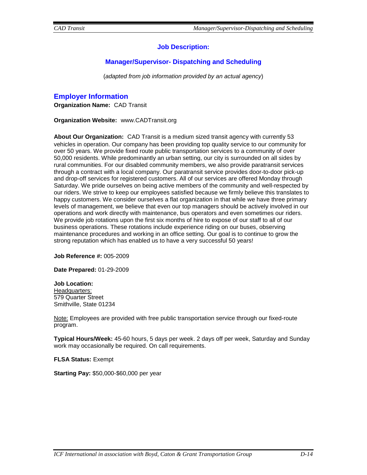# **Job Description:**

# **Manager/Supervisor- Dispatching and Scheduling**

(*adapted from job information provided by an actual agency*)

# **Employer Information**

**Organization Name:** CAD Transit

**Organization Website:** www.CADTransit.org

**About Our Organization:** CAD Transit is a medium sized transit agency with currently 53 vehicles in operation. Our company has been providing top quality service to our community for over 50 years. We provide fixed route public transportation services to a community of over 50,000 residents. While predominantly an urban setting, our city is surrounded on all sides by rural communities. For our disabled community members, we also provide paratransit services through a contract with a local company. Our paratransit service provides door-to-door pick-up and drop-off services for registered customers. All of our services are offered Monday through Saturday. We pride ourselves on being active members of the community and well-respected by our riders. We strive to keep our employees satisfied because we firmly believe this translates to happy customers. We consider ourselves a flat organization in that while we have three primary levels of management, we believe that even our top managers should be actively involved in our operations and work directly with maintenance, bus operators and even sometimes our riders. We provide job rotations upon the first six months of hire to expose of our staff to all of our business operations. These rotations include experience riding on our buses, observing maintenance procedures and working in an office setting. Our goal is to continue to grow the strong reputation which has enabled us to have a very successful 50 years!

**Job Reference #:** 005-2009

**Date Prepared:** 01-29-2009

**Job Location:**  Headquarters: 579 Quarter Street Smithville, State 01234

Note: Employees are provided with free public transportation service through our fixed-route program.

**Typical Hours/Week:** 45-60 hours, 5 days per week. 2 days off per week, Saturday and Sunday work may occasionally be required. On call requirements.

**FLSA Status:** Exempt

**Starting Pay:** \$50,000-\$60,000 per year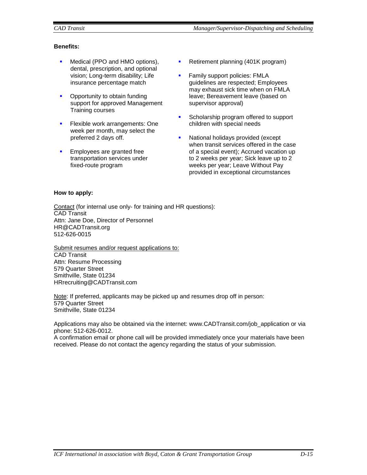# **Benefits:**

- **Medical (PPO and HMO options),** dental, prescription, and optional vision; Long-term disability; Life insurance percentage match
- Opportunity to obtain funding support for approved Management Training courses
- **Flexible work arrangements: One** week per month, may select the preferred 2 days off.
- **Employees are granted free** transportation services under fixed-route program
- Retirement planning (401K program)
- Family support policies: FMLA guidelines are respected; Employees may exhaust sick time when on FMLA leave; Bereavement leave (based on supervisor approval)
- **Scholarship program offered to support** children with special needs
- National holidays provided (except when transit services offered in the case of a special event); Accrued vacation up to 2 weeks per year; Sick leave up to 2 weeks per year; Leave Without Pay provided in exceptional circumstances

# **How to apply:**

Contact (for internal use only- for training and HR questions): CAD Transit Attn: Jane Doe, Director of Personnel HR@CADTransit.org 512-626-0015

Submit resumes and/or request applications to: CAD Transit Attn: Resume Processing 579 Quarter Street Smithville, State 01234 HRrecruiting@CADTransit.com

Note: If preferred, applicants may be picked up and resumes drop off in person: 579 Quarter Street Smithville, State 01234

Applications may also be obtained via the internet: www.CADTransit.com/job\_application or via phone: 512-626-0012.

A confirmation email or phone call will be provided immediately once your materials have been received. Please do not contact the agency regarding the status of your submission.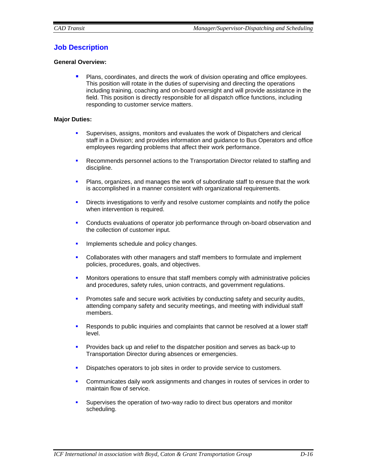# **Job Description**

# **General Overview:**

**Plans, coordinates, and directs the work of division operating and office employees.** This position will rotate in the duties of supervising and directing the operations including training, coaching and on-board oversight and will provide assistance in the field. This position is directly responsible for all dispatch office functions, including responding to customer service matters.

## **Major Duties:**

- Supervises, assigns, monitors and evaluates the work of Dispatchers and clerical staff in a Division; and provides information and guidance to Bus Operators and office employees regarding problems that affect their work performance.
- **Recommends personnel actions to the Transportation Director related to staffing and** discipline.
- Plans, organizes, and manages the work of subordinate staff to ensure that the work is accomplished in a manner consistent with organizational requirements.
- **•** Directs investigations to verify and resolve customer complaints and notify the police when intervention is required.
- Conducts evaluations of operator job performance through on-board observation and the collection of customer input.
- **IMPLEMENTED SCHEDULE AND POLICY CHANGES.**
- Collaborates with other managers and staff members to formulate and implement policies, procedures, goals, and objectives.
- **•** Monitors operations to ensure that staff members comply with administrative policies and procedures, safety rules, union contracts, and government regulations.
- **Promotes safe and secure work activities by conducting safety and security audits,** attending company safety and security meetings, and meeting with individual staff members.
- Responds to public inquiries and complaints that cannot be resolved at a lower staff level.
- **Provides back up and relief to the dispatcher position and serves as back-up to** Transportation Director during absences or emergencies.
- Dispatches operators to job sites in order to provide service to customers.
- Communicates daily work assignments and changes in routes of services in order to maintain flow of service.
- Supervises the operation of two-way radio to direct bus operators and monitor scheduling.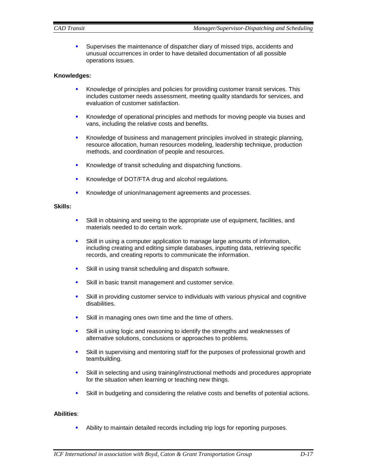**Supervises the maintenance of dispatcher diary of missed trips, accidents and** unusual occurrences in order to have detailed documentation of all possible operations issues.

# **Knowledges:**

- **Knowledge of principles and policies for providing customer transit services. This** includes customer needs assessment, meeting quality standards for services, and evaluation of customer satisfaction.
- **K**nowledge of operational principles and methods for moving people via buses and vans, including the relative costs and benefits.
- **K**nowledge of business and management principles involved in strategic planning, resource allocation, human resources modeling, leadership technique, production methods, and coordination of people and resources.
- Knowledge of transit scheduling and dispatching functions.
- Knowledge of DOT/FTA drug and alcohol regulations.
- Knowledge of union/management agreements and processes.

#### **Skills:**

- Skill in obtaining and seeing to the appropriate use of equipment, facilities, and materials needed to do certain work.
- Skill in using a computer application to manage large amounts of information, including creating and editing simple databases, inputting data, retrieving specific records, and creating reports to communicate the information.
- Skill in using transit scheduling and dispatch software.
- **Skill in basic transit management and customer service.**
- Skill in providing customer service to individuals with various physical and cognitive disabilities.
- **Skill in managing ones own time and the time of others.**
- Skill in using logic and reasoning to identify the strengths and weaknesses of alternative solutions, conclusions or approaches to problems.
- Skill in supervising and mentoring staff for the purposes of professional growth and teambuilding.
- Skill in selecting and using training/instructional methods and procedures appropriate for the situation when learning or teaching new things.
- Skill in budgeting and considering the relative costs and benefits of potential actions.

#### **Abilities**:

Ability to maintain detailed records including trip logs for reporting purposes.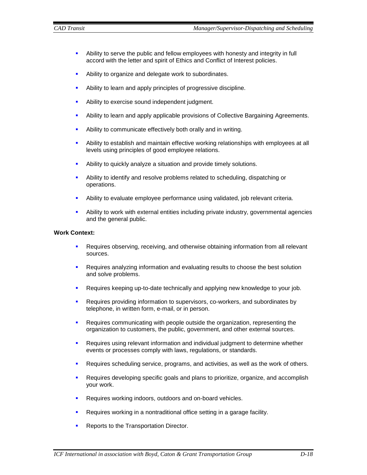- Ability to serve the public and fellow employees with honesty and integrity in full accord with the letter and spirit of Ethics and Conflict of Interest policies.
- Ability to organize and delegate work to subordinates.
- Ability to learn and apply principles of progressive discipline.
- **Ability to exercise sound independent judgment.**
- Ability to learn and apply applicable provisions of Collective Bargaining Agreements.
- **Ability to communicate effectively both orally and in writing.**
- Ability to establish and maintain effective working relationships with employees at all levels using principles of good employee relations.
- Ability to quickly analyze a situation and provide timely solutions.
- Ability to identify and resolve problems related to scheduling, dispatching or operations.
- Ability to evaluate employee performance using validated, job relevant criteria.
- Ability to work with external entities including private industry, governmental agencies and the general public.

## **Work Context:**

- **Requires observing, receiving, and otherwise obtaining information from all relevant** sources.
- **Requires analyzing information and evaluating results to choose the best solution** and solve problems.
- Requires keeping up-to-date technically and applying new knowledge to your job.
- Requires providing information to supervisors, co-workers, and subordinates by telephone, in written form, e-mail, or in person.
- **Requires communicating with people outside the organization, representing the** organization to customers, the public, government, and other external sources.
- Requires using relevant information and individual judgment to determine whether events or processes comply with laws, regulations, or standards.
- Requires scheduling service, programs, and activities, as well as the work of others.
- Requires developing specific goals and plans to prioritize, organize, and accomplish your work.
- Requires working indoors, outdoors and on-board vehicles.
- **Requires working in a nontraditional office setting in a garage facility.**
- Reports to the Transportation Director.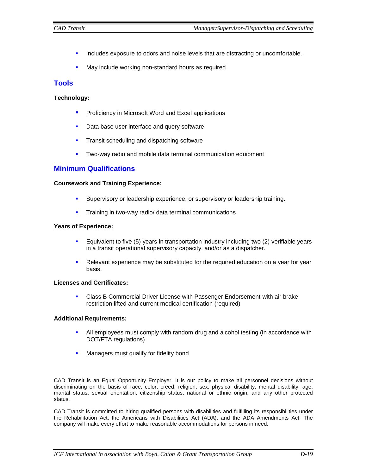- **Includes exposure to odors and noise levels that are distracting or uncomfortable.**
- May include working non-standard hours as required

# **Tools**

# **Technology:**

- **Proficiency in Microsoft Word and Excel applications**
- Data base user interface and query software
- **Transit scheduling and dispatching software**
- **Two-way radio and mobile data terminal communication equipment**

# **Minimum Qualifications**

## **Coursework and Training Experience:**

- Supervisory or leadership experience, or supervisory or leadership training.
- **Training in two-way radio/ data terminal communications**

## **Years of Experience:**

- Equivalent to five (5) years in transportation industry including two (2) verifiable years in a transit operational supervisory capacity, and/or as a dispatcher.
- Relevant experience may be substituted for the required education on a year for year basis.

# **Licenses and Certificates:**

**Class B Commercial Driver License with Passenger Endorsement-with air brake** restriction lifted and current medical certification (required)

# **Additional Requirements:**

- All employees must comply with random drug and alcohol testing (in accordance with DOT/FTA regulations)
- Managers must qualify for fidelity bond

CAD Transit is an Equal Opportunity Employer. It is our policy to make all personnel decisions without discriminating on the basis of race, color, creed, religion, sex, physical disability, mental disability, age, marital status, sexual orientation, citizenship status, national or ethnic origin, and any other protected status.

CAD Transit is committed to hiring qualified persons with disabilities and fulfilling its responsibilities under the Rehabilitation Act, the Americans with Disabilities Act (ADA), and the ADA Amendments Act. The company will make every effort to make reasonable accommodations for persons in need.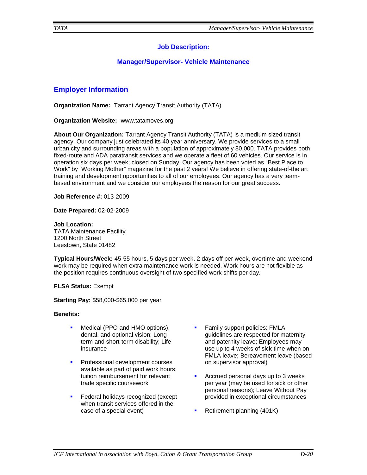# **Job Description:**

# **Manager/Supervisor- Vehicle Maintenance**

# **Employer Information**

**Organization Name:** Tarrant Agency Transit Authority (TATA)

**Organization Website:** www.tatamoves.org

**About Our Organization:** Tarrant Agency Transit Authority (TATA) is a medium sized transit agency. Our company just celebrated its 40 year anniversary. We provide services to a small urban city and surrounding areas with a population of approximately 80,000. TATA provides both fixed-route and ADA paratransit services and we operate a fleet of 60 vehicles. Our service is in operation six days per week; closed on Sunday. Our agency has been voted as "Best Place to Work" by "Working Mother" magazine for the past 2 years! We believe in offering state-of-the art training and development opportunities to all of our employees. Our agency has a very teambased environment and we consider our employees the reason for our great success.

**Job Reference #:** 013-2009

**Date Prepared:** 02-02-2009

**Job Location:**  TATA Maintenance Facility 1200 North Street Leestown, State 01482

**Typical Hours/Week:** 45-55 hours, 5 days per week. 2 days off per week, overtime and weekend work may be required when extra maintenance work is needed. Work hours are not flexible as the position requires continuous oversight of two specified work shifts per day.

**FLSA Status:** Exempt

**Starting Pay:** \$58,000-\$65,000 per year

#### **Benefits:**

- Medical (PPO and HMO options), dental, and optional vision; Longterm and short-term disability; Life insurance
- Professional development courses available as part of paid work hours; tuition reimbursement for relevant trade specific coursework
- Federal holidays recognized (except when transit services offered in the case of a special event)
- Family support policies: FMLA guidelines are respected for maternity and paternity leave; Employees may use up to 4 weeks of sick time when on FMLA leave; Bereavement leave (based on supervisor approval)
- Accrued personal days up to 3 weeks per year (may be used for sick or other personal reasons); Leave Without Pay provided in exceptional circumstances
- Retirement planning (401K)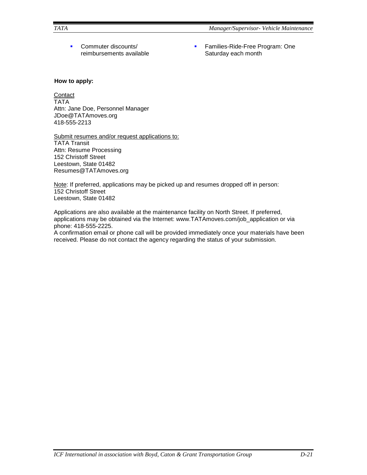**Commuter discounts/** reimbursements available **Families-Ride-Free Program: One** Saturday each month

# **How to apply:**

# **Contact**

TATA Attn: Jane Doe, Personnel Manager JDoe@TATAmoves.org 418-555-2213

Submit resumes and/or request applications to: TATA Transit Attn: Resume Processing 152 Christoff Street Leestown, State 01482 Resumes@TATAmoves.org

Note: If preferred, applications may be picked up and resumes dropped off in person: 152 Christoff Street Leestown, State 01482

Applications are also available at the maintenance facility on North Street. If preferred, applications may be obtained via the Internet: www.TATAmoves.com/job\_application or via phone: 418-555-2225.

A confirmation email or phone call will be provided immediately once your materials have been received. Please do not contact the agency regarding the status of your submission.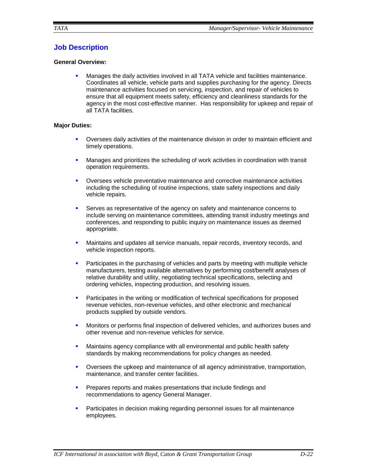# **Job Description**

# **General Overview:**

 Manages the daily activities involved in all TATA vehicle and facilities maintenance. Coordinates all vehicle, vehicle parts and supplies purchasing for the agency. Directs maintenance activities focused on servicing, inspection, and repair of vehicles to ensure that all equipment meets safety, efficiency and cleanliness standards for the agency in the most cost-effective manner. Has responsibility for upkeep and repair of all TATA facilities.

# **Major Duties:**

- Oversees daily activities of the maintenance division in order to maintain efficient and timely operations.
- **Manages and prioritizes the scheduling of work activities in coordination with transit** operation requirements.
- Oversees vehicle preventative maintenance and corrective maintenance activities including the scheduling of routine inspections, state safety inspections and daily vehicle repairs.
- Serves as representative of the agency on safety and maintenance concerns to include serving on maintenance committees, attending transit industry meetings and conferences, and responding to public inquiry on maintenance issues as deemed appropriate.
- Maintains and updates all service manuals, repair records, inventory records, and vehicle inspection reports.
- **Participates in the purchasing of vehicles and parts by meeting with multiple vehicle** manufacturers, testing available alternatives by performing cost/benefit analyses of relative durability and utility, negotiating technical specifications, selecting and ordering vehicles, inspecting production, and resolving issues.
- Participates in the writing or modification of technical specifications for proposed revenue vehicles, non-revenue vehicles, and other electronic and mechanical products supplied by outside vendors.
- **Monitors or performs final inspection of delivered vehicles, and authorizes buses and** other revenue and non-revenue vehicles for service.
- **Maintains agency compliance with all environmental and public health safety** standards by making recommendations for policy changes as needed.
- Oversees the upkeep and maintenance of all agency administrative, transportation, maintenance, and transfer center facilities.
- **Prepares reports and makes presentations that include findings and** recommendations to agency General Manager.
- **Participates in decision making regarding personnel issues for all maintenance** employees.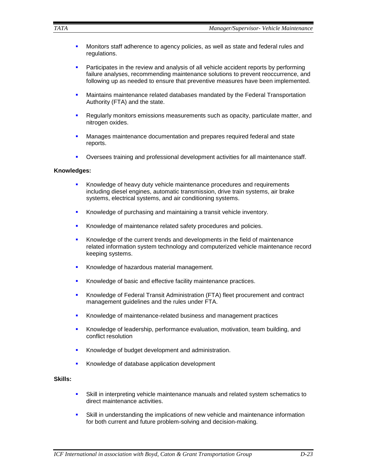- **Monitors staff adherence to agency policies, as well as state and federal rules and** regulations.
- **Participates in the review and analysis of all vehicle accident reports by performing** failure analyses, recommending maintenance solutions to prevent reoccurrence, and following up as needed to ensure that preventive measures have been implemented.
- **•** Maintains maintenance related databases mandated by the Federal Transportation Authority (FTA) and the state.
- **Regularly monitors emissions measurements such as opacity, particulate matter, and** nitrogen oxides.
- **Manages maintenance documentation and prepares required federal and state** reports.
- Oversees training and professional development activities for all maintenance staff.

#### **Knowledges:**

- Knowledge of heavy duty vehicle maintenance procedures and requirements including diesel engines, automatic transmission, drive train systems, air brake systems, electrical systems, and air conditioning systems.
- Knowledge of purchasing and maintaining a transit vehicle inventory.
- Knowledge of maintenance related safety procedures and policies.
- **Knowledge of the current trends and developments in the field of maintenance** related information system technology and computerized vehicle maintenance record keeping systems.
- Knowledge of hazardous material management.
- Knowledge of basic and effective facility maintenance practices.
- Knowledge of Federal Transit Administration (FTA) fleet procurement and contract management guidelines and the rules under FTA.
- **K**nowledge of maintenance-related business and management practices
- Knowledge of leadership, performance evaluation, motivation, team building, and conflict resolution
- Knowledge of budget development and administration.
- Knowledge of database application development

#### **Skills:**

- Skill in interpreting vehicle maintenance manuals and related system schematics to direct maintenance activities.
- Skill in understanding the implications of new vehicle and maintenance information for both current and future problem-solving and decision-making.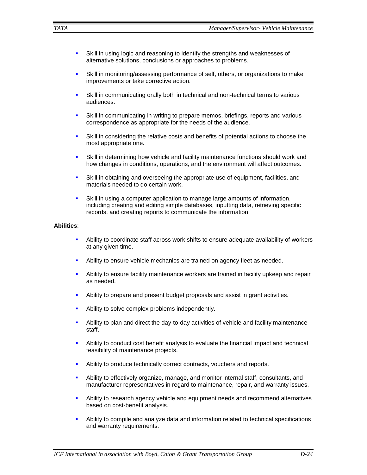- Skill in using logic and reasoning to identify the strengths and weaknesses of alternative solutions, conclusions or approaches to problems.
- Skill in monitoring/assessing performance of self, others, or organizations to make improvements or take corrective action.
- Skill in communicating orally both in technical and non-technical terms to various audiences.
- Skill in communicating in writing to prepare memos, briefings, reports and various correspondence as appropriate for the needs of the audience.
- Skill in considering the relative costs and benefits of potential actions to choose the most appropriate one.
- Skill in determining how vehicle and facility maintenance functions should work and how changes in conditions, operations, and the environment will affect outcomes.
- Skill in obtaining and overseeing the appropriate use of equipment, facilities, and materials needed to do certain work.
- Skill in using a computer application to manage large amounts of information, including creating and editing simple databases, inputting data, retrieving specific records, and creating reports to communicate the information.

## **Abilities**:

- Ability to coordinate staff across work shifts to ensure adequate availability of workers at any given time.
- Ability to ensure vehicle mechanics are trained on agency fleet as needed.
- Ability to ensure facility maintenance workers are trained in facility upkeep and repair as needed.
- Ability to prepare and present budget proposals and assist in grant activities.
- Ability to solve complex problems independently.
- Ability to plan and direct the day-to-day activities of vehicle and facility maintenance staff.
- Ability to conduct cost benefit analysis to evaluate the financial impact and technical feasibility of maintenance projects.
- **Ability to produce technically correct contracts, vouchers and reports.**
- Ability to effectively organize, manage, and monitor internal staff, consultants, and manufacturer representatives in regard to maintenance, repair, and warranty issues.
- Ability to research agency vehicle and equipment needs and recommend alternatives based on cost-benefit analysis.
- Ability to compile and analyze data and information related to technical specifications and warranty requirements.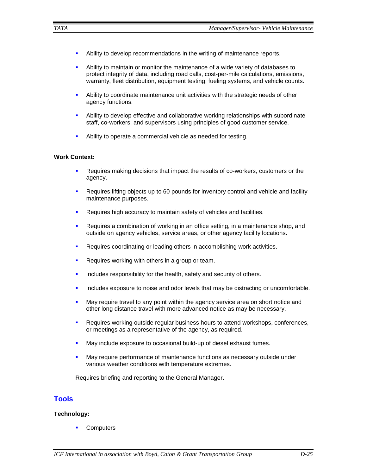- Ability to develop recommendations in the writing of maintenance reports.
- Ability to maintain or monitor the maintenance of a wide variety of databases to protect integrity of data, including road calls, cost-per-mile calculations, emissions, warranty, fleet distribution, equipment testing, fueling systems, and vehicle counts.
- Ability to coordinate maintenance unit activities with the strategic needs of other agency functions.
- Ability to develop effective and collaborative working relationships with subordinate staff, co-workers, and supervisors using principles of good customer service.
- Ability to operate a commercial vehicle as needed for testing.

## **Work Context:**

- Requires making decisions that impact the results of co-workers, customers or the agency.
- Requires lifting objects up to 60 pounds for inventory control and vehicle and facility maintenance purposes.
- **Requires high accuracy to maintain safety of vehicles and facilities.**
- Requires a combination of working in an office setting, in a maintenance shop, and outside on agency vehicles, service areas, or other agency facility locations.
- **Requires coordinating or leading others in accomplishing work activities.**
- Requires working with others in a group or team.
- Includes responsibility for the health, safety and security of others.
- Includes exposure to noise and odor levels that may be distracting or uncomfortable.
- **May require travel to any point within the agency service area on short notice and** other long distance travel with more advanced notice as may be necessary.
- **Requires working outside regular business hours to attend workshops, conferences,** or meetings as a representative of the agency, as required.
- May include exposure to occasional build-up of diesel exhaust fumes.
- May require performance of maintenance functions as necessary outside under various weather conditions with temperature extremes.

Requires briefing and reporting to the General Manager.

# **Tools**

# **Technology:**

**Computers**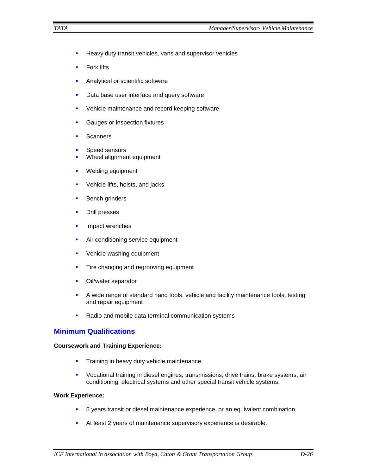- **Heavy duty transit vehicles, vans and supervisor vehicles**
- **Fork lifts**
- **Analytical or scientific software**
- **Data base user interface and query software**
- **•** Vehicle maintenance and record keeping software
- **Gauges or inspection fixtures**
- **Scanners**
- **Speed sensors**
- Wheel alignment equipment
- **Welding equipment**
- **•** Vehicle lifts, hoists, and jacks
- **Bench grinders**
- **Drill presses**
- **Impact wrenches**
- **Air conditioning service equipment**
- **•** Vehicle washing equipment
- **Tire changing and regrooving equipment**
- **•** Oil/water separator
- A wide range of standard hand tools, vehicle and facility maintenance tools, testing and repair equipment
- Radio and mobile data terminal communication systems

# **Minimum Qualifications**

## **Coursework and Training Experience:**

- **Training in heavy duty vehicle maintenance.**
- Vocational training in diesel engines, transmissions, drive trains, brake systems, air conditioning, electrical systems and other special transit vehicle systems.

# **Work Experience:**

- 5 years transit or diesel maintenance experience, or an equivalent combination.
- At least 2 years of maintenance supervisory experience is desirable.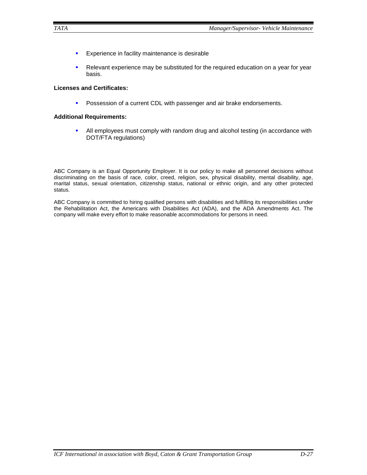- **Experience in facility maintenance is desirable**
- Relevant experience may be substituted for the required education on a year for year basis.

# **Licenses and Certificates:**

**Possession of a current CDL with passenger and air brake endorsements.** 

## **Additional Requirements:**

 All employees must comply with random drug and alcohol testing (in accordance with DOT/FTA regulations)

ABC Company is an Equal Opportunity Employer. It is our policy to make all personnel decisions without discriminating on the basis of race, color, creed, religion, sex, physical disability, mental disability, age, marital status, sexual orientation, citizenship status, national or ethnic origin, and any other protected status.

ABC Company is committed to hiring qualified persons with disabilities and fulfilling its responsibilities under the Rehabilitation Act, the Americans with Disabilities Act (ADA), and the ADA Amendments Act. The company will make every effort to make reasonable accommodations for persons in need.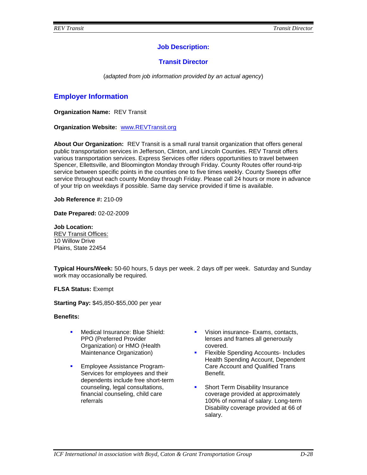# **Job Description:**

# **Transit Director**

(*adapted from job information provided by an actual agency*)

# **Employer Information**

**Organization Name:** REV Transit

**Organization Website:** [www.REVTransit.org](http://www.tacttransit.org/)

**About Our Organization:** REV Transit is a small rural transit organization that offers general public transportation services in Jefferson, Clinton, and Lincoln Counties. REV Transit offers various transportation services. Express Services offer riders opportunities to travel between Spencer, Ellettsville, and Bloomington Monday through Friday. County Routes offer round-trip service between specific points in the counties one to five times weekly. County Sweeps offer service throughout each county Monday through Friday. Please call 24 hours or more in advance of your trip on weekdays if possible. Same day service provided if time is available.

**Job Reference #:** 210-09

**Date Prepared:** 02-02-2009

**Job Location:**  REV Transit Offices: 10 Willow Drive Plains, State 22454

**Typical Hours/Week:** 50-60 hours, 5 days per week. 2 days off per week. Saturday and Sunday work may occasionally be required.

**FLSA Status:** Exempt

**Starting Pay:** \$45,850-\$55,000 per year

**Benefits:** 

- **Medical Insurance: Blue Shield:** PPO (Preferred Provider Organization) or HMO (Health Maintenance Organization)
- Employee Assistance Program-Services for employees and their dependents include free short-term counseling, legal consultations, financial counseling, child care referrals
- **Vision insurance- Exams, contacts,** lenses and frames all generously covered.
- **Flexible Spending Accounts- Includes** Health Spending Account, Dependent Care Account and Qualified Trans Benefit.
- **Short Term Disability Insurance** coverage provided at approximately 100% of normal of salary. Long-term Disability coverage provided at 66 of salary.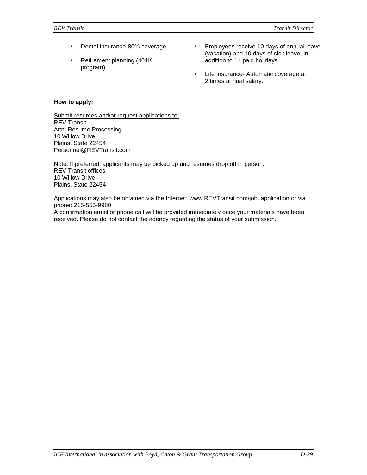- Dental insurance-80% coverage
- **Retirement planning (401K)** program).
- **Employees receive 10 days of annual leave** (vacation) and 10 days of sick leave, in addition to 11 paid holidays.
- **Life Insurance- Automatic coverage at** 2 times annual salary.

# **How to apply:**

Submit resumes and/or request applications to: REV Transit Attn: Resume Processing 10 Willow Drive Plains, State 22454 Personnel@REVTransit.com

Note: If preferred, applicants may be picked up and resumes drop off in person: REV Transit offices 10 Willow Drive Plains, State 22454

Applications may also be obtained via the Internet: www.REVTransit.com/job\_application or via phone: 215-555-9980.

A confirmation email or phone call will be provided immediately once your materials have been received. Please do not contact the agency regarding the status of your submission.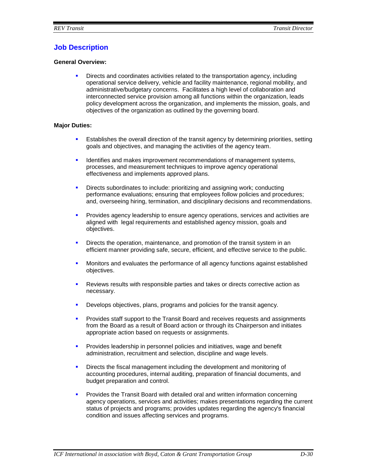# **Job Description**

## **General Overview:**

 Directs and coordinates activities related to the transportation agency, including operational service delivery, vehicle and facility maintenance, regional mobility, and administrative/budgetary concerns. Facilitates a high level of collaboration and interconnected service provision among all functions within the organization, leads policy development across the organization, and implements the mission, goals, and objectives of the organization as outlined by the governing board.

## **Major Duties:**

- Establishes the overall direction of the transit agency by determining priorities, setting goals and objectives, and managing the activities of the agency team.
- **IDENTIFIER 19 Identifies and makes improvement recommendations of management systems,** processes, and measurement techniques to improve agency operational effectiveness and implements approved plans.
- Directs subordinates to include: prioritizing and assigning work; conducting performance evaluations; ensuring that employees follow policies and procedures; and, overseeing hiring, termination, and disciplinary decisions and recommendations.
- **Provides agency leadership to ensure agency operations, services and activities are** aligned with legal requirements and established agency mission, goals and objectives.
- **•** Directs the operation, maintenance, and promotion of the transit system in an efficient manner providing safe, secure, efficient, and effective service to the public.
- Monitors and evaluates the performance of all agency functions against established objectives.
- Reviews results with responsible parties and takes or directs corrective action as necessary.
- **Develops objectives, plans, programs and policies for the transit agency.**
- **Provides staff support to the Transit Board and receives requests and assignments** from the Board as a result of Board action or through its Chairperson and initiates appropriate action based on requests or assignments.
- **Provides leadership in personnel policies and initiatives, wage and benefit** administration, recruitment and selection, discipline and wage levels.
- Directs the fiscal management including the development and monitoring of accounting procedures, internal auditing, preparation of financial documents, and budget preparation and control.
- **Provides the Transit Board with detailed oral and written information concerning** agency operations, services and activities; makes presentations regarding the current status of projects and programs; provides updates regarding the agency's financial condition and issues affecting services and programs.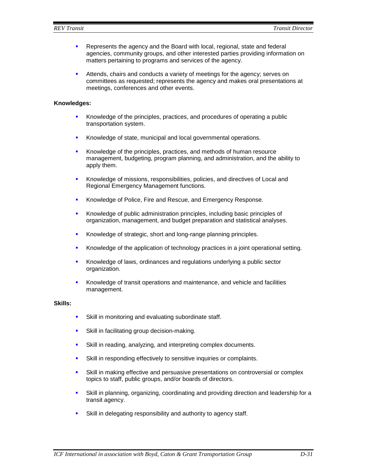- **Represents the agency and the Board with local, regional, state and federal** agencies, community groups, and other interested parties providing information on matters pertaining to programs and services of the agency.
- Attends, chairs and conducts a variety of meetings for the agency; serves on committees as requested; represents the agency and makes oral presentations at meetings, conferences and other events.

#### **Knowledges:**

- Knowledge of the principles, practices, and procedures of operating a public transportation system.
- **Knowledge of state, municipal and local governmental operations.**
- Knowledge of the principles, practices, and methods of human resource management, budgeting, program planning, and administration, and the ability to apply them.
- Knowledge of missions, responsibilities, policies, and directives of Local and Regional Emergency Management functions.
- Knowledge of Police, Fire and Rescue, and Emergency Response.
- Knowledge of public administration principles, including basic principles of organization, management, and budget preparation and statistical analyses.
- Knowledge of strategic, short and long-range planning principles.
- Knowledge of the application of technology practices in a joint operational setting.
- **Knowledge of laws, ordinances and regulations underlying a public sector** organization.
- Knowledge of transit operations and maintenance, and vehicle and facilities management.

#### **Skills:**

- **Skill in monitoring and evaluating subordinate staff.**
- Skill in facilitating group decision-making.
- Skill in reading, analyzing, and interpreting complex documents.
- **Skill in responding effectively to sensitive inquiries or complaints.**
- Skill in making effective and persuasive presentations on controversial or complex topics to staff, public groups, and/or boards of directors.
- Skill in planning, organizing, coordinating and providing direction and leadership for a transit agency.
- Skill in delegating responsibility and authority to agency staff.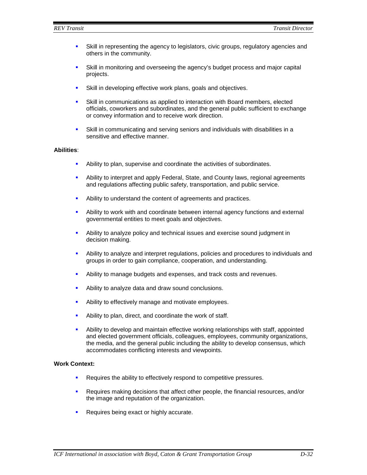- Skill in representing the agency to legislators, civic groups, regulatory agencies and others in the community.
- Skill in monitoring and overseeing the agency's budget process and major capital projects.
- **Skill in developing effective work plans, goals and objectives.**
- Skill in communications as applied to interaction with Board members, elected officials, coworkers and subordinates, and the general public sufficient to exchange or convey information and to receive work direction.
- Skill in communicating and serving seniors and individuals with disabilities in a sensitive and effective manner.

## **Abilities**:

- Ability to plan, supervise and coordinate the activities of subordinates.
- Ability to interpret and apply Federal, State, and County laws, regional agreements and regulations affecting public safety, transportation, and public service.
- Ability to understand the content of agreements and practices.
- Ability to work with and coordinate between internal agency functions and external governmental entities to meet goals and objectives.
- Ability to analyze policy and technical issues and exercise sound judgment in decision making.
- Ability to analyze and interpret regulations, policies and procedures to individuals and groups in order to gain compliance, cooperation, and understanding.
- Ability to manage budgets and expenses, and track costs and revenues.
- Ability to analyze data and draw sound conclusions.
- Ability to effectively manage and motivate employees.
- Ability to plan, direct, and coordinate the work of staff.
- Ability to develop and maintain effective working relationships with staff, appointed and elected government officials, colleagues, employees, community organizations, the media, and the general public including the ability to develop consensus, which accommodates conflicting interests and viewpoints.

#### **Work Context:**

- **Requires the ability to effectively respond to competitive pressures.**
- Requires making decisions that affect other people, the financial resources, and/or the image and reputation of the organization.
- **Requires being exact or highly accurate.**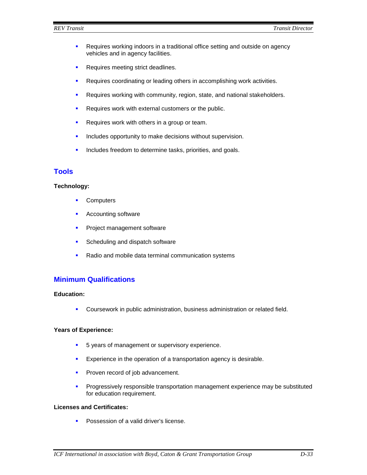- **Requires working indoors in a traditional office setting and outside on agency** vehicles and in agency facilities.
- **Requires meeting strict deadlines.**
- **Requires coordinating or leading others in accomplishing work activities.**
- **Requires working with community, region, state, and national stakeholders.**
- **Requires work with external customers or the public.**
- Requires work with others in a group or team.
- **Includes opportunity to make decisions without supervision.**
- **Includes freedom to determine tasks, priorities, and goals.**

# **Tools**

## **Technology:**

- **Computers**
- Accounting software
- **Project management software**
- **Scheduling and dispatch software**
- Radio and mobile data terminal communication systems

# **Minimum Qualifications**

## **Education:**

**Coursework in public administration, business administration or related field.** 

## **Years of Experience:**

- 5 years of management or supervisory experience.
- **Experience in the operation of a transportation agency is desirable.**
- **Proven record of job advancement.**
- **Progressively responsible transportation management experience may be substituted** for education requirement.

#### **Licenses and Certificates:**

**Possession of a valid driver's license.**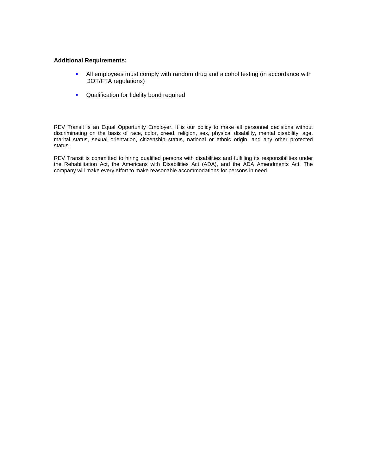#### **Additional Requirements:**

- All employees must comply with random drug and alcohol testing (in accordance with DOT/FTA regulations)
- **•** Qualification for fidelity bond required

REV Transit is an Equal Opportunity Employer. It is our policy to make all personnel decisions without discriminating on the basis of race, color, creed, religion, sex, physical disability, mental disability, age, marital status, sexual orientation, citizenship status, national or ethnic origin, and any other protected status.

REV Transit is committed to hiring qualified persons with disabilities and fulfilling its responsibilities under the Rehabilitation Act, the Americans with Disabilities Act (ADA), and the ADA Amendments Act. The company will make every effort to make reasonable accommodations for persons in need.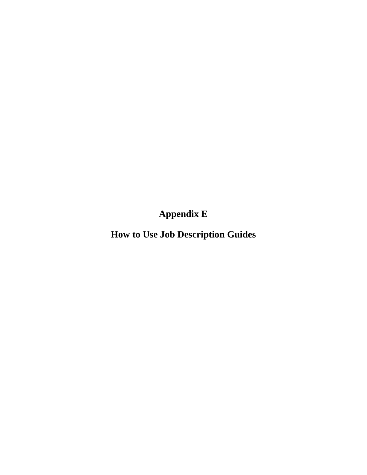**Appendix E**

**How to Use Job Description Guides**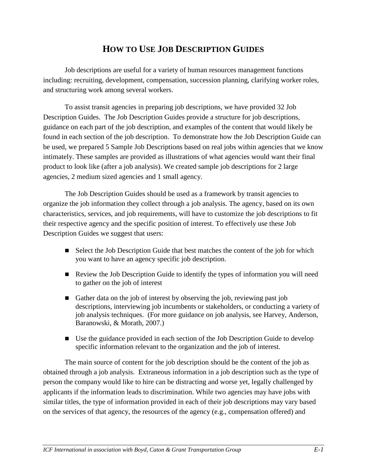# **HOW TO USE JOB DESCRIPTION GUIDES**

Job descriptions are useful for a variety of human resources management functions including: recruiting, development, compensation, succession planning, clarifying worker roles, and structuring work among several workers.

To assist transit agencies in preparing job descriptions, we have provided 32 Job Description Guides. The Job Description Guides provide a structure for job descriptions, guidance on each part of the job description, and examples of the content that would likely be found in each section of the job description. To demonstrate how the Job Description Guide can be used, we prepared 5 Sample Job Descriptions based on real jobs within agencies that we know intimately. These samples are provided as illustrations of what agencies would want their final product to look like (after a job analysis). We created sample job descriptions for 2 large agencies, 2 medium sized agencies and 1 small agency.

The Job Description Guides should be used as a framework by transit agencies to organize the job information they collect through a job analysis. The agency, based on its own characteristics, services, and job requirements, will have to customize the job descriptions to fit their respective agency and the specific position of interest. To effectively use these Job Description Guides we suggest that users:

- Select the Job Description Guide that best matches the content of the job for which you want to have an agency specific job description.
- Review the Job Description Guide to identify the types of information you will need to gather on the job of interest
- Gather data on the job of interest by observing the job, reviewing past job descriptions, interviewing job incumbents or stakeholders, or conducting a variety of job analysis techniques. (For more guidance on job analysis, see Harvey, Anderson, Baranowski, & Morath, 2007.)
- Use the guidance provided in each section of the Job Description Guide to develop specific information relevant to the organization and the job of interest.

The main source of content for the job description should be the content of the job as obtained through a job analysis. Extraneous information in a job description such as the type of person the company would like to hire can be distracting and worse yet, legally challenged by applicants if the information leads to discrimination. While two agencies may have jobs with similar titles, the type of information provided in each of their job descriptions may vary based on the services of that agency, the resources of the agency (e.g., compensation offered) and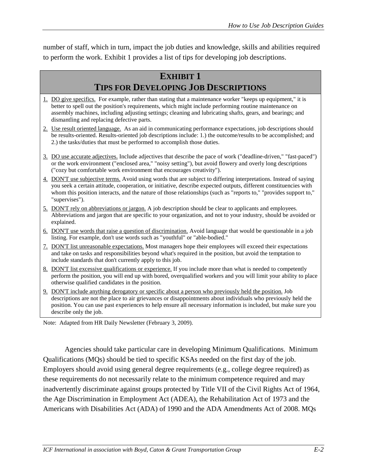number of staff, which in turn, impact the job duties and knowledge, skills and abilities required to perform the work. Exhibit 1 provides a list of tips for developing job descriptions.

# **EXHIBIT 1 TIPS FOR DEVELOPING JOB DESCRIPTIONS**

- 1. DO give specifics. For example, rather than stating that a maintenance worker "keeps up equipment," it is better to spell out the position's requirements, which might include performing routine maintenance on assembly machines, including adjusting settings; cleaning and lubricating shafts, gears, and bearings; and dismantling and replacing defective parts.
- 2. Use result oriented language. As an aid in communicating performance expectations, job descriptions should be results-oriented. Results-oriented job descriptions include: 1.) the outcome/results to be accomplished; and 2.) the tasks/duties that must be performed to accomplish those duties.
- 3. DO use accurate adjectives. Include adjectives that describe the pace of work ("deadline-driven," "fast-paced") or the work environment ("enclosed area," "noisy setting"), but avoid flowery and overly long descriptions ("cozy but comfortable work environment that encourages creativity").
- 4. DON'T use subjective terms. Avoid using words that are subject to differing interpretations. Instead of saying you seek a certain attitude, cooperation, or initiative, describe expected outputs, different constituencies with whom this position interacts, and the nature of those relationships (such as "reports to," "provides support to," "supervises").
- 5. DON'T rely on abbreviations or jargon. A job description should be clear to applicants and employees. Abbreviations and jargon that are specific to your organization, and not to your industry, should be avoided or explained.
- 6. DON'T use words that raise a question of discrimination. Avoid language that would be questionable in a job listing. For example, don't use words such as "youthful" or "able-bodied."
- 7. DON'T list unreasonable expectations. Most managers hope their employees will exceed their expectations and take on tasks and responsibilities beyond what's required in the position, but avoid the temptation to include standards that don't currently apply to this job.
- 8. DON'T list excessive qualifications or experience. If you include more than what is needed to competently perform the position, you will end up with bored, overqualified workers and you will limit your ability to place otherwise qualified candidates in the position.
- 9. DON'T include anything derogatory or specific about a person who previously held the position. Job descriptions are not the place to air grievances or disappointments about individuals who previously held the position. You can use past experiences to help ensure all necessary information is included, but make sure you describe only the job.

Note: Adapted from HR Daily Newsletter (February 3, 2009).

Agencies should take particular care in developing Minimum Qualifications. Minimum Qualifications (MQs) should be tied to specific KSAs needed on the first day of the job. Employers should avoid using general degree requirements (e.g., college degree required) as these requirements do not necessarily relate to the minimum competence required and may inadvertently discriminate against groups protected by Title VII of the Civil Rights Act of 1964, the Age Discrimination in Employment Act (ADEA), the Rehabilitation Act of 1973 and the Americans with Disabilities Act (ADA) of 1990 and the ADA Amendments Act of 2008. MQs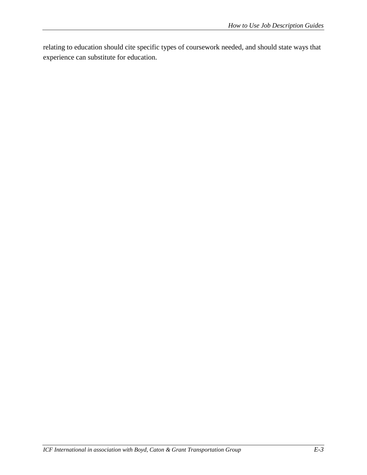relating to education should cite specific types of coursework needed, and should state ways that experience can substitute for education.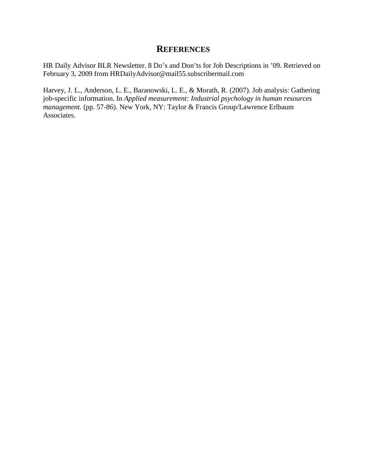## **REFERENCES**

HR Daily Advisor BLR Newsletter. 8 Do's and Don'ts for Job Descriptions in '09. Retrieved on February 3, 2009 from HRDailyAdvisor@mail55.subscribermail.com

Harvey, J. L., Anderson, L. E., Baranowski, L. E., & Morath, R. (2007). Job analysis: Gathering job-specific information. In *Applied measurement: Industrial psychology in human resources management.* (pp. 57-86). New York, NY: Taylor & Francis Group/Lawrence Erlbaum Associates.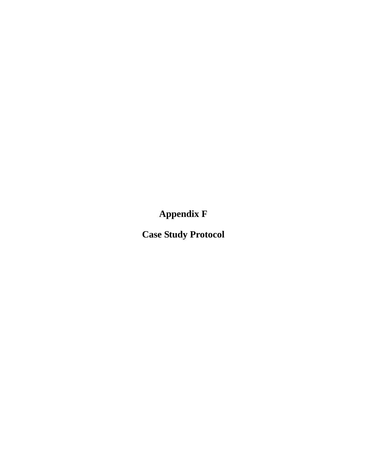**Appendix F**

**Case Study Protocol**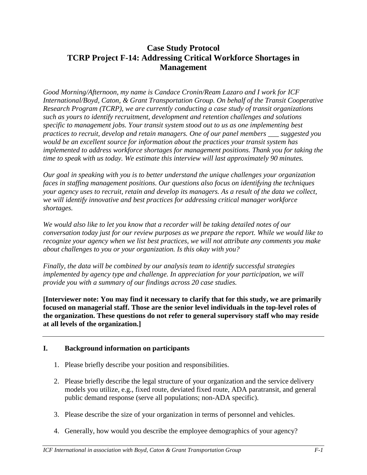## **Case Study Protocol TCRP Project F-14: Addressing Critical Workforce Shortages in Management**

*Good Morning/Afternoon, my name is Candace Cronin/Ream Lazaro and I work for ICF International/Boyd, Caton, & Grant Transportation Group. On behalf of the Transit Cooperative Research Program (TCRP), we are currently conducting a case study of transit organizations such as yours to identify recruitment, development and retention challenges and solutions specific to management jobs. Your transit system stood out to us as one implementing best practices to recruit, develop and retain managers. One of our panel members \_\_\_ suggested you would be an excellent source for information about the practices your transit system has implemented to address workforce shortages for management positions. Thank you for taking the time to speak with us today. We estimate this interview will last approximately 90 minutes.* 

*Our goal in speaking with you is to better understand the unique challenges your organization faces in staffing management positions. Our questions also focus on identifying the techniques your agency uses to recruit, retain and develop its managers. As a result of the data we collect, we will identify innovative and best practices for addressing critical manager workforce shortages.* 

*We would also like to let you know that a recorder will be taking detailed notes of our conversation today just for our review purposes as we prepare the report. While we would like to recognize your agency when we list best practices, we will not attribute any comments you make about challenges to you or your organization. Is this okay with you?* 

*Finally, the data will be combined by our analysis team to identify successful strategies implemented by agency type and challenge. In appreciation for your participation, we will provide you with a summary of our findings across 20 case studies.*

**[Interviewer note: You may find it necessary to clarify that for this study, we are primarily focused on managerial staff. Those are the senior level individuals in the top-level roles of the organization. These questions do not refer to general supervisory staff who may reside at all levels of the organization.]**

## **I. Background information on participants**

- 1. Please briefly describe your position and responsibilities.
- 2. Please briefly describe the legal structure of your organization and the service delivery models you utilize, e.g., fixed route, deviated fixed route, ADA paratransit, and general public demand response (serve all populations; non-ADA specific).
- 3. Please describe the size of your organization in terms of personnel and vehicles.
- 4. Generally, how would you describe the employee demographics of your agency?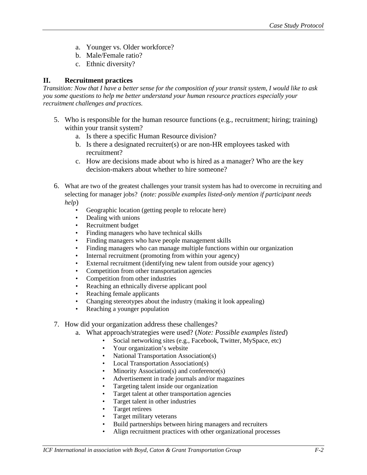- a. Younger vs. Older workforce?
- b. Male/Female ratio?
- c. Ethnic diversity?

#### **II. Recruitment practices**

*Transition: Now that I have a better sense for the composition of your transit system, I would like to ask you some questions to help me better understand your human resource practices especially your recruitment challenges and practices.* 

- 5. Who is responsible for the human resource functions (e.g., recruitment; hiring; training) within your transit system?
	- a. Is there a specific Human Resource division?
	- b. Is there a designated recruiter(s) or are non-HR employees tasked with recruitment?
	- c. How are decisions made about who is hired as a manager? Who are the key decision-makers about whether to hire someone?
- 6. What are two of the greatest challenges your transit system has had to overcome in recruiting and selecting for manager jobs? (*note: possible examples listed-only mention if participant needs help*)
	- Geographic location (getting people to relocate here)
	- Dealing with unions
	- Recruitment budget
	- Finding managers who have technical skills
	- Finding managers who have people management skills
	- Finding managers who can manage multiple functions within our organization
	- Internal recruitment (promoting from within your agency)
	- External recruitment (identifying new talent from outside your agency)
	- Competition from other transportation agencies
	- Competition from other industries
	- Reaching an ethnically diverse applicant pool
	- Reaching female applicants
	- Changing stereotypes about the industry (making it look appealing)
	- Reaching a younger population
- 7. How did your organization address these challenges?
	- a. What approach/strategies were used? (*Note: Possible examples listed*)
		- Social networking sites (e.g., Facebook, Twitter, MySpace, etc)
		- Your organization's website
		- National Transportation Association(s)
		- Local Transportation Association(s)
		- Minority Association(s) and conference(s)
		- Advertisement in trade journals and/or magazines
		- Targeting talent inside our organization
		- Target talent at other transportation agencies
		- Target talent in other industries
		- Target retirees
		- Target military veterans
		- Build partnerships between hiring managers and recruiters
		- Align recruitment practices with other organizational processes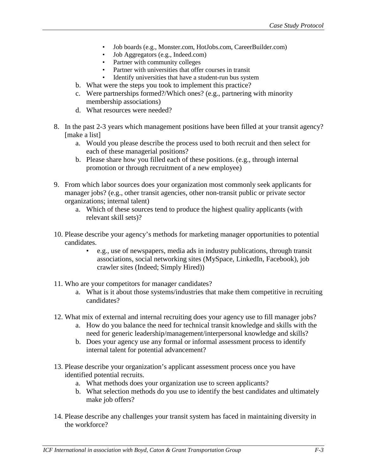- Job boards (e.g., Monster.com, HotJobs.com, CareerBuilder.com)
- Job Aggregators (e.g., Indeed.com)
- Partner with community colleges
- Partner with universities that offer courses in transit
- Identify universities that have a student-run bus system
- b. What were the steps you took to implement this practice?
- c. Were partnerships formed?/Which ones? (e.g., partnering with minority membership associations)
- d. What resources were needed?
- 8. In the past 2-3 years which management positions have been filled at your transit agency? [make a list]
	- a. Would you please describe the process used to both recruit and then select for each of these managerial positions?
	- b. Please share how you filled each of these positions. (e.g., through internal promotion or through recruitment of a new employee)
- 9. From which labor sources does your organization most commonly seek applicants for manager jobs? (e.g., other transit agencies, other non-transit public or private sector organizations; internal talent)
	- a. Which of these sources tend to produce the highest quality applicants (with relevant skill sets)?
- 10. Please describe your agency's methods for marketing manager opportunities to potential candidates.
	- e.g., use of newspapers, media ads in industry publications, through transit associations, social networking sites (MySpace, LinkedIn, Facebook), job crawler sites (Indeed; Simply Hired))
- 11. Who are your competitors for manager candidates?
	- a. What is it about those systems/industries that make them competitive in recruiting candidates?
- 12. What mix of external and internal recruiting does your agency use to fill manager jobs?
	- a. How do you balance the need for technical transit knowledge and skills with the need for generic leadership/management/interpersonal knowledge and skills?
	- b. Does your agency use any formal or informal assessment process to identify internal talent for potential advancement?
- 13. Please describe your organization's applicant assessment process once you have identified potential recruits.
	- a. What methods does your organization use to screen applicants?
	- b. What selection methods do you use to identify the best candidates and ultimately make job offers?
- 14. Please describe any challenges your transit system has faced in maintaining diversity in the workforce?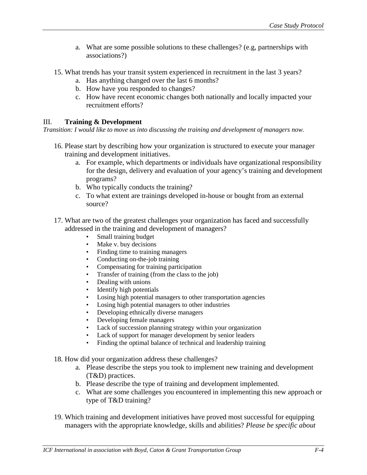- a. What are some possible solutions to these challenges? (e.g, partnerships with associations?)
- 15. What trends has your transit system experienced in recruitment in the last 3 years?
	- a. Has anything changed over the last 6 months?
	- b. How have you responded to changes?
	- c. How have recent economic changes both nationally and locally impacted your recruitment efforts?

## III. **Training & Development**

*Transition: I would like to move us into discussing the training and development of managers now.* 

- 16. Please start by describing how your organization is structured to execute your manager training and development initiatives.
	- a. For example, which departments or individuals have organizational responsibility for the design, delivery and evaluation of your agency's training and development programs?
	- b. Who typically conducts the training?
	- c. To what extent are trainings developed in-house or bought from an external source?
- 17. What are two of the greatest challenges your organization has faced and successfully addressed in the training and development of managers?
	- Small training budget
	- Make v. buy decisions
	- Finding time to training managers<br>• Conducting on-the-job training
	- Conducting on-the-job training
	- Compensating for training participation
	- Transfer of training (from the class to the job)
	- Dealing with unions
	- Identify high potentials
	- Losing high potential managers to other transportation agencies
	- Losing high potential managers to other industries
	- Developing ethnically diverse managers
	- Developing female managers
	- Lack of succession planning strategy within your organization
	- Lack of support for manager development by senior leaders
	- Finding the optimal balance of technical and leadership training
- 18. How did your organization address these challenges?
	- a. Please describe the steps you took to implement new training and development (T&D) practices.
	- b. Please describe the type of training and development implemented.
	- c. What are some challenges you encountered in implementing this new approach or type of T&D training?
- 19. Which training and development initiatives have proved most successful for equipping managers with the appropriate knowledge, skills and abilities? *Please be specific about*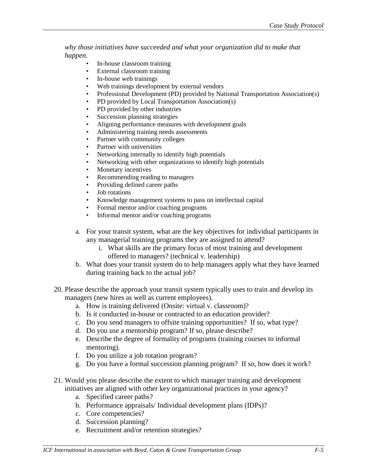*why those initiatives have succeeded and what your organization did to make that happen.*

- In-house classroom training
- External classroom training
- In-house web trainings
- Web trainings development by external vendors
- Professional Development (PD) provided by National Transportation Association(s)
- PD provided by Local Transportation Association(s)
- PD provided by other industries
- Succession planning strategies
- Aligning performance measures with development goals
- Administering training needs assessments
- Partner with community colleges
- Partner with universities
- Networking internally to identify high potentials
- Networking with other organizations to identify high potentials
- Monetary incentives
- Recommending reading to managers
- Providing defined career paths
- Job rotations
- Knowledge management systems to pass on intellectual capital
- Formal mentor and/or coaching programs
- Informal mentor and/or coaching programs
- a. For your transit system, what are the key objectives for individual participants in any managerial training programs they are assigned to attend?
	- i. What skills are the primary focus of most training and development offered to managers? (technical v. leadership)
- b. What does your transit system do to help managers apply what they have learned during training back to the actual job?
- 20. Please describe the approach your transit system typically uses to train and develop its managers (new hires as well as current employees).
	- a. How is training delivered (Onsite: virtual v. classroom)?
	- b. Is it conducted in-house or contracted to an education provider?
	- c. Do you send managers to offsite training opportunities? If so, what type?
	- d. Do you use a mentorship program? If so, please describe?
	- e. Describe the degree of formality of programs (training courses to informal mentoring).
	- f. Do you utilize a job rotation program?
	- g. Do you have a formal succession planning program? If so, how does it work?
- 21. Would you please describe the extent to which manager training and development initiatives are aligned with other key organizational practices in your agency?
	- a. Specified career paths?
	- b. Performance appraisals/ Individual development plans (IDPs)?
	- c. Core competencies?
	- d. Succession planning?
	- e. Recruitment and/or retention strategies?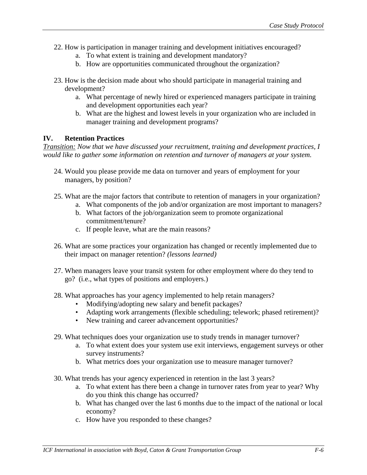- 22. How is participation in manager training and development initiatives encouraged?
	- a. To what extent is training and development mandatory?
	- b. How are opportunities communicated throughout the organization?
- 23. How is the decision made about who should participate in managerial training and development?
	- a. What percentage of newly hired or experienced managers participate in training and development opportunities each year?
	- b. What are the highest and lowest levels in your organization who are included in manager training and development programs?

### **IV. Retention Practices**

*Transition: Now that we have discussed your recruitment, training and development practices, I would like to gather some information on retention and turnover of managers at your system.* 

- 24. Would you please provide me data on turnover and years of employment for your managers, by position?
- 25. What are the major factors that contribute to retention of managers in your organization?
	- a. What components of the job and/or organization are most important to managers?
		- b. What factors of the job/organization seem to promote organizational commitment/tenure?
		- c. If people leave, what are the main reasons?
- 26. What are some practices your organization has changed or recently implemented due to their impact on manager retention? *(lessons learned)*
- 27. When managers leave your transit system for other employment where do they tend to go? (i.e., what types of positions and employers.)
- 28. What approaches has your agency implemented to help retain managers?
	- Modifying/adopting new salary and benefit packages?
	- Adapting work arrangements (flexible scheduling; telework; phased retirement)?
	- New training and career advancement opportunities?
- 29. What techniques does your organization use to study trends in manager turnover?
	- a. To what extent does your system use exit interviews, engagement surveys or other survey instruments?
	- b. What metrics does your organization use to measure manager turnover?
- 30. What trends has your agency experienced in retention in the last 3 years?
	- a. To what extent has there been a change in turnover rates from year to year? Why do you think this change has occurred?
	- b. What has changed over the last 6 months due to the impact of the national or local economy?
	- c. How have you responded to these changes?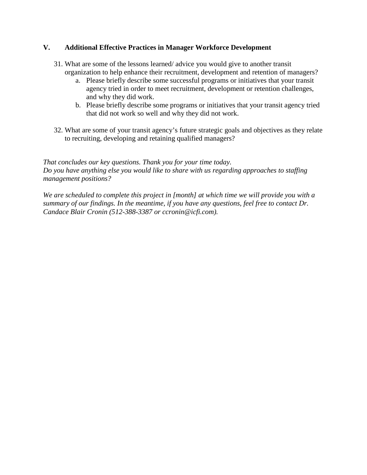#### **V. Additional Effective Practices in Manager Workforce Development**

- 31. What are some of the lessons learned/ advice you would give to another transit organization to help enhance their recruitment, development and retention of managers?
	- a. Please briefly describe some successful programs or initiatives that your transit agency tried in order to meet recruitment, development or retention challenges, and why they did work.
	- b. Please briefly describe some programs or initiatives that your transit agency tried that did not work so well and why they did not work.
- 32. What are some of your transit agency's future strategic goals and objectives as they relate to recruiting, developing and retaining qualified managers?

*That concludes our key questions. Thank you for your time today. Do you have anything else you would like to share with us regarding approaches to staffing management positions?*

*We are scheduled to complete this project in [month] at which time we will provide you with a summary of our findings. In the meantime, if you have any questions, feel free to contact Dr. Candace Blair Cronin (512-388-3387 or ccronin@icfi.com).*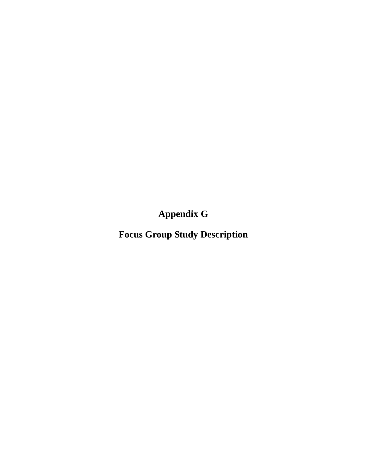**Appendix G**

**Focus Group Study Description**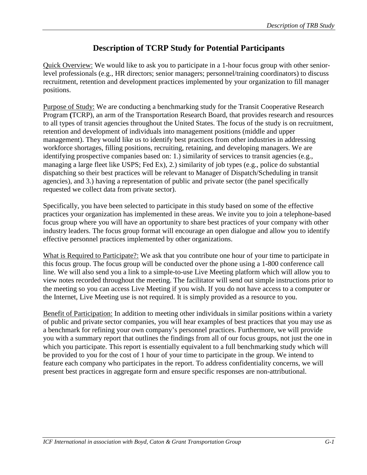## **Description of TCRP Study for Potential Participants**

Quick Overview: We would like to ask you to participate in a 1-hour focus group with other seniorlevel professionals (e.g., HR directors; senior managers; personnel/training coordinators) to discuss recruitment, retention and development practices implemented by your organization to fill manager positions.

Purpose of Study: We are conducting a benchmarking study for the Transit Cooperative Research Program **(**TCRP), an arm of the Transportation Research Board, that provides research and resources to all types of transit agencies throughout the United States. The focus of the study is on recruitment, retention and development of individuals into management positions (middle and upper management). They would like us to identify best practices from other industries in addressing workforce shortages, filling positions, recruiting, retaining, and developing managers. We are identifying prospective companies based on: 1.) similarity of services to transit agencies (e.g., managing a large fleet like USPS; Fed Ex), 2.) similarity of job types (e.g., police do substantial dispatching so their best practices will be relevant to Manager of Dispatch/Scheduling in transit agencies), and 3.) having a representation of public and private sector (the panel specifically requested we collect data from private sector).

Specifically, you have been selected to participate in this study based on some of the effective practices your organization has implemented in these areas. We invite you to join a telephone-based focus group where you will have an opportunity to share best practices of your company with other industry leaders. The focus group format will encourage an open dialogue and allow you to identify effective personnel practices implemented by other organizations.

What is Required to Participate?: We ask that you contribute one hour of your time to participate in this focus group. The focus group will be conducted over the phone using a 1-800 conference call line. We will also send you a link to a simple-to-use Live Meeting platform which will allow you to view notes recorded throughout the meeting. The facilitator will send out simple instructions prior to the meeting so you can access Live Meeting if you wish. If you do not have access to a computer or the Internet, Live Meeting use is not required. It is simply provided as a resource to you.

Benefit of Participation: In addition to meeting other individuals in similar positions within a variety of public and private sector companies, you will hear examples of best practices that you may use as a benchmark for refining your own company's personnel practices. Furthermore, we will provide you with a summary report that outlines the findings from all of our focus groups, not just the one in which you participate. This report is essentially equivalent to a full benchmarking study which will be provided to you for the cost of 1 hour of your time to participate in the group. We intend to feature each company who participates in the report. To address confidentiality concerns, we will present best practices in aggregate form and ensure specific responses are non-attributional.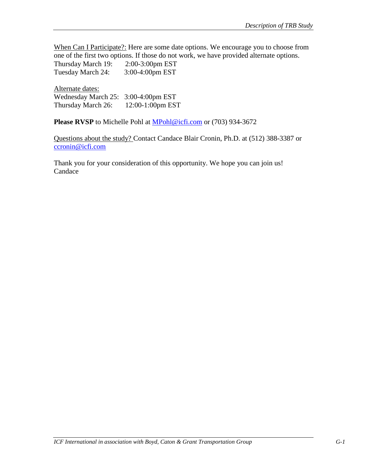When Can I Participate?: Here are some date options. We encourage you to choose from one of the first two options. If those do not work, we have provided alternate options. Thursday March 19: 2:00-3:00pm EST Tuesday March 24: 3:00-4:00pm EST

Alternate dates: Wednesday March 25: 3:00-4:00pm EST Thursday March 26: 12:00-1:00pm EST

Please RVSP to Michelle Pohl at [MPohl@icfi.com](mailto:MPohl@icfi.com) or (703) 934-3672

Questions about the study? Contact Candace Blair Cronin, Ph.D. at (512) 388-3387 or [ccronin@icfi.com](mailto:ccronin@icfi.com)

Thank you for your consideration of this opportunity. We hope you can join us! Candace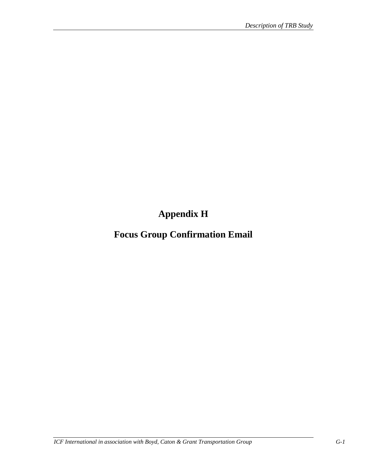**Appendix H**

**Focus Group Confirmation Email**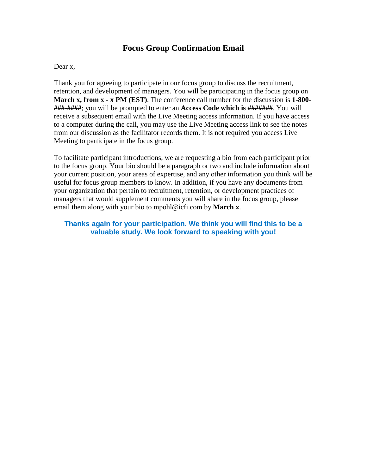## **Focus Group Confirmation Email**

#### Dear x,

Thank you for agreeing to participate in our focus group to discuss the recruitment, retention, and development of managers. You will be participating in the focus group on **March x, from x - x PM (EST)**. The conference call number for the discussion is **1-800- ###-####**; you will be prompted to enter an **Access Code which is #######**. You will receive a subsequent email with the Live Meeting access information. If you have access to a computer during the call, you may use the Live Meeting access link to see the notes from our discussion as the facilitator records them. It is not required you access Live Meeting to participate in the focus group.

To facilitate participant introductions, we are requesting a bio from each participant prior to the focus group. Your bio should be a paragraph or two and include information about your current position, your areas of expertise, and any other information you think will be useful for focus group members to know. In addition, if you have any documents from your organization that pertain to recruitment, retention, or development practices of managers that would supplement comments you will share in the focus group, please email them along with your bio to mpohl@icfi.com by **March x**.

#### **Thanks again for your participation. We think you will find this to be a valuable study. We look forward to speaking with you!**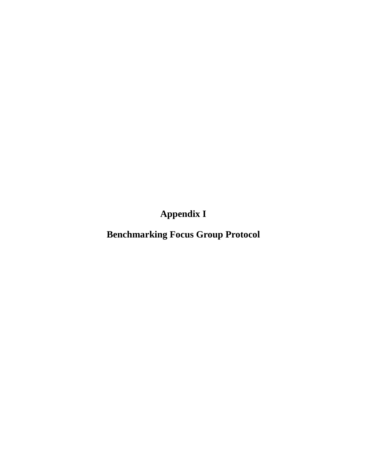**Appendix I**

**Benchmarking Focus Group Protocol**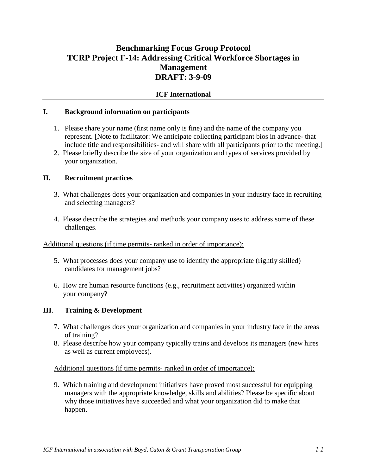## **Benchmarking Focus Group Protocol TCRP Project F-14: Addressing Critical Workforce Shortages in Management DRAFT: 3-9-09**

#### **ICF International**

#### **I. Background information on participants**

- 1. Please share your name (first name only is fine) and the name of the company you represent. [Note to facilitator: We anticipate collecting participant bios in advance- that include title and responsibilities- and will share with all participants prior to the meeting.]
- 2. Please briefly describe the size of your organization and types of services provided by your organization.

#### **II. Recruitment practices**

- 3. What challenges does your organization and companies in your industry face in recruiting and selecting managers?
- 4. Please describe the strategies and methods your company uses to address some of these challenges.

#### Additional questions (if time permits- ranked in order of importance):

- 5. What processes does your company use to identify the appropriate (rightly skilled) candidates for management jobs?
- 6. How are human resource functions (e.g., recruitment activities) organized within your company?

#### **III**. **Training & Development**

- 7. What challenges does your organization and companies in your industry face in the areas of training?
- 8. Please describe how your company typically trains and develops its managers (new hires as well as current employees).

Additional questions (if time permits- ranked in order of importance):

9. Which training and development initiatives have proved most successful for equipping managers with the appropriate knowledge, skills and abilities? Please be specific about why those initiatives have succeeded and what your organization did to make that happen.